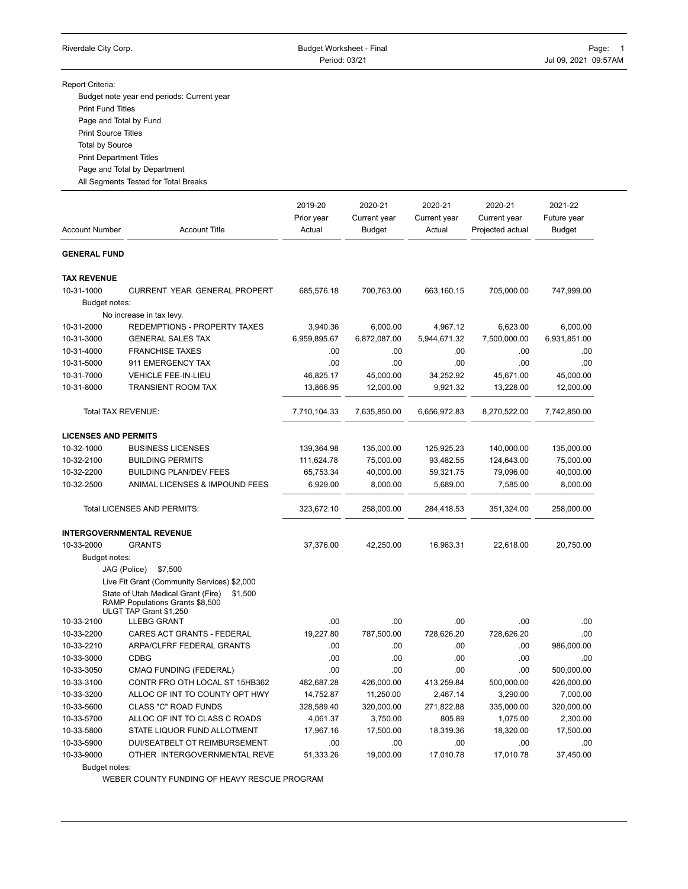Report Criteria:

Budget note year end periods: Current year Print Fund Titles Page and Total by Fund Print Source Titles Total by Source

Print Department Titles

Page and Total by Department

All Segments Tested for Total Breaks

2019-20 2020-21 2020-21 2020-21 2021-22 Prior year Current year Current year Current year Future year Account Number **Account Title** Actual Budget Actual Projected actual Budget **GENERAL FUND TAX REVENUE** 10-31-1000 CURRENT YEAR GENERAL PROPERT 685,576.18 700,763.00 663,160.15 705,000.00 747,999.00 Budget notes: No increase in tax levy. 10-31-2000 REDEMPTIONS - PROPERTY TAXES 3,940.36 6,000.00 4,967.12 6,623.00 6,000.00 10-31-3000 GENERAL SALES TAX 6,959,895.67 6,872,087.00 5,944,671.32 7,500,000.00 6,931,851.00 10-31-4000 FRANCHISE TAXES .00 .00 .00 .00 .00 10-31-5000 911 EMERGENCY TAX .00 .00 .00 .00 .00 10-31-7000 VEHICLE FEE-IN-LIEU 46,825.17 45,000.00 34,252.92 45,671.00 45,000.00 10-31-8000 TRANSIENT ROOM TAX 13,866.95 12,000.00 9,921.32 13,228.00 12,000.00 Total TAX REVENUE: 7,710,104.33 7,635,850.00 6,656,972.83 8,270,522.00 7,742,850.00 **LICENSES AND PERMITS** 10-32-1000 BUSINESS LICENSES 139,364.98 135,000.00 125,925.23 140,000.00 135,000.00 10-32-2100 BUILDING PERMITS 111,624.78 75,000.00 93,482.55 124,643.00 75,000.00 10-32-2200 BUILDING PLAN/DEV FEES 65,753.34 40,000.00 59,321.75 79,096.00 40,000.00 10-32-2500 ANIMAL LICENSES & IMPOUND FEES 6,929.00 8,000.00 5,689.00 7,585.00 8,000.00 Total LICENSES AND PERMITS: 323,672.10 258,000.00 284,418.53 351,324.00 258,000.00 **INTERGOVERNMENTAL REVENUE** 10-33-2000 GRANTS 37,376.00 42,250.00 16,963.31 22,618.00 20,750.00 Budget notes: JAG (Police) \$7,500 Live Fit Grant (Community Services) \$2,000 State of Utah Medical Grant (Fire) \$1,500 RAMP Populations Grants \$8,500 ULGT TAP Grant \$1,250 10-33-2100 LLEBG GRANT .00 .00 .00 .00 .00 10-33-2200 CARES ACT GRANTS - FEDERAL 19,227.80 787,500.00 728,626.20 728,626.20 .00 10-33-2210 ARPA/CLFRF FEDERAL GRANTS .00 .00 .00 .00 986,000.00 10-33-3000 CDBG .00 .00 .00 .00 .00 10-33-3050 CMAQ FUNDING (FEDERAL) .00 .00 .00 .00 500,000.00 10-33-3100 CONTR FRO OTH LOCAL ST 15HB362 482,687.28 426,000.00 413,259.84 500,000.00 426,000.00 10-33-3200 ALLOC OF INT TO COUNTY OPT HWY 14,752.87 11,250.00 2,467.14 3,290.00 7,000.00 10-33-5600 CLASS "C" ROAD FUNDS 328,589.40 320,000.00 271,822.88 335,000.00 320,000.00 10-33-5700 ALLOC OF INT TO CLASS C ROADS 4,061.37 3,750.00 805.89 1,075.00 2,300.00 10-33-5800 STATE LIQUOR FUND ALLOTMENT 17,967.16 17,500.00 18,319.36 18,320.00 17,500.00 10-33-5900 DUI/SEATBELT OT REIMBURSEMENT .00 .00 .00 .00 .00 10-33-9000 OTHER INTERGOVERNMENTAL REVE 51,333.26 19,000.00 17,010.78 17,010.78 37,450.00

Budget notes:

WEBER COUNTY FUNDING OF HEAVY RESCUE PROGRAM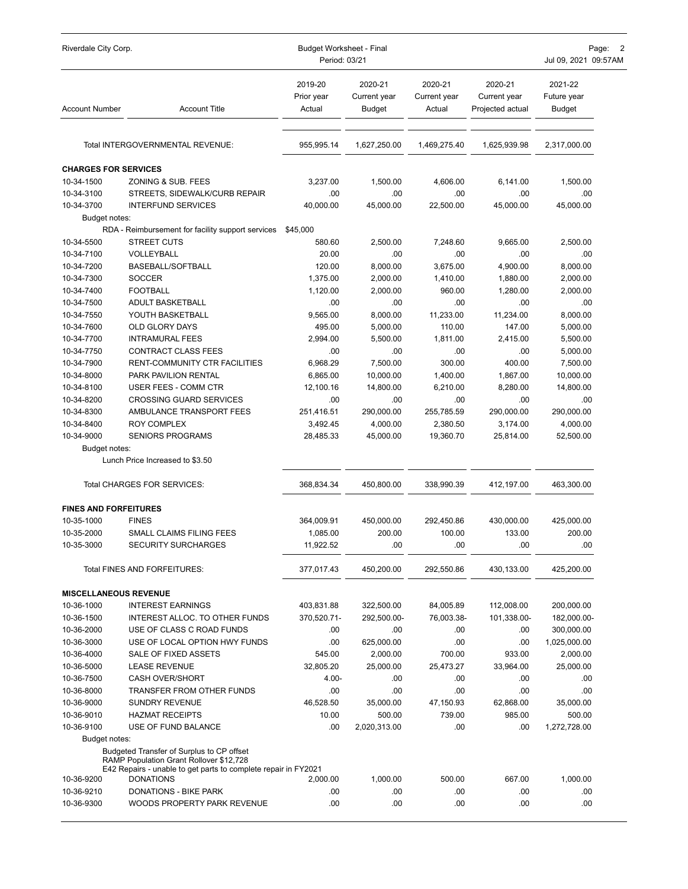| Riverdale City Corp.         |                                                                                    | <b>Budget Worksheet - Final</b><br>Period: 03/21 |                                   |                                   |                                             | Page:<br>2<br>Jul 09, 2021 09:57AM |  |
|------------------------------|------------------------------------------------------------------------------------|--------------------------------------------------|-----------------------------------|-----------------------------------|---------------------------------------------|------------------------------------|--|
| <b>Account Number</b>        | <b>Account Title</b>                                                               | 2019-20<br>Prior year<br>Actual                  | 2020-21<br>Current year<br>Budget | 2020-21<br>Current year<br>Actual | 2020-21<br>Current year<br>Projected actual | 2021-22<br>Future year<br>Budget   |  |
|                              | Total INTERGOVERNMENTAL REVENUE:                                                   | 955,995.14                                       | 1,627,250.00                      | 1,469,275.40                      | 1,625,939.98                                | 2,317,000.00                       |  |
| <b>CHARGES FOR SERVICES</b>  |                                                                                    |                                                  |                                   |                                   |                                             |                                    |  |
| 10-34-1500                   | ZONING & SUB. FEES                                                                 | 3,237.00                                         | 1,500.00                          | 4,606.00                          | 6,141.00                                    | 1,500.00                           |  |
| 10-34-3100                   | STREETS, SIDEWALK/CURB REPAIR                                                      | .00                                              | .00                               | .00                               | .00                                         | .00                                |  |
| 10-34-3700                   | <b>INTERFUND SERVICES</b>                                                          | 40,000.00                                        | 45,000.00                         | 22,500.00                         | 45,000.00                                   | 45,000.00                          |  |
| Budget notes:                |                                                                                    |                                                  |                                   |                                   |                                             |                                    |  |
|                              | RDA - Reimbursement for facility support services                                  | \$45,000                                         |                                   |                                   |                                             |                                    |  |
| 10-34-5500                   | STREET CUTS                                                                        | 580.60                                           | 2,500.00                          | 7,248.60                          | 9,665.00                                    | 2,500.00                           |  |
| 10-34-7100                   | VOLLEYBALL                                                                         | 20.00                                            | .00                               | .00                               | .00                                         | .00                                |  |
| 10-34-7200                   | BASEBALL/SOFTBALL                                                                  | 120.00                                           | 8,000.00                          | 3,675.00                          | 4,900.00                                    | 8,000.00                           |  |
| 10-34-7300                   | <b>SOCCER</b>                                                                      | 1,375.00                                         | 2,000.00                          | 1,410.00                          | 1,880.00                                    | 2,000.00                           |  |
| 10-34-7400                   | <b>FOOTBALL</b>                                                                    | 1,120.00                                         | 2,000.00                          | 960.00                            | 1,280.00                                    | 2,000.00                           |  |
| 10-34-7500                   | ADULT BASKETBALL                                                                   | .00                                              | .00                               | .00                               | .00                                         | .00                                |  |
| 10-34-7550                   | YOUTH BASKETBALL                                                                   | 9,565.00                                         | 8,000.00                          | 11,233.00                         | 11,234.00                                   | 8,000.00                           |  |
| 10-34-7600                   | <b>OLD GLORY DAYS</b><br><b>INTRAMURAL FEES</b>                                    | 495.00<br>2.994.00                               | 5,000.00                          | 110.00<br>1,811.00                | 147.00                                      | 5,000.00                           |  |
| 10-34-7700<br>10-34-7750     | CONTRACT CLASS FEES                                                                | .00                                              | 5,500.00<br>.00                   | .00                               | 2,415.00<br>.00                             | 5,500.00<br>5,000.00               |  |
| 10-34-7900                   | RENT-COMMUNITY CTR FACILITIES                                                      | 6,968.29                                         | 7,500.00                          | 300.00                            | 400.00                                      | 7,500.00                           |  |
| 10-34-8000                   | PARK PAVILION RENTAL                                                               | 6,865.00                                         | 10,000.00                         | 1,400.00                          | 1,867.00                                    | 10,000.00                          |  |
| 10-34-8100                   | USER FEES - COMM CTR                                                               | 12,100.16                                        | 14,800.00                         | 6,210.00                          | 8,280.00                                    | 14,800.00                          |  |
| 10-34-8200                   | <b>CROSSING GUARD SERVICES</b>                                                     | .00                                              | .00                               | .00                               | .00                                         | .00                                |  |
| 10-34-8300                   | AMBULANCE TRANSPORT FEES                                                           | 251,416.51                                       | 290,000.00                        | 255,785.59                        | 290,000.00                                  | 290,000.00                         |  |
| 10-34-8400                   | <b>ROY COMPLEX</b>                                                                 | 3,492.45                                         | 4,000.00                          | 2,380.50                          | 3,174.00                                    | 4,000.00                           |  |
| 10-34-9000                   | <b>SENIORS PROGRAMS</b>                                                            | 28,485.33                                        | 45,000.00                         | 19,360.70                         | 25,814.00                                   | 52,500.00                          |  |
| Budget notes:                |                                                                                    |                                                  |                                   |                                   |                                             |                                    |  |
|                              | Lunch Price Increased to \$3.50                                                    |                                                  |                                   |                                   |                                             |                                    |  |
|                              | Total CHARGES FOR SERVICES:                                                        | 368,834.34                                       | 450,800.00                        | 338,990.39                        | 412,197.00                                  | 463,300.00                         |  |
| <b>FINES AND FORFEITURES</b> |                                                                                    |                                                  |                                   |                                   |                                             |                                    |  |
| 10-35-1000                   | <b>FINES</b>                                                                       | 364,009.91                                       | 450,000.00                        | 292,450.86                        | 430,000.00                                  | 425,000.00                         |  |
| 10-35-2000                   | SMALL CLAIMS FILING FEES                                                           | 1,085.00                                         | 200.00                            | 100.00                            | 133.00                                      | 200.00                             |  |
| 10-35-3000                   | SECURITY SURCHARGES                                                                | 11,922.52                                        | $.00\,$                           | $.00\,$                           | .00                                         | .00                                |  |
|                              | Total FINES AND FORFEITURES:                                                       | 377,017.43                                       | 450,200.00                        | 292,550.86                        | 430,133.00                                  | 425,200.00                         |  |
| <b>MISCELLANEOUS REVENUE</b> |                                                                                    |                                                  |                                   |                                   |                                             |                                    |  |
| 10-36-1000                   | <b>INTEREST EARNINGS</b>                                                           | 403,831.88                                       | 322,500.00                        | 84,005.89                         | 112,008.00                                  | 200,000.00                         |  |
| 10-36-1500                   | INTEREST ALLOC. TO OTHER FUNDS                                                     | 370,520.71-                                      | 292,500.00-                       | 76,003.38-                        | 101,338.00-                                 | 182,000.00-                        |  |
| 10-36-2000                   | USE OF CLASS C ROAD FUNDS                                                          | .00                                              | .00                               | .00                               | .00                                         | 300,000.00                         |  |
| 10-36-3000                   | USE OF LOCAL OPTION HWY FUNDS                                                      | .00                                              | 625,000.00                        | .00                               | .00                                         | 1,025,000.00                       |  |
| 10-36-4000                   | SALE OF FIXED ASSETS                                                               | 545.00                                           | 2,000.00                          | 700.00                            | 933.00                                      | 2,000.00                           |  |
| 10-36-5000                   | <b>LEASE REVENUE</b>                                                               | 32,805.20                                        | 25,000.00                         | 25,473.27                         | 33,964.00                                   | 25,000.00                          |  |
| 10-36-7500                   | <b>CASH OVER/SHORT</b>                                                             | 4.00-                                            | .00                               | .00                               | .00.                                        | .00                                |  |
| 10-36-8000                   | TRANSFER FROM OTHER FUNDS                                                          | .00                                              | .00                               | .00                               | .00                                         | .00                                |  |
| 10-36-9000                   | <b>SUNDRY REVENUE</b>                                                              | 46,528.50                                        | 35,000.00                         | 47,150.93                         | 62,868.00                                   | 35,000.00                          |  |
| 10-36-9010                   | <b>HAZMAT RECEIPTS</b>                                                             | 10.00                                            | 500.00                            | 739.00                            | 985.00                                      | 500.00                             |  |
| 10-36-9100                   | USE OF FUND BALANCE                                                                | .00                                              | 2,020,313.00                      | .00                               | .00.                                        | 1,272,728.00                       |  |
| Budget notes:                | Budgeted Transfer of Surplus to CP offset                                          |                                                  |                                   |                                   |                                             |                                    |  |
|                              | RAMP Population Grant Rollover \$12,728                                            |                                                  |                                   |                                   |                                             |                                    |  |
| 10-36-9200                   | E42 Repairs - unable to get parts to complete repair in FY2021<br><b>DONATIONS</b> | 2,000.00                                         | 1,000.00                          | 500.00                            | 667.00                                      | 1,000.00                           |  |
| 10-36-9210                   | DONATIONS - BIKE PARK                                                              | .00                                              | .00                               | .00                               | .00                                         | .00                                |  |
| 10-36-9300                   | WOODS PROPERTY PARK REVENUE                                                        | .00                                              | .00.                              | .00                               | .00                                         | .00                                |  |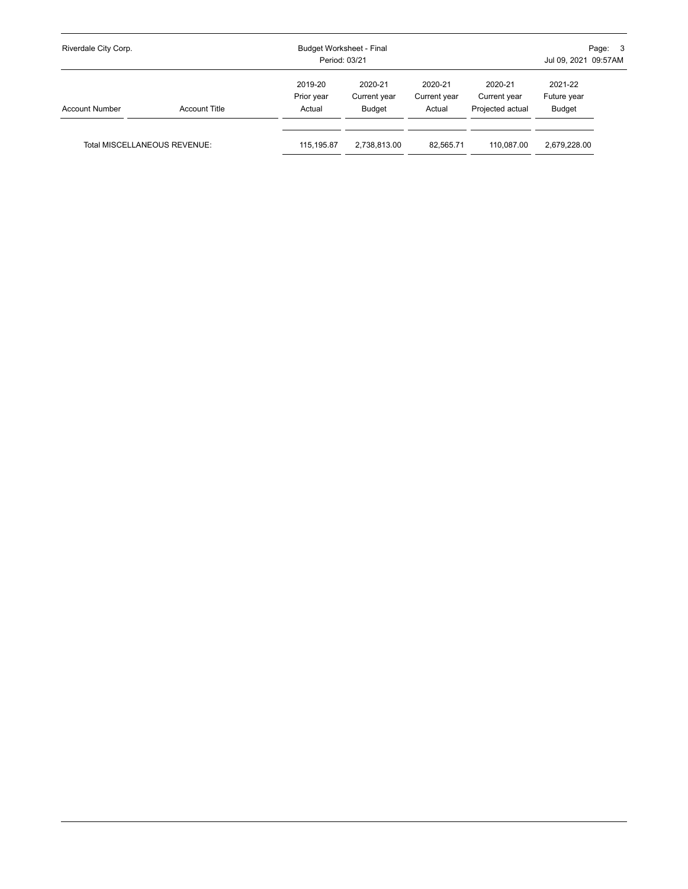| Riverdale City Corp.         |                      | Budget Worksheet - Final<br>Period: 03/21 |                                   |                                   | Page: 3<br>Jul 09, 2021 09:57AM             |                                  |  |
|------------------------------|----------------------|-------------------------------------------|-----------------------------------|-----------------------------------|---------------------------------------------|----------------------------------|--|
| <b>Account Number</b>        | <b>Account Title</b> | 2019-20<br>Prior year<br>Actual           | 2020-21<br>Current year<br>Budget | 2020-21<br>Current year<br>Actual | 2020-21<br>Current year<br>Projected actual | 2021-22<br>Future year<br>Budget |  |
| Total MISCELLANEOUS REVENUE: |                      | 115,195.87                                | 2,738,813.00                      | 82.565.71                         | 110.087.00                                  | 2,679,228.00                     |  |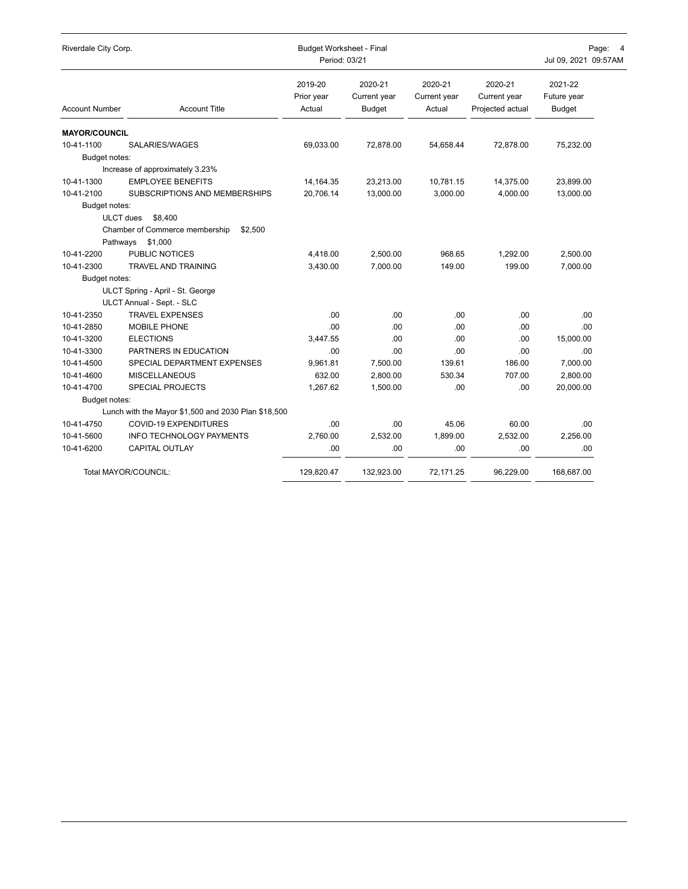| Riverdale City Corp.  |                                                     | <b>Budget Worksheet - Final</b><br>Period: 03/21 |                                          |                                   |                                             | Page:<br>$\overline{4}$<br>Jul 09, 2021 09:57AM |  |
|-----------------------|-----------------------------------------------------|--------------------------------------------------|------------------------------------------|-----------------------------------|---------------------------------------------|-------------------------------------------------|--|
| <b>Account Number</b> | <b>Account Title</b>                                | 2019-20<br>Prior year<br>Actual                  | 2020-21<br>Current year<br><b>Budget</b> | 2020-21<br>Current year<br>Actual | 2020-21<br>Current year<br>Projected actual | 2021-22<br>Future year<br><b>Budget</b>         |  |
| <b>MAYOR/COUNCIL</b>  |                                                     |                                                  |                                          |                                   |                                             |                                                 |  |
| 10-41-1100            | SALARIES/WAGES                                      | 69,033.00                                        | 72.878.00                                | 54.658.44                         | 72.878.00                                   | 75,232.00                                       |  |
| Budget notes:         |                                                     |                                                  |                                          |                                   |                                             |                                                 |  |
|                       | Increase of approximately 3.23%                     |                                                  |                                          |                                   |                                             |                                                 |  |
| 10-41-1300            | <b>EMPLOYEE BENEFITS</b>                            | 14, 164. 35                                      | 23,213.00                                | 10,781.15                         | 14,375.00                                   | 23,899.00                                       |  |
| 10-41-2100            | SUBSCRIPTIONS AND MEMBERSHIPS                       | 20,706.14                                        | 13,000.00                                | 3,000.00                          | 4,000.00                                    | 13,000.00                                       |  |
| Budget notes:         |                                                     |                                                  |                                          |                                   |                                             |                                                 |  |
| <b>ULCT</b> dues      | \$8.400                                             |                                                  |                                          |                                   |                                             |                                                 |  |
|                       | Chamber of Commerce membership<br>\$2,500           |                                                  |                                          |                                   |                                             |                                                 |  |
| Pathways              | \$1,000                                             |                                                  |                                          |                                   |                                             |                                                 |  |
| 10-41-2200            | PUBLIC NOTICES                                      | 4,418.00                                         | 2,500.00                                 | 968.65                            | 1,292.00                                    | 2,500.00                                        |  |
| 10-41-2300            | <b>TRAVEL AND TRAINING</b>                          | 3,430.00                                         | 7,000.00                                 | 149.00                            | 199.00                                      | 7,000.00                                        |  |
| Budget notes:         |                                                     |                                                  |                                          |                                   |                                             |                                                 |  |
|                       | ULCT Spring - April - St. George                    |                                                  |                                          |                                   |                                             |                                                 |  |
|                       | ULCT Annual - Sept. - SLC                           |                                                  |                                          |                                   |                                             |                                                 |  |
| 10-41-2350            | <b>TRAVEL EXPENSES</b>                              | .00                                              | .00                                      | .00                               | .00                                         | .00                                             |  |
| 10-41-2850            | MOBILE PHONE                                        | .00.                                             | .00                                      | .00                               | .00                                         | .00                                             |  |
| 10-41-3200            | <b>ELECTIONS</b>                                    | 3.447.55                                         | .00                                      | .00                               | .00                                         | 15,000.00                                       |  |
| 10-41-3300            | PARTNERS IN EDUCATION                               | .00                                              | .00                                      | .00.                              | .00                                         | .00                                             |  |
| 10-41-4500            | SPECIAL DEPARTMENT EXPENSES                         | 9,961.81                                         | 7,500.00                                 | 139.61                            | 186.00                                      | 7,000.00                                        |  |
| 10-41-4600            | <b>MISCELLANEOUS</b>                                | 632.00                                           | 2,800.00                                 | 530.34                            | 707.00                                      | 2,800.00                                        |  |
| 10-41-4700            | SPECIAL PROJECTS                                    | 1,267.62                                         | 1,500.00                                 | .00                               | .00                                         | 20,000.00                                       |  |
| Budget notes:         |                                                     |                                                  |                                          |                                   |                                             |                                                 |  |
|                       | Lunch with the Mayor \$1,500 and 2030 Plan \$18,500 |                                                  |                                          |                                   |                                             |                                                 |  |
| 10-41-4750            | <b>COVID-19 EXPENDITURES</b>                        | .00.                                             | .00                                      | 45.06                             | 60.00                                       | .00.                                            |  |
| 10-41-5600            | <b>INFO TECHNOLOGY PAYMENTS</b>                     | 2.760.00                                         | 2,532.00                                 | 1,899.00                          | 2,532.00                                    | 2.256.00                                        |  |
| 10-41-6200            | <b>CAPITAL OUTLAY</b>                               | .00                                              | .00                                      | .00                               | .00                                         | .00                                             |  |
|                       | Total MAYOR/COUNCIL:                                | 129,820.47                                       | 132,923.00                               | 72,171.25                         | 96,229.00                                   | 168,687.00                                      |  |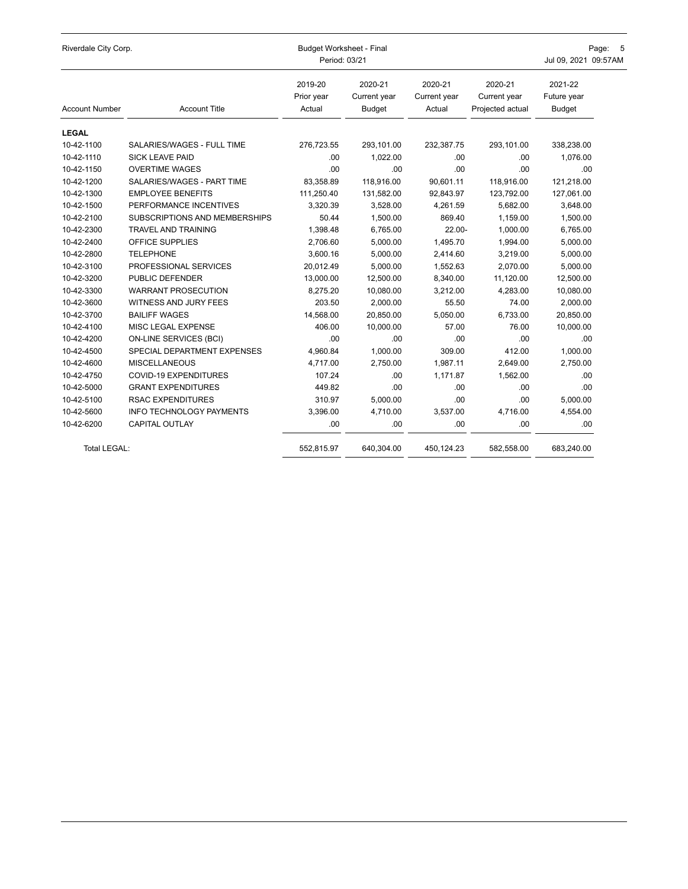| Riverdale City Corp.  |                                 | <b>Budget Worksheet - Final</b><br>Period: 03/21 | Page:<br>5<br>Jul 09, 2021 09:57AM       |                                   |                                             |                                         |
|-----------------------|---------------------------------|--------------------------------------------------|------------------------------------------|-----------------------------------|---------------------------------------------|-----------------------------------------|
| <b>Account Number</b> | <b>Account Title</b>            | 2019-20<br>Prior year<br>Actual                  | 2020-21<br>Current year<br><b>Budget</b> | 2020-21<br>Current year<br>Actual | 2020-21<br>Current year<br>Projected actual | 2021-22<br>Future year<br><b>Budget</b> |
| <b>LEGAL</b>          |                                 |                                                  |                                          |                                   |                                             |                                         |
| 10-42-1100            | SALARIES/WAGES - FULL TIME      | 276,723.55                                       | 293,101.00                               | 232,387.75                        | 293,101.00                                  | 338,238.00                              |
| 10-42-1110            | <b>SICK LEAVE PAID</b>          | .00                                              | 1.022.00                                 | .00.                              | .00                                         | 1.076.00                                |
| 10-42-1150            | <b>OVERTIME WAGES</b>           | .00                                              | 00.                                      | .00.                              | .00                                         | .00                                     |
| 10-42-1200            | SALARIES/WAGES - PART TIME      | 83,358.89                                        | 118,916.00                               | 90,601.11                         | 118,916.00                                  | 121,218.00                              |
| 10-42-1300            | <b>EMPLOYEE BENEFITS</b>        | 111,250.40                                       | 131,582.00                               | 92,843.97                         | 123,792.00                                  | 127,061.00                              |
| 10-42-1500            | PERFORMANCE INCENTIVES          | 3,320.39                                         | 3,528.00                                 | 4,261.59                          | 5,682.00                                    | 3,648.00                                |
| 10-42-2100            | SUBSCRIPTIONS AND MEMBERSHIPS   | 50.44                                            | 1,500.00                                 | 869.40                            | 1,159.00                                    | 1,500.00                                |
| 10-42-2300            | <b>TRAVEL AND TRAINING</b>      | 1,398.48                                         | 6,765.00                                 | $22.00 -$                         | 1,000.00                                    | 6,765.00                                |
| 10-42-2400            | OFFICE SUPPLIES                 | 2,706.60                                         | 5,000.00                                 | 1,495.70                          | 1,994.00                                    | 5,000.00                                |
| 10-42-2800            | <b>TELEPHONE</b>                | 3,600.16                                         | 5,000.00                                 | 2,414.60                          | 3,219.00                                    | 5,000.00                                |
| 10-42-3100            | PROFESSIONAL SERVICES           | 20,012.49                                        | 5,000.00                                 | 1,552.63                          | 2.070.00                                    | 5,000.00                                |
| 10-42-3200            | PUBLIC DEFENDER                 | 13,000.00                                        | 12,500.00                                | 8,340.00                          | 11,120.00                                   | 12,500.00                               |
| 10-42-3300            | <b>WARRANT PROSECUTION</b>      | 8,275.20                                         | 10,080.00                                | 3,212.00                          | 4,283.00                                    | 10,080.00                               |
| 10-42-3600            | WITNESS AND JURY FEES           | 203.50                                           | 2,000.00                                 | 55.50                             | 74.00                                       | 2,000.00                                |
| 10-42-3700            | <b>BAILIFF WAGES</b>            | 14,568.00                                        | 20,850.00                                | 5,050.00                          | 6,733.00                                    | 20,850.00                               |
| 10-42-4100            | MISC LEGAL EXPENSE              | 406.00                                           | 10,000.00                                | 57.00                             | 76.00                                       | 10,000.00                               |
| 10-42-4200            | <b>ON-LINE SERVICES (BCI)</b>   | .00                                              | .00.                                     | .00.                              | .00                                         | .00                                     |
| 10-42-4500            | SPECIAL DEPARTMENT EXPENSES     | 4,960.84                                         | 1,000.00                                 | 309.00                            | 412.00                                      | 1,000.00                                |
| 10-42-4600            | <b>MISCELLANEOUS</b>            | 4,717.00                                         | 2,750.00                                 | 1,987.11                          | 2,649.00                                    | 2,750.00                                |
| 10-42-4750            | COVID-19 EXPENDITURES           | 107.24                                           | .00                                      | 1,171.87                          | 1,562.00                                    | .00                                     |
| 10-42-5000            | <b>GRANT EXPENDITURES</b>       | 449.82                                           | .00                                      | .00                               | .00                                         | .00                                     |
| 10-42-5100            | <b>RSAC EXPENDITURES</b>        | 310.97                                           | 5,000.00                                 | .00.                              | .00                                         | 5,000.00                                |
| 10-42-5600            | <b>INFO TECHNOLOGY PAYMENTS</b> | 3,396.00                                         | 4,710.00                                 | 3,537.00                          | 4,716.00                                    | 4,554.00                                |
| 10-42-6200            | CAPITAL OUTLAY                  | .00                                              | .00                                      | .00                               | .00                                         | .00                                     |
| Total LEGAL:          |                                 | 552,815.97                                       | 640,304.00                               | 450,124.23                        | 582,558.00                                  | 683,240.00                              |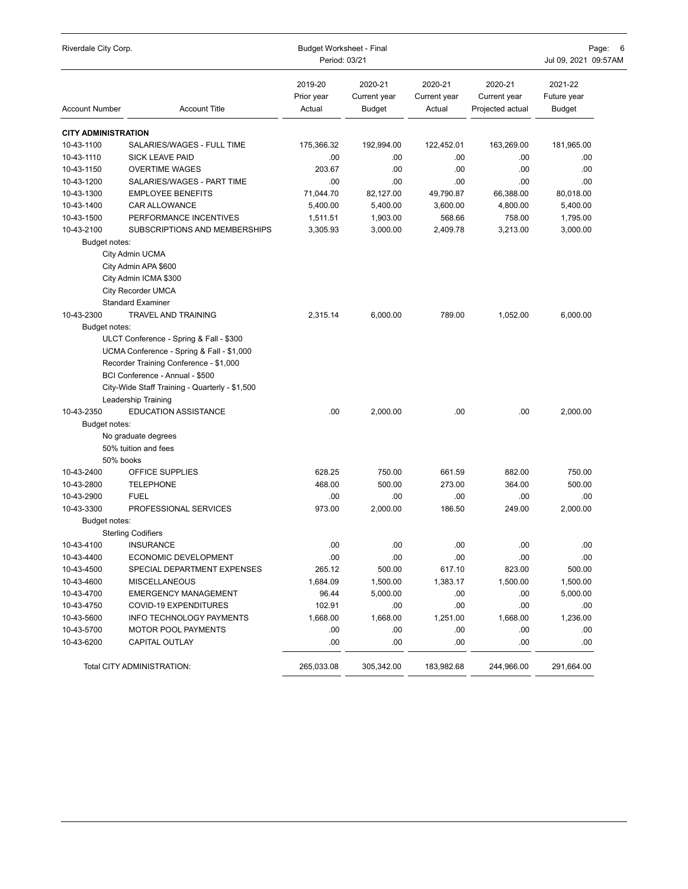| Riverdale City Corp.       |                                                | <b>Budget Worksheet - Final</b> | Page:<br>-6                              |                                   |                                             |                                  |  |
|----------------------------|------------------------------------------------|---------------------------------|------------------------------------------|-----------------------------------|---------------------------------------------|----------------------------------|--|
|                            |                                                | Period: 03/21                   |                                          |                                   |                                             | Jul 09, 2021 09:57AM             |  |
| <b>Account Number</b>      | <b>Account Title</b>                           | 2019-20<br>Prior year<br>Actual | 2020-21<br>Current year<br><b>Budget</b> | 2020-21<br>Current year<br>Actual | 2020-21<br>Current year<br>Projected actual | 2021-22<br>Future year<br>Budget |  |
| <b>CITY ADMINISTRATION</b> |                                                |                                 |                                          |                                   |                                             |                                  |  |
| 10-43-1100                 | SALARIES/WAGES - FULL TIME                     | 175,366.32                      | 192,994.00                               | 122,452.01                        | 163,269.00                                  | 181,965.00                       |  |
| 10-43-1110                 | <b>SICK LEAVE PAID</b>                         | .00                             | .00.                                     | .00.                              | .00                                         | .00                              |  |
| 10-43-1150                 | <b>OVERTIME WAGES</b>                          | 203.67                          | .00                                      | .00                               | .00                                         | .00                              |  |
| 10-43-1200                 | SALARIES/WAGES - PART TIME                     | .00                             | .00.                                     | .00                               | .00                                         | .00                              |  |
| 10-43-1300                 | <b>EMPLOYEE BENEFITS</b>                       | 71,044.70                       | 82,127.00                                | 49,790.87                         | 66,388.00                                   | 80,018.00                        |  |
| 10-43-1400                 | <b>CAR ALLOWANCE</b>                           | 5,400.00                        | 5,400.00                                 | 3,600.00                          | 4,800.00                                    | 5,400.00                         |  |
| 10-43-1500                 | PERFORMANCE INCENTIVES                         | 1,511.51                        | 1,903.00                                 | 568.66                            | 758.00                                      | 1,795.00                         |  |
| 10-43-2100                 | SUBSCRIPTIONS AND MEMBERSHIPS                  | 3,305.93                        | 3,000.00                                 | 2,409.78                          | 3,213.00                                    | 3,000.00                         |  |
| Budget notes:              |                                                |                                 |                                          |                                   |                                             |                                  |  |
|                            | City Admin UCMA                                |                                 |                                          |                                   |                                             |                                  |  |
|                            | City Admin APA \$600                           |                                 |                                          |                                   |                                             |                                  |  |
|                            | City Admin ICMA \$300                          |                                 |                                          |                                   |                                             |                                  |  |
|                            | <b>City Recorder UMCA</b>                      |                                 |                                          |                                   |                                             |                                  |  |
|                            | <b>Standard Examiner</b>                       |                                 |                                          |                                   |                                             |                                  |  |
| 10-43-2300                 | <b>TRAVEL AND TRAINING</b>                     | 2,315.14                        | 6,000.00                                 | 789.00                            | 1,052.00                                    | 6,000.00                         |  |
| Budget notes:              |                                                |                                 |                                          |                                   |                                             |                                  |  |
|                            | ULCT Conference - Spring & Fall - \$300        |                                 |                                          |                                   |                                             |                                  |  |
|                            | UCMA Conference - Spring & Fall - \$1,000      |                                 |                                          |                                   |                                             |                                  |  |
|                            | Recorder Training Conference - \$1,000         |                                 |                                          |                                   |                                             |                                  |  |
|                            | BCI Conference - Annual - \$500                |                                 |                                          |                                   |                                             |                                  |  |
|                            | City-Wide Staff Training - Quarterly - \$1,500 |                                 |                                          |                                   |                                             |                                  |  |
|                            | <b>Leadership Training</b>                     |                                 |                                          |                                   |                                             |                                  |  |
| 10-43-2350                 | <b>EDUCATION ASSISTANCE</b>                    | .00                             | 2,000.00                                 | .00                               | .00                                         | 2,000.00                         |  |
| Budget notes:              |                                                |                                 |                                          |                                   |                                             |                                  |  |
|                            | No graduate degrees                            |                                 |                                          |                                   |                                             |                                  |  |
|                            | 50% tuition and fees                           |                                 |                                          |                                   |                                             |                                  |  |
|                            | 50% books                                      |                                 |                                          |                                   |                                             |                                  |  |
| 10-43-2400                 | OFFICE SUPPLIES                                | 628.25                          | 750.00                                   | 661.59                            | 882.00                                      | 750.00                           |  |
| 10-43-2800                 | <b>TELEPHONE</b>                               | 468.00                          | 500.00                                   | 273.00                            | 364.00                                      | 500.00                           |  |
| 10-43-2900                 | <b>FUEL</b>                                    | .00                             | .00.                                     | .00.                              | .00                                         | .00                              |  |
| 10-43-3300                 | PROFESSIONAL SERVICES                          | 973.00                          | 2,000.00                                 | 186.50                            | 249.00                                      | 2,000.00                         |  |
| Budget notes:              |                                                |                                 |                                          |                                   |                                             |                                  |  |
|                            | <b>Sterling Codifiers</b>                      |                                 |                                          |                                   |                                             |                                  |  |
| 10-43-4100                 | <b>INSURANCE</b>                               | .00                             | .00                                      | .00                               | .00                                         | .00                              |  |
| 10-43-4400                 | ECONOMIC DEVELOPMENT                           | .00                             | .00                                      | .00                               | .00                                         | .00                              |  |
| 10-43-4500                 | SPECIAL DEPARTMENT EXPENSES                    | 265.12                          | 500.00                                   | 617.10                            | 823.00                                      | 500.00                           |  |
| 10-43-4600                 | <b>MISCELLANEOUS</b>                           | 1,684.09                        | 1,500.00                                 | 1,383.17                          | 1,500.00                                    | 1,500.00                         |  |
| 10-43-4700                 | <b>EMERGENCY MANAGEMENT</b>                    | 96.44                           | 5,000.00                                 | .00                               | .00                                         | 5,000.00                         |  |
| 10-43-4750                 | COVID-19 EXPENDITURES                          | 102.91                          | .00                                      | .00                               | .00                                         | .00                              |  |
| 10-43-5600                 | <b>INFO TECHNOLOGY PAYMENTS</b>                | 1,668.00                        | 1,668.00                                 | 1,251.00                          | 1,668.00                                    | 1,236.00                         |  |
| 10-43-5700                 | MOTOR POOL PAYMENTS                            | .00                             | .00                                      | .00                               | .00                                         | .00                              |  |
| 10-43-6200                 | <b>CAPITAL OUTLAY</b>                          | .00                             | .00                                      | .00                               | .00                                         | .00                              |  |
|                            | Total CITY ADMINISTRATION:                     | 265,033.08                      | 305,342.00                               | 183,982.68                        | 244,966.00                                  | 291,664.00                       |  |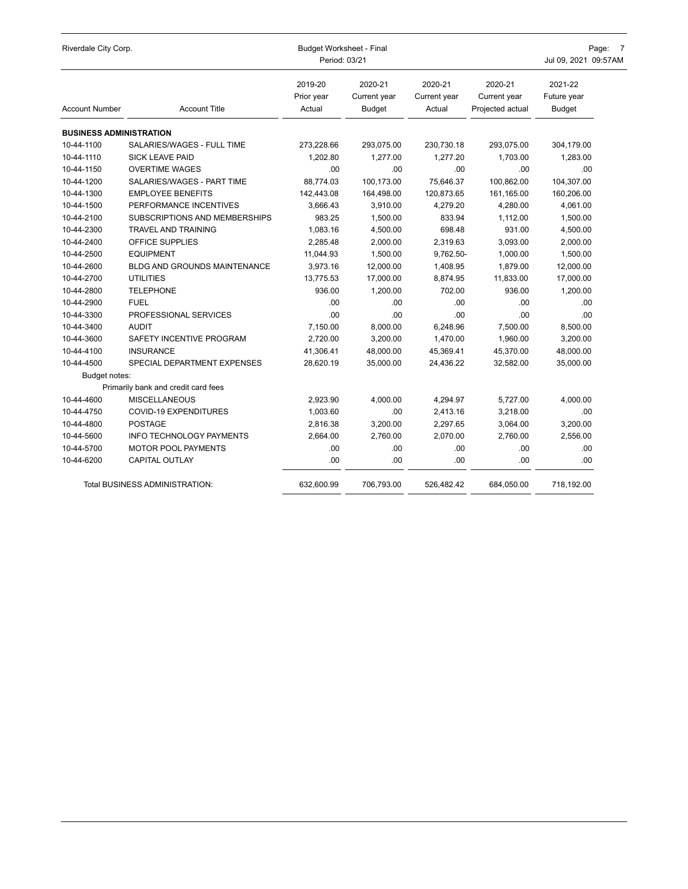| Riverdale City Corp.           |                                     | <b>Budget Worksheet - Final</b><br>Period: 03/21 |                                          | Page: 7<br>Jul 09, 2021 09:57AM   |                                             |                                         |
|--------------------------------|-------------------------------------|--------------------------------------------------|------------------------------------------|-----------------------------------|---------------------------------------------|-----------------------------------------|
| <b>Account Number</b>          | <b>Account Title</b>                | 2019-20<br>Prior year<br>Actual                  | 2020-21<br>Current year<br><b>Budget</b> | 2020-21<br>Current year<br>Actual | 2020-21<br>Current year<br>Projected actual | 2021-22<br>Future year<br><b>Budget</b> |
| <b>BUSINESS ADMINISTRATION</b> |                                     |                                                  |                                          |                                   |                                             |                                         |
| 10-44-1100                     | SALARIES/WAGES - FULL TIME          | 273,228.66                                       | 293,075.00                               | 230,730.18                        | 293,075.00                                  | 304,179.00                              |
| 10-44-1110                     | <b>SICK LEAVE PAID</b>              | 1,202.80                                         | 1,277.00                                 | 1,277.20                          | 1,703.00                                    | 1,283.00                                |
| 10-44-1150                     | <b>OVERTIME WAGES</b>               | .00.                                             | .00                                      | .00                               | .00                                         | .00                                     |
| 10-44-1200                     | SALARIES/WAGES - PART TIME          | 88,774.03                                        | 100,173.00                               | 75,646.37                         | 100,862.00                                  | 104,307.00                              |
| 10-44-1300                     | <b>EMPLOYEE BENEFITS</b>            | 142.443.08                                       | 164,498.00                               | 120,873.65                        | 161,165.00                                  | 160,206.00                              |
| 10-44-1500                     | PERFORMANCE INCENTIVES              | 3.666.43                                         | 3,910.00                                 | 4.279.20                          | 4.280.00                                    | 4,061.00                                |
| 10-44-2100                     | SUBSCRIPTIONS AND MEMBERSHIPS       | 983.25                                           | 1,500.00                                 | 833.94                            | 1,112.00                                    | 1,500.00                                |
| 10-44-2300                     | <b>TRAVEL AND TRAINING</b>          | 1,083.16                                         | 4,500.00                                 | 698.48                            | 931.00                                      | 4,500.00                                |
| 10-44-2400                     | OFFICE SUPPLIES                     | 2.285.48                                         | 2,000.00                                 | 2,319.63                          | 3,093.00                                    | 2,000.00                                |
| 10-44-2500                     | <b>EQUIPMENT</b>                    | 11,044.93                                        | 1,500.00                                 | 9,762.50-                         | 1,000.00                                    | 1,500.00                                |
| 10-44-2600                     | <b>BLDG AND GROUNDS MAINTENANCE</b> | 3,973.16                                         | 12,000.00                                | 1,408.95                          | 1,879.00                                    | 12,000.00                               |
| 10-44-2700                     | <b>UTILITIES</b>                    | 13,775.53                                        | 17,000.00                                | 8,874.95                          | 11,833.00                                   | 17,000.00                               |
| 10-44-2800                     | <b>TELEPHONE</b>                    | 936.00                                           | 1.200.00                                 | 702.00                            | 936.00                                      | 1,200.00                                |
| 10-44-2900                     | <b>FUEL</b>                         | .00.                                             | .00                                      | .00                               | .00                                         | .00.                                    |
| 10-44-3300                     | PROFESSIONAL SERVICES               | .00.                                             | .00                                      | .00                               | .00                                         | .00                                     |
| 10-44-3400                     | <b>AUDIT</b>                        | 7,150.00                                         | 8,000.00                                 | 6,248.96                          | 7,500.00                                    | 8,500.00                                |
| 10-44-3600                     | SAFETY INCENTIVE PROGRAM            | 2,720.00                                         | 3,200.00                                 | 1,470.00                          | 1,960.00                                    | 3,200.00                                |
| 10-44-4100                     | <b>INSURANCE</b>                    | 41,306.41                                        | 48,000.00                                | 45,369.41                         | 45,370.00                                   | 48,000.00                               |
| 10-44-4500                     | SPECIAL DEPARTMENT EXPENSES         | 28,620.19                                        | 35,000.00                                | 24,436.22                         | 32,582.00                                   | 35,000.00                               |
| Budget notes:                  |                                     |                                                  |                                          |                                   |                                             |                                         |
|                                | Primarily bank and credit card fees |                                                  |                                          |                                   |                                             |                                         |
| 10-44-4600                     | <b>MISCELLANEOUS</b>                | 2,923.90                                         | 4,000.00                                 | 4,294.97                          | 5,727.00                                    | 4,000.00                                |
| 10-44-4750                     | COVID-19 EXPENDITURES               | 1,003.60                                         | .00                                      | 2,413.16                          | 3,218.00                                    | .00                                     |
| 10-44-4800                     | <b>POSTAGE</b>                      | 2,816.38                                         | 3,200.00                                 | 2,297.65                          | 3,064.00                                    | 3,200.00                                |
| 10-44-5600                     | <b>INFO TECHNOLOGY PAYMENTS</b>     | 2.664.00                                         | 2.760.00                                 | 2.070.00                          | 2.760.00                                    | 2.556.00                                |
| 10-44-5700                     | <b>MOTOR POOL PAYMENTS</b>          | .00                                              | .00                                      | .00                               | .00                                         | .00                                     |
| 10-44-6200                     | CAPITAL OUTLAY                      | .00                                              | .00                                      | .00                               | .00                                         | .00                                     |
|                                | Total BUSINESS ADMINISTRATION:      | 632,600.99                                       | 706,793.00                               | 526,482.42                        | 684,050.00                                  | 718,192.00                              |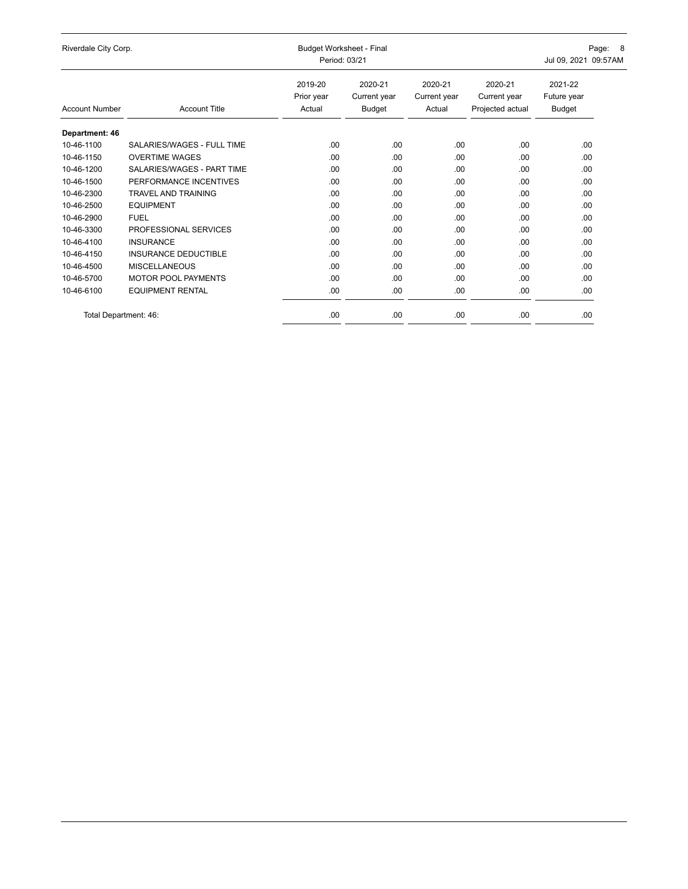| Riverdale City Corp.  |                             | <b>Budget Worksheet - Final</b><br>Period: 03/21 | Page: 8<br>Jul 09, 2021 09:57AM          |                                   |                                             |                                  |
|-----------------------|-----------------------------|--------------------------------------------------|------------------------------------------|-----------------------------------|---------------------------------------------|----------------------------------|
| <b>Account Number</b> | <b>Account Title</b>        | 2019-20<br>Prior year<br>Actual                  | 2020-21<br>Current year<br><b>Budget</b> | 2020-21<br>Current year<br>Actual | 2020-21<br>Current year<br>Projected actual | 2021-22<br>Future year<br>Budget |
| Department: 46        |                             |                                                  |                                          |                                   |                                             |                                  |
| 10-46-1100            | SALARIES/WAGES - FULL TIME  | .00                                              | .00                                      | .00                               | .00                                         | .00                              |
| 10-46-1150            | <b>OVERTIME WAGES</b>       | .00                                              | .00                                      | .00                               | .00                                         | .00                              |
| 10-46-1200            | SALARIES/WAGES - PART TIME  | .00                                              | .00                                      | .00                               | .00.                                        | .00                              |
| 10-46-1500            | PERFORMANCE INCENTIVES      | .00                                              | .00                                      | .00                               | .00                                         | .00.                             |
| 10-46-2300            | <b>TRAVEL AND TRAINING</b>  | .00                                              | .00                                      | .00                               | .00                                         | .00.                             |
| 10-46-2500            | <b>EQUIPMENT</b>            | .00                                              | .00                                      | .00                               | .00                                         | .00                              |
| 10-46-2900            | <b>FUEL</b>                 | .00                                              | .00                                      | .00.                              | .00                                         | .00.                             |
| 10-46-3300            | PROFESSIONAL SERVICES       | .00                                              | .00                                      | .00.                              | .00.                                        | .00                              |
| 10-46-4100            | <b>INSURANCE</b>            | .00                                              | .00                                      | .00.                              | .00.                                        | .00                              |
| 10-46-4150            | <b>INSURANCE DEDUCTIBLE</b> | .00.                                             | .00                                      | .00.                              | .00.                                        | .00.                             |
| 10-46-4500            | <b>MISCELLANEOUS</b>        | .00                                              | .00                                      | .00                               | .00.                                        | .00                              |
| 10-46-5700            | <b>MOTOR POOL PAYMENTS</b>  | .00.                                             | .00                                      | .00.                              | .00.                                        | .00.                             |
| 10-46-6100            | <b>EQUIPMENT RENTAL</b>     | .00                                              | .00                                      | .00                               | .00.                                        | .00.                             |
| Total Department: 46: |                             | .00.                                             | .00                                      | .00                               | .00.                                        | .00                              |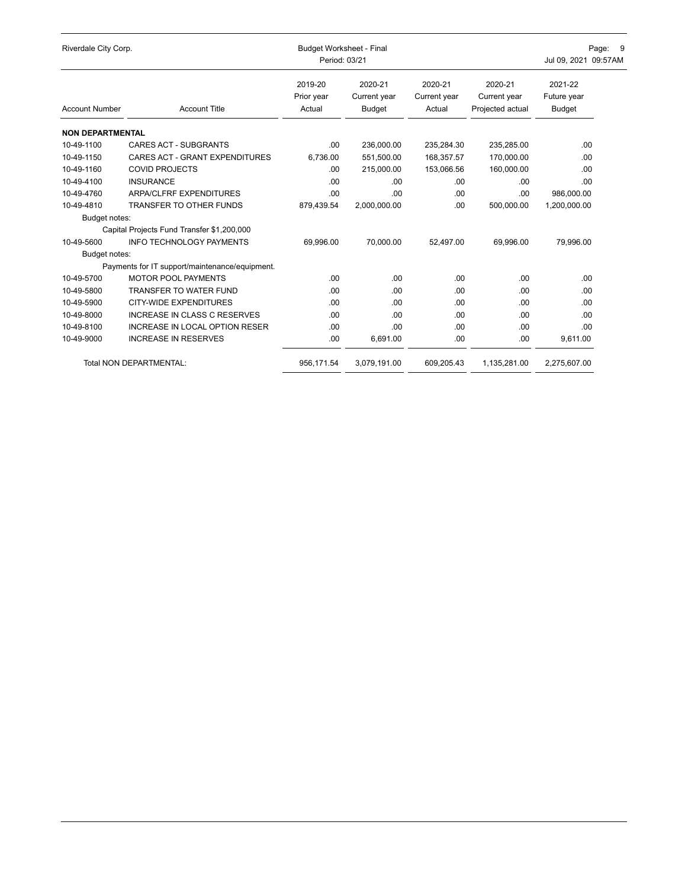| Riverdale City Corp.    |                                                | <b>Budget Worksheet - Final</b><br>Period: 03/21 | Page: 9<br>Jul 09, 2021 09:57AM          |                                   |                                             |                                         |
|-------------------------|------------------------------------------------|--------------------------------------------------|------------------------------------------|-----------------------------------|---------------------------------------------|-----------------------------------------|
| <b>Account Number</b>   | <b>Account Title</b>                           | 2019-20<br>Prior year<br>Actual                  | 2020-21<br>Current year<br><b>Budget</b> | 2020-21<br>Current year<br>Actual | 2020-21<br>Current year<br>Projected actual | 2021-22<br>Future year<br><b>Budget</b> |
| <b>NON DEPARTMENTAL</b> |                                                |                                                  |                                          |                                   |                                             |                                         |
| 10-49-1100              | <b>CARES ACT - SUBGRANTS</b>                   | .00.                                             | 236,000.00                               | 235,284.30                        | 235,285.00                                  | .00                                     |
| 10-49-1150              | CARES ACT - GRANT EXPENDITURES                 | 6,736.00                                         | 551,500.00                               | 168,357.57                        | 170,000.00                                  | .00                                     |
| 10-49-1160              | <b>COVID PROJECTS</b>                          | .00.                                             | 215,000.00                               | 153,066.56                        | 160,000.00                                  | .00                                     |
| 10-49-4100              | <b>INSURANCE</b>                               | .00                                              | .00.                                     | .00.                              | .00                                         | .00                                     |
| 10-49-4760              | ARPA/CLFRF EXPENDITURES                        | .00.                                             | .00                                      | .00                               | .00                                         | 986,000.00                              |
| 10-49-4810              | <b>TRANSFER TO OTHER FUNDS</b>                 | 879,439.54                                       | 2,000,000.00                             | .00.                              | 500,000.00                                  | 1,200,000.00                            |
| Budget notes:           |                                                |                                                  |                                          |                                   |                                             |                                         |
|                         | Capital Projects Fund Transfer \$1,200,000     |                                                  |                                          |                                   |                                             |                                         |
| 10-49-5600              | <b>INFO TECHNOLOGY PAYMENTS</b>                | 69,996.00                                        | 70,000.00                                | 52.497.00                         | 69,996.00                                   | 79,996.00                               |
| Budget notes:           |                                                |                                                  |                                          |                                   |                                             |                                         |
|                         | Payments for IT support/maintenance/equipment. |                                                  |                                          |                                   |                                             |                                         |
| 10-49-5700              | <b>MOTOR POOL PAYMENTS</b>                     | .00.                                             | .00                                      | .00.                              | .00                                         | .00                                     |
| 10-49-5800              | <b>TRANSFER TO WATER FUND</b>                  | .00.                                             | .00                                      | .00                               | .00                                         | .00                                     |
| 10-49-5900              | <b>CITY-WIDE EXPENDITURES</b>                  | .00.                                             | .00                                      | .00.                              | .00                                         | .00                                     |
| 10-49-8000              | <b>INCREASE IN CLASS C RESERVES</b>            | .00                                              | .00                                      | .00                               | .00                                         | .00                                     |
| 10-49-8100              | <b>INCREASE IN LOCAL OPTION RESER</b>          | .00                                              | .00                                      | .00.                              | .00                                         | .00                                     |
| 10-49-9000              | <b>INCREASE IN RESERVES</b>                    | .00.                                             | 6,691.00                                 | .00.                              | .00                                         | 9,611.00                                |
|                         | Total NON DEPARTMENTAL:                        | 956,171.54                                       | 3,079,191.00                             | 609,205.43                        | 1,135,281.00                                | 2,275,607.00                            |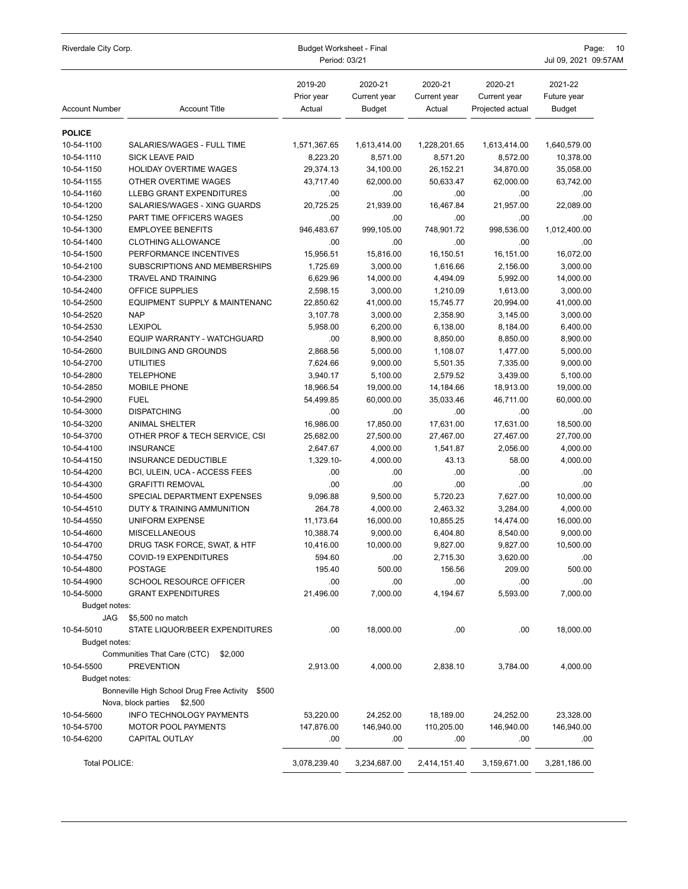| Riverdale City Corp.     |                                                                                   | Budget Worksheet - Final<br>Period: 03/21 |                                          |                                   |                                             | Page:<br>10<br>Jul 09, 2021 09:57AM     |  |
|--------------------------|-----------------------------------------------------------------------------------|-------------------------------------------|------------------------------------------|-----------------------------------|---------------------------------------------|-----------------------------------------|--|
| <b>Account Number</b>    | <b>Account Title</b>                                                              | 2019-20<br>Prior year<br>Actual           | 2020-21<br>Current year<br><b>Budget</b> | 2020-21<br>Current year<br>Actual | 2020-21<br>Current year<br>Projected actual | 2021-22<br>Future year<br><b>Budget</b> |  |
| <b>POLICE</b>            |                                                                                   |                                           |                                          |                                   |                                             |                                         |  |
| 10-54-1100               | SALARIES/WAGES - FULL TIME                                                        | 1,571,367.65                              | 1,613,414.00                             | 1,228,201.65                      | 1,613,414.00                                | 1,640,579.00                            |  |
| 10-54-1110               | <b>SICK LEAVE PAID</b>                                                            | 8,223.20                                  | 8,571.00                                 | 8,571.20                          | 8,572.00                                    | 10,378.00                               |  |
| 10-54-1150               | HOLIDAY OVERTIME WAGES                                                            | 29,374.13                                 | 34,100.00                                | 26,152.21                         | 34,870.00                                   | 35,058.00                               |  |
| 10-54-1155               | OTHER OVERTIME WAGES                                                              | 43,717.40                                 | 62,000.00                                | 50,633.47                         | 62,000.00                                   | 63,742.00                               |  |
| 10-54-1160               | LLEBG GRANT EXPENDITURES                                                          | .00                                       | .00                                      | .00.                              | .00.                                        | .00                                     |  |
| 10-54-1200               | SALARIES/WAGES - XING GUARDS                                                      | 20,725.25                                 | 21,939.00                                | 16,467.84                         | 21,957.00                                   | 22,089.00                               |  |
| 10-54-1250               | PART TIME OFFICERS WAGES                                                          | .00                                       | .00                                      | .00.                              | .00                                         | .00                                     |  |
| 10-54-1300               | <b>EMPLOYEE BENEFITS</b>                                                          | 946,483.67                                | 999,105.00                               | 748,901.72                        | 998,536.00                                  | 1,012,400.00                            |  |
| 10-54-1400               | <b>CLOTHING ALLOWANCE</b>                                                         | .00                                       | .00                                      | .00.                              | .00.                                        | .00                                     |  |
| 10-54-1500               | PERFORMANCE INCENTIVES                                                            | 15,956.51                                 | 15,816.00                                | 16,150.51                         | 16,151.00                                   | 16,072.00                               |  |
| 10-54-2100               | SUBSCRIPTIONS AND MEMBERSHIPS                                                     | 1,725.69                                  | 3,000.00                                 | 1,616.66                          | 2,156.00                                    | 3,000.00                                |  |
| 10-54-2300               | TRAVEL AND TRAINING                                                               | 6,629.96                                  | 14,000.00                                | 4,494.09                          | 5,992.00                                    | 14,000.00                               |  |
| 10-54-2400               | OFFICE SUPPLIES                                                                   | 2,598.15                                  | 3,000.00                                 | 1,210.09                          | 1,613.00                                    | 3,000.00                                |  |
| 10-54-2500               | EQUIPMENT SUPPLY & MAINTENANC                                                     | 22,850.62                                 | 41,000.00                                | 15,745.77                         | 20,994.00                                   | 41,000.00                               |  |
| 10-54-2520               | <b>NAP</b>                                                                        | 3,107.78                                  | 3,000.00                                 | 2,358.90                          | 3,145.00                                    | 3,000.00                                |  |
| 10-54-2530               | <b>LEXIPOL</b>                                                                    | 5,958.00                                  | 6,200.00                                 | 6,138.00                          | 8,184.00                                    | 6,400.00                                |  |
| 10-54-2540               | EQUIP WARRANTY - WATCHGUARD                                                       | .00                                       | 8,900.00                                 | 8,850.00                          | 8,850.00                                    | 8,900.00                                |  |
| 10-54-2600               | <b>BUILDING AND GROUNDS</b>                                                       | 2,868.56                                  | 5,000.00                                 | 1,108.07                          | 1,477.00                                    | 5,000.00                                |  |
| 10-54-2700               | <b>UTILITIES</b><br><b>TELEPHONE</b>                                              | 7,624.66                                  | 9,000.00                                 | 5,501.35                          | 7,335.00                                    | 9,000.00                                |  |
| 10-54-2800<br>10-54-2850 | MOBILE PHONE                                                                      | 3,940.17<br>18,966.54                     | 5,100.00<br>19,000.00                    | 2,579.52<br>14,184.66             | 3,439.00<br>18,913.00                       | 5,100.00<br>19,000.00                   |  |
| 10-54-2900               | <b>FUEL</b>                                                                       | 54,499.85                                 | 60,000.00                                | 35,033.46                         | 46,711.00                                   | 60,000.00                               |  |
| 10-54-3000               | <b>DISPATCHING</b>                                                                | .00                                       | .00                                      | .00                               | .00                                         | .00                                     |  |
| 10-54-3200               | <b>ANIMAL SHELTER</b>                                                             | 16,986.00                                 | 17,850.00                                | 17,631.00                         | 17,631.00                                   | 18,500.00                               |  |
| 10-54-3700               | OTHER PROF & TECH SERVICE, CSI                                                    | 25,682.00                                 | 27,500.00                                | 27,467.00                         | 27,467.00                                   | 27,700.00                               |  |
| 10-54-4100               | <b>INSURANCE</b>                                                                  | 2,647.67                                  | 4,000.00                                 | 1,541.87                          | 2,056.00                                    | 4,000.00                                |  |
| 10-54-4150               | <b>INSURANCE DEDUCTIBLE</b>                                                       | 1,329.10-                                 | 4,000.00                                 | 43.13                             | 58.00                                       | 4,000.00                                |  |
| 10-54-4200               | BCI, ULEIN, UCA - ACCESS FEES                                                     | .00                                       | .00                                      | .00                               | .00                                         | .00                                     |  |
| 10-54-4300               | <b>GRAFITTI REMOVAL</b>                                                           | .00                                       | .00                                      | .00                               | .00                                         | .00                                     |  |
| 10-54-4500               | SPECIAL DEPARTMENT EXPENSES                                                       | 9,096.88                                  | 9,500.00                                 | 5,720.23                          | 7,627.00                                    | 10,000.00                               |  |
| 10-54-4510               | DUTY & TRAINING AMMUNITION                                                        | 264.78                                    | 4,000.00                                 | 2,463.32                          | 3,284.00                                    | 4,000.00                                |  |
| 10-54-4550               | <b>UNIFORM EXPENSE</b>                                                            | 11,173.64                                 | 16,000.00                                | 10,855.25                         | 14,474.00                                   | 16,000.00                               |  |
| 10-54-4600               | <b>MISCELLANEOUS</b>                                                              | 10,388.74                                 | 9,000.00                                 | 6,404.80                          | 8,540.00                                    | 9,000.00                                |  |
| 10-54-4700               | DRUG TASK FORCE, SWAT, & HTF                                                      | 10,416.00                                 | 10,000.00                                | 9,827.00                          | 9,827.00                                    | 10,500.00                               |  |
| 10-54-4750               | COVID-19 EXPENDITURES                                                             | 594.60                                    | .00                                      | 2,715.30                          | 3,620.00                                    | .00                                     |  |
| 10-54-4800               | <b>POSTAGE</b>                                                                    | 195.40                                    | 500.00                                   | 156.56                            | 209.00                                      | 500.00                                  |  |
| 10-54-4900               | <b>SCHOOL RESOURCE OFFICER</b>                                                    | .00                                       | .00                                      | .00                               | .00                                         | .00                                     |  |
| 10-54-5000               | <b>GRANT EXPENDITURES</b>                                                         | 21,496.00                                 | 7,000.00                                 | 4,194.67                          | 5,593.00                                    | 7,000.00                                |  |
| Budget notes:            |                                                                                   |                                           |                                          |                                   |                                             |                                         |  |
| JAG                      | \$5,500 no match                                                                  |                                           |                                          |                                   |                                             |                                         |  |
| 10-54-5010               | STATE LIQUOR/BEER EXPENDITURES                                                    | .00                                       | 18,000.00                                | .00                               | .00                                         | 18,000.00                               |  |
| Budget notes:            |                                                                                   |                                           |                                          |                                   |                                             |                                         |  |
|                          | Communities That Care (CTC)<br>\$2,000                                            |                                           |                                          |                                   |                                             |                                         |  |
| 10-54-5500               | <b>PREVENTION</b>                                                                 | 2,913.00                                  | 4,000.00                                 | 2,838.10                          | 3,784.00                                    | 4,000.00                                |  |
| Budget notes:            |                                                                                   |                                           |                                          |                                   |                                             |                                         |  |
|                          | Bonneville High School Drug Free Activity<br>\$500<br>Nova, block parties \$2,500 |                                           |                                          |                                   |                                             |                                         |  |
| 10-54-5600               | INFO TECHNOLOGY PAYMENTS                                                          | 53,220.00                                 | 24,252.00                                | 18,189.00                         | 24,252.00                                   | 23,328.00                               |  |
| 10-54-5700               | <b>MOTOR POOL PAYMENTS</b>                                                        | 147,876.00                                | 146,940.00                               | 110,205.00                        | 146,940.00                                  | 146,940.00                              |  |
| 10-54-6200               | CAPITAL OUTLAY                                                                    | .00                                       | .00                                      | .00                               | .00                                         | .00.                                    |  |
| Total POLICE:            |                                                                                   | 3,078,239.40                              | 3,234,687.00                             | 2,414,151.40                      | 3,159,671.00                                | 3,281,186.00                            |  |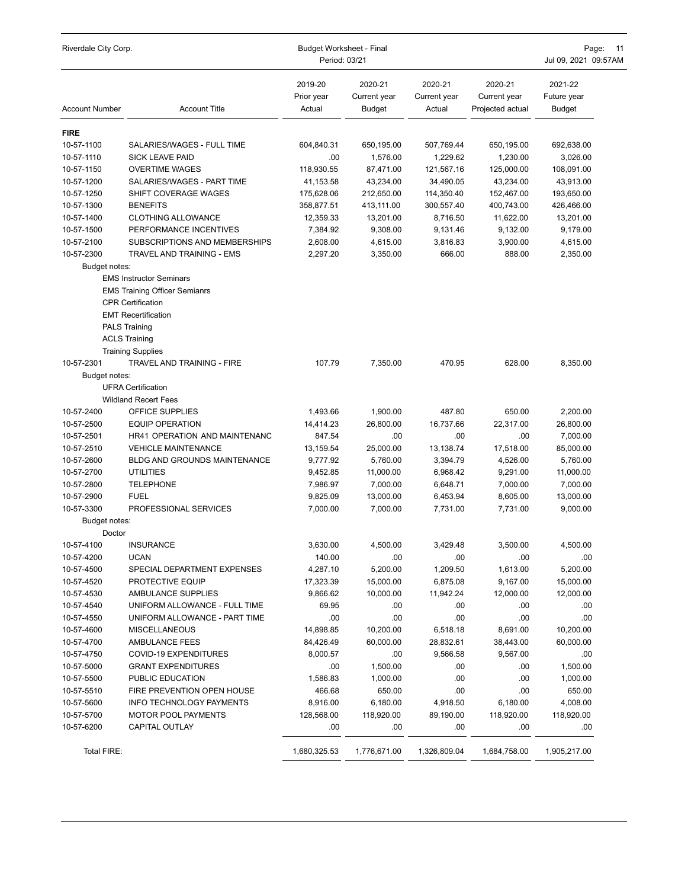| Riverdale City Corp.    |                                                                                                                                                          | Budget Worksheet - Final<br>Period: 03/21 | Page:<br>$-11$<br>Jul 09, 2021 09:57AM |                                   |                                             |                                         |
|-------------------------|----------------------------------------------------------------------------------------------------------------------------------------------------------|-------------------------------------------|----------------------------------------|-----------------------------------|---------------------------------------------|-----------------------------------------|
| <b>Account Number</b>   | <b>Account Title</b>                                                                                                                                     | 2019-20<br>Prior year<br>Actual           | 2020-21<br>Current year<br>Budget      | 2020-21<br>Current year<br>Actual | 2020-21<br>Current year<br>Projected actual | 2021-22<br>Future year<br><b>Budget</b> |
| <b>FIRE</b>             |                                                                                                                                                          |                                           |                                        |                                   |                                             |                                         |
| 10-57-1100              | SALARIES/WAGES - FULL TIME                                                                                                                               | 604,840.31                                | 650,195.00                             | 507,769.44                        | 650,195.00                                  | 692,638.00                              |
| 10-57-1110              | <b>SICK LEAVE PAID</b>                                                                                                                                   | .00                                       | 1,576.00                               | 1,229.62                          | 1,230.00                                    | 3,026.00                                |
| 10-57-1150              | <b>OVERTIME WAGES</b>                                                                                                                                    | 118,930.55                                | 87,471.00                              | 121,567.16                        | 125,000.00                                  | 108,091.00                              |
| 10-57-1200              | SALARIES/WAGES - PART TIME                                                                                                                               | 41,153.58                                 | 43,234.00                              | 34,490.05                         | 43,234.00                                   | 43,913.00                               |
| 10-57-1250              | SHIFT COVERAGE WAGES                                                                                                                                     | 175,628.06                                | 212,650.00                             | 114,350.40                        | 152,467.00                                  | 193,650.00                              |
| 10-57-1300              | <b>BENEFITS</b>                                                                                                                                          | 358,877.51                                | 413,111.00                             | 300,557.40                        | 400,743.00                                  | 426,466.00                              |
| 10-57-1400              | <b>CLOTHING ALLOWANCE</b>                                                                                                                                | 12,359.33                                 | 13,201.00                              | 8,716.50                          | 11,622.00                                   | 13,201.00                               |
| 10-57-1500              | PERFORMANCE INCENTIVES                                                                                                                                   | 7,384.92                                  | 9,308.00                               | 9,131.46                          | 9,132.00                                    | 9,179.00                                |
| 10-57-2100              | SUBSCRIPTIONS AND MEMBERSHIPS                                                                                                                            | 2,608.00                                  | 4,615.00                               | 3,816.83                          | 3,900.00                                    | 4,615.00                                |
| 10-57-2300              | TRAVEL AND TRAINING - EMS                                                                                                                                | 2,297.20                                  | 3,350.00                               | 666.00                            | 888.00                                      | 2,350.00                                |
| Budget notes:           |                                                                                                                                                          |                                           |                                        |                                   |                                             |                                         |
|                         | <b>EMS Instructor Seminars</b><br><b>EMS Training Officer Semianrs</b><br><b>CPR Certification</b><br><b>EMT Recertification</b><br><b>PALS Training</b> |                                           |                                        |                                   |                                             |                                         |
|                         | <b>ACLS Training</b>                                                                                                                                     |                                           |                                        |                                   |                                             |                                         |
|                         | <b>Training Supplies</b>                                                                                                                                 |                                           |                                        |                                   |                                             |                                         |
| 10-57-2301              | TRAVEL AND TRAINING - FIRE                                                                                                                               | 107.79                                    | 7,350.00                               | 470.95                            | 628.00                                      | 8,350.00                                |
| Budget notes:           |                                                                                                                                                          |                                           |                                        |                                   |                                             |                                         |
|                         | <b>UFRA Certification</b>                                                                                                                                |                                           |                                        |                                   |                                             |                                         |
|                         | <b>Wildland Recert Fees</b>                                                                                                                              |                                           |                                        |                                   |                                             |                                         |
| 10-57-2400              | OFFICE SUPPLIES                                                                                                                                          | 1,493.66                                  | 1,900.00                               | 487.80                            | 650.00                                      | 2,200.00                                |
| 10-57-2500              | <b>EQUIP OPERATION</b>                                                                                                                                   | 14,414.23                                 | 26,800.00                              | 16,737.66                         | 22,317.00                                   | 26,800.00                               |
| 10-57-2501              | <b>HR41 OPERATION AND MAINTENANC</b>                                                                                                                     | 847.54                                    | .00                                    | .00                               | .00                                         | 7,000.00                                |
| 10-57-2510              | <b>VEHICLE MAINTENANCE</b>                                                                                                                               | 13,159.54                                 | 25,000.00                              | 13,138.74                         | 17,518.00                                   | 85,000.00                               |
| 10-57-2600              | <b>BLDG AND GROUNDS MAINTENANCE</b>                                                                                                                      | 9,777.92                                  | 5,760.00                               | 3,394.79                          | 4,526.00                                    | 5,760.00                                |
| 10-57-2700              | <b>UTILITIES</b>                                                                                                                                         | 9,452.85                                  | 11,000.00                              | 6,968.42                          | 9,291.00                                    | 11,000.00                               |
| 10-57-2800              | <b>TELEPHONE</b>                                                                                                                                         | 7,986.97                                  | 7,000.00                               | 6,648.71                          | 7,000.00                                    | 7,000.00                                |
| 10-57-2900              | <b>FUEL</b>                                                                                                                                              | 9,825.09                                  | 13,000.00                              | 6,453.94                          | 8,605.00                                    | 13,000.00                               |
| 10-57-3300              | PROFESSIONAL SERVICES                                                                                                                                    | 7,000.00                                  | 7,000.00                               | 7,731.00                          | 7,731.00                                    | 9,000.00                                |
| Budget notes:<br>Doctor |                                                                                                                                                          |                                           |                                        |                                   |                                             |                                         |
| 10-57-4100              | <b>INSURANCE</b>                                                                                                                                         | 3,630.00                                  | 4,500.00                               | 3,429.48                          | 3,500.00                                    | 4,500.00                                |
| 10-57-4200              | <b>UCAN</b>                                                                                                                                              | 140.00                                    | .00                                    | .00                               | .00                                         | .00                                     |
| 10-57-4500              | SPECIAL DEPARTMENT EXPENSES                                                                                                                              | 4,287.10                                  | 5,200.00                               | 1,209.50                          | 1,613.00                                    | 5,200.00                                |
| 10-57-4520              | PROTECTIVE EQUIP                                                                                                                                         | 17,323.39                                 | 15,000.00                              | 6,875.08                          | 9,167.00                                    | 15,000.00                               |
| 10-57-4530              | AMBULANCE SUPPLIES                                                                                                                                       | 9,866.62                                  | 10,000.00                              | 11,942.24                         | 12,000.00                                   | 12,000.00                               |
| 10-57-4540              | UNIFORM ALLOWANCE - FULL TIME                                                                                                                            | 69.95                                     | .00                                    | .00                               | .00                                         | .00                                     |
| 10-57-4550              | UNIFORM ALLOWANCE - PART TIME                                                                                                                            | .00                                       | .00                                    | .00                               | .00                                         | .00                                     |
| 10-57-4600              | <b>MISCELLANEOUS</b>                                                                                                                                     | 14,898.85                                 | 10,200.00                              | 6,518.18                          | 8,691.00                                    | 10,200.00                               |
| 10-57-4700              | AMBULANCE FEES                                                                                                                                           | 84,426.49                                 | 60,000.00                              | 28,832.61                         | 38,443.00                                   | 60,000.00                               |
| 10-57-4750              | COVID-19 EXPENDITURES                                                                                                                                    | 8,000.57                                  | .00                                    | 9,566.58                          | 9,567.00                                    | .00                                     |
| 10-57-5000              | <b>GRANT EXPENDITURES</b>                                                                                                                                | .00                                       | 1,500.00                               | .00                               | .00                                         | 1,500.00                                |
| 10-57-5500              | PUBLIC EDUCATION                                                                                                                                         | 1,586.83                                  | 1,000.00                               | .00                               | .00                                         | 1,000.00                                |
| 10-57-5510              | FIRE PREVENTION OPEN HOUSE                                                                                                                               | 466.68                                    | 650.00                                 | .00                               | .00                                         | 650.00                                  |
| 10-57-5600              | INFO TECHNOLOGY PAYMENTS                                                                                                                                 | 8,916.00                                  | 6,180.00                               | 4,918.50                          | 6,180.00                                    | 4,008.00                                |
| 10-57-5700              | <b>MOTOR POOL PAYMENTS</b>                                                                                                                               | 128,568.00                                | 118,920.00                             | 89,190.00                         | 118,920.00                                  | 118,920.00                              |
| 10-57-6200              | CAPITAL OUTLAY                                                                                                                                           | .00                                       | .00                                    | .00                               | .00                                         | .00                                     |
| Total FIRE:             |                                                                                                                                                          | 1,680,325.53                              | 1,776,671.00                           | 1,326,809.04                      | 1,684,758.00                                | 1,905,217.00                            |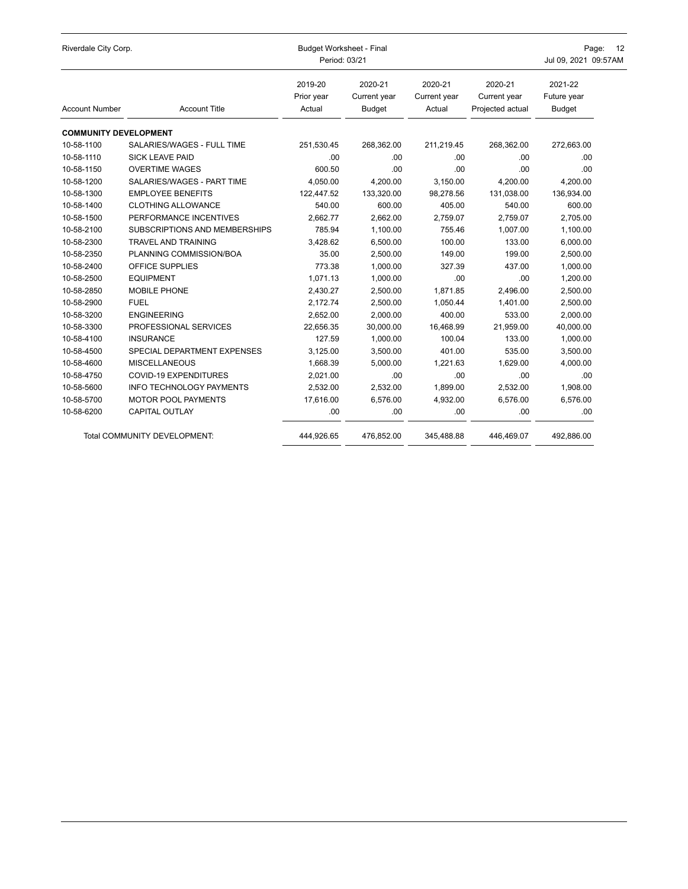| Riverdale City Corp.         |                                     | <b>Budget Worksheet - Final</b><br>Period: 03/21 | Page:<br>- 12<br>Jul 09, 2021 09:57AM    |                                   |                                             |                                         |
|------------------------------|-------------------------------------|--------------------------------------------------|------------------------------------------|-----------------------------------|---------------------------------------------|-----------------------------------------|
| <b>Account Number</b>        | <b>Account Title</b>                | 2019-20<br>Prior year<br>Actual                  | 2020-21<br>Current year<br><b>Budget</b> | 2020-21<br>Current year<br>Actual | 2020-21<br>Current year<br>Projected actual | 2021-22<br>Future year<br><b>Budget</b> |
| <b>COMMUNITY DEVELOPMENT</b> |                                     |                                                  |                                          |                                   |                                             |                                         |
| 10-58-1100                   | SALARIES/WAGES - FULL TIME          | 251,530.45                                       | 268,362.00                               | 211,219.45                        | 268,362.00                                  | 272,663.00                              |
| 10-58-1110                   | <b>SICK LEAVE PAID</b>              | .00                                              | .00                                      | .00.                              | .00                                         | .00                                     |
| 10-58-1150                   | <b>OVERTIME WAGES</b>               | 600.50                                           | .00                                      | .00                               | .00                                         | .00                                     |
| 10-58-1200                   | SALARIES/WAGES - PART TIME          | 4,050.00                                         | 4,200.00                                 | 3,150.00                          | 4,200.00                                    | 4,200.00                                |
| 10-58-1300                   | <b>EMPLOYEE BENEFITS</b>            | 122,447.52                                       | 133,320.00                               | 98,278.56                         | 131,038.00                                  | 136,934.00                              |
| 10-58-1400                   | <b>CLOTHING ALLOWANCE</b>           | 540.00                                           | 600.00                                   | 405.00                            | 540.00                                      | 600.00                                  |
| 10-58-1500                   | PERFORMANCE INCENTIVES              | 2,662.77                                         | 2,662.00                                 | 2,759.07                          | 2,759.07                                    | 2,705.00                                |
| 10-58-2100                   | SUBSCRIPTIONS AND MEMBERSHIPS       | 785.94                                           | 1,100.00                                 | 755.46                            | 1,007.00                                    | 1,100.00                                |
| 10-58-2300                   | <b>TRAVEL AND TRAINING</b>          | 3,428.62                                         | 6,500.00                                 | 100.00                            | 133.00                                      | 6,000.00                                |
| 10-58-2350                   | PLANNING COMMISSION/BOA             | 35.00                                            | 2,500.00                                 | 149.00                            | 199.00                                      | 2,500.00                                |
| 10-58-2400                   | OFFICE SUPPLIES                     | 773.38                                           | 1,000.00                                 | 327.39                            | 437.00                                      | 1,000.00                                |
| 10-58-2500                   | <b>EQUIPMENT</b>                    | 1,071.13                                         | 1,000.00                                 | .00                               | .00                                         | 1,200.00                                |
| 10-58-2850                   | MOBILE PHONE                        | 2,430.27                                         | 2,500.00                                 | 1,871.85                          | 2,496.00                                    | 2,500.00                                |
| 10-58-2900                   | <b>FUEL</b>                         | 2,172.74                                         | 2,500.00                                 | 1,050.44                          | 1.401.00                                    | 2,500.00                                |
| 10-58-3200                   | <b>ENGINEERING</b>                  | 2,652.00                                         | 2,000.00                                 | 400.00                            | 533.00                                      | 2,000.00                                |
| 10-58-3300                   | PROFESSIONAL SERVICES               | 22,656.35                                        | 30,000.00                                | 16,468.99                         | 21,959.00                                   | 40,000.00                               |
| 10-58-4100                   | <b>INSURANCE</b>                    | 127.59                                           | 1,000.00                                 | 100.04                            | 133.00                                      | 1,000.00                                |
| 10-58-4500                   | SPECIAL DEPARTMENT EXPENSES         | 3,125.00                                         | 3,500.00                                 | 401.00                            | 535.00                                      | 3,500.00                                |
| 10-58-4600                   | <b>MISCELLANEOUS</b>                | 1,668.39                                         | 5,000.00                                 | 1,221.63                          | 1,629.00                                    | 4,000.00                                |
| 10-58-4750                   | <b>COVID-19 EXPENDITURES</b>        | 2,021.00                                         | .00                                      | .00.                              | .00                                         | .00                                     |
| 10-58-5600                   | <b>INFO TECHNOLOGY PAYMENTS</b>     | 2,532.00                                         | 2,532.00                                 | 1,899.00                          | 2,532.00                                    | 1,908.00                                |
| 10-58-5700                   | <b>MOTOR POOL PAYMENTS</b>          | 17,616.00                                        | 6,576.00                                 | 4,932.00                          | 6,576.00                                    | 6,576.00                                |
| 10-58-6200                   | <b>CAPITAL OUTLAY</b>               | .00                                              | .00                                      | .00.                              | .00                                         | .00                                     |
|                              | <b>Total COMMUNITY DEVELOPMENT:</b> | 444,926.65                                       | 476,852.00                               | 345,488.88                        | 446,469.07                                  | 492,886.00                              |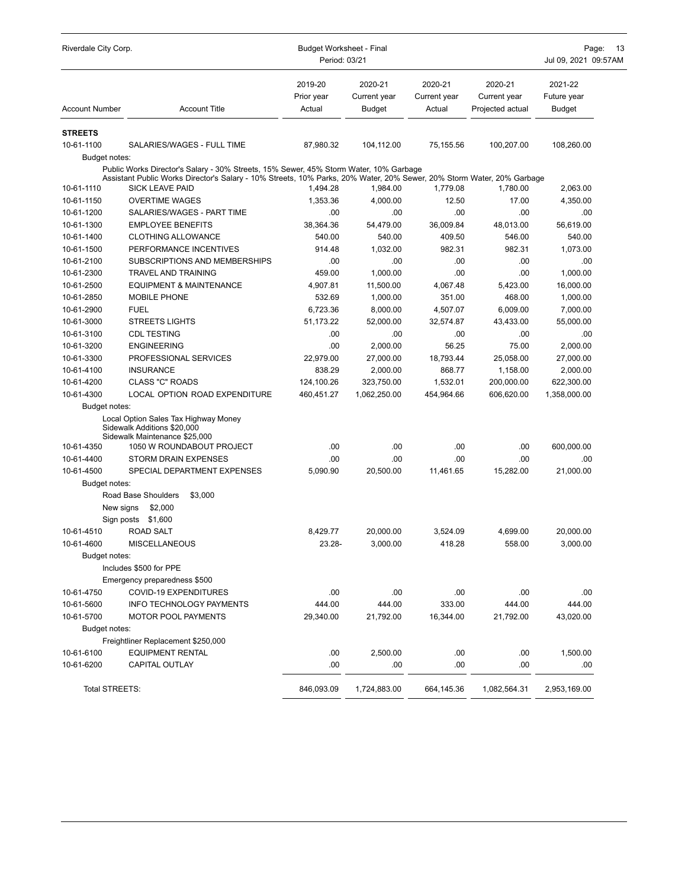| Riverdale City Corp.  |                                                                                                                                                                                                                                          | <b>Budget Worksheet - Final</b><br>Period: 03/21 | Page:<br>13<br>Jul 09, 2021 09:57AM |                                   |                                             |                                         |
|-----------------------|------------------------------------------------------------------------------------------------------------------------------------------------------------------------------------------------------------------------------------------|--------------------------------------------------|-------------------------------------|-----------------------------------|---------------------------------------------|-----------------------------------------|
| <b>Account Number</b> | <b>Account Title</b>                                                                                                                                                                                                                     | 2019-20<br>Prior year<br>Actual                  | 2020-21<br>Current year<br>Budget   | 2020-21<br>Current year<br>Actual | 2020-21<br>Current year<br>Projected actual | 2021-22<br>Future year<br><b>Budget</b> |
| <b>STREETS</b>        |                                                                                                                                                                                                                                          |                                                  |                                     |                                   |                                             |                                         |
| 10-61-1100            | SALARIES/WAGES - FULL TIME                                                                                                                                                                                                               | 87,980.32                                        | 104,112.00                          | 75,155.56                         | 100,207.00                                  | 108,260.00                              |
| Budget notes:         |                                                                                                                                                                                                                                          |                                                  |                                     |                                   |                                             |                                         |
| 10-61-1110            | Public Works Director's Salary - 30% Streets, 15% Sewer, 45% Storm Water, 10% Garbage<br>Assistant Public Works Director's Salary - 10% Streets, 10% Parks, 20% Water, 20% Sewer, 20% Storm Water, 20% Garbage<br><b>SICK LEAVE PAID</b> | 1,494.28                                         | 1,984.00                            | 1,779.08                          | 1.780.00                                    | 2,063.00                                |
| 10-61-1150            | <b>OVERTIME WAGES</b>                                                                                                                                                                                                                    | 1,353.36                                         | 4,000.00                            | 12.50                             | 17.00                                       | 4,350.00                                |
| 10-61-1200            | SALARIES/WAGES - PART TIME                                                                                                                                                                                                               | .00                                              | .00                                 | .00                               | .00                                         | .00                                     |
| 10-61-1300            | <b>EMPLOYEE BENEFITS</b>                                                                                                                                                                                                                 | 38,364.36                                        | 54,479.00                           | 36,009.84                         | 48,013.00                                   | 56,619.00                               |
| 10-61-1400            | <b>CLOTHING ALLOWANCE</b>                                                                                                                                                                                                                | 540.00                                           | 540.00                              | 409.50                            | 546.00                                      | 540.00                                  |
| 10-61-1500            | PERFORMANCE INCENTIVES                                                                                                                                                                                                                   | 914.48                                           | 1,032.00                            | 982.31                            | 982.31                                      | 1,073.00                                |
| 10-61-2100            | SUBSCRIPTIONS AND MEMBERSHIPS                                                                                                                                                                                                            | .00                                              | .00                                 | .00                               | .00                                         | .00                                     |
| 10-61-2300            | <b>TRAVEL AND TRAINING</b>                                                                                                                                                                                                               | 459.00                                           | 1,000.00                            | .00                               | .00                                         | 1,000.00                                |
| 10-61-2500            | <b>EQUIPMENT &amp; MAINTENANCE</b>                                                                                                                                                                                                       | 4,907.81                                         | 11,500.00                           | 4,067.48                          | 5,423.00                                    | 16,000.00                               |
| 10-61-2850            | <b>MOBILE PHONE</b>                                                                                                                                                                                                                      | 532.69                                           | 1,000.00                            | 351.00                            | 468.00                                      | 1,000.00                                |
| 10-61-2900            | <b>FUEL</b>                                                                                                                                                                                                                              | 6,723.36                                         | 8,000.00                            | 4,507.07                          | 6,009.00                                    | 7,000.00                                |
| 10-61-3000            | STREETS LIGHTS                                                                                                                                                                                                                           | 51,173.22                                        | 52,000.00                           | 32,574.87                         | 43,433.00                                   | 55,000.00                               |
| 10-61-3100            | <b>CDL TESTING</b>                                                                                                                                                                                                                       | .00                                              | .00                                 | .00                               | .00                                         | .00                                     |
| 10-61-3200            | <b>ENGINEERING</b>                                                                                                                                                                                                                       | .00                                              | 2,000.00                            | 56.25                             | 75.00                                       | 2,000.00                                |
| 10-61-3300            | PROFESSIONAL SERVICES                                                                                                                                                                                                                    | 22,979.00                                        | 27,000.00                           | 18,793.44                         | 25,058.00                                   | 27,000.00                               |
| 10-61-4100            | INSURANCE                                                                                                                                                                                                                                | 838.29                                           | 2,000.00                            | 868.77                            | 1,158.00                                    | 2,000.00                                |
| 10-61-4200            | <b>CLASS "C" ROADS</b>                                                                                                                                                                                                                   | 124,100.26                                       | 323,750.00                          | 1,532.01                          | 200,000.00                                  | 622,300.00                              |
| 10-61-4300            | LOCAL OPTION ROAD EXPENDITURE                                                                                                                                                                                                            | 460,451.27                                       | 1,062,250.00                        | 454,964.66                        | 606,620.00                                  | 1,358,000.00                            |
| Budget notes:         |                                                                                                                                                                                                                                          |                                                  |                                     |                                   |                                             |                                         |
|                       | Local Option Sales Tax Highway Money<br>Sidewalk Additions \$20,000<br>Sidewalk Maintenance \$25,000                                                                                                                                     |                                                  |                                     |                                   |                                             |                                         |
| 10-61-4350            | 1050 W ROUNDABOUT PROJECT                                                                                                                                                                                                                | .00                                              | .00                                 | .00                               | .00                                         | 600,000.00                              |
| 10-61-4400            | <b>STORM DRAIN EXPENSES</b>                                                                                                                                                                                                              | .00                                              | .00                                 | .00                               | .00                                         | .00                                     |
| 10-61-4500            | SPECIAL DEPARTMENT EXPENSES                                                                                                                                                                                                              | 5,090.90                                         | 20,500.00                           | 11,461.65                         | 15,282.00                                   | 21,000.00                               |
| Budget notes:         |                                                                                                                                                                                                                                          |                                                  |                                     |                                   |                                             |                                         |
|                       | Road Base Shoulders<br>\$3,000                                                                                                                                                                                                           |                                                  |                                     |                                   |                                             |                                         |
| New signs             | \$2,000                                                                                                                                                                                                                                  |                                                  |                                     |                                   |                                             |                                         |
|                       | Sign posts \$1,600                                                                                                                                                                                                                       |                                                  |                                     |                                   |                                             |                                         |
| 10-61-4510            | <b>ROAD SALT</b>                                                                                                                                                                                                                         | 8,429.77                                         | 20,000.00                           | 3,524.09                          | 4.699.00                                    | 20,000.00                               |
| 10-61-4600            | MISCELLANEOUS                                                                                                                                                                                                                            | 23.28-                                           | 3,000.00                            | 418.28                            | 558.00                                      | 3,000.00                                |
| Budget notes:         |                                                                                                                                                                                                                                          |                                                  |                                     |                                   |                                             |                                         |
|                       | Includes \$500 for PPE                                                                                                                                                                                                                   |                                                  |                                     |                                   |                                             |                                         |
|                       | Emergency preparedness \$500                                                                                                                                                                                                             |                                                  |                                     |                                   |                                             |                                         |
| 10-61-4750            | COVID-19 EXPENDITURES                                                                                                                                                                                                                    | .00                                              | .00                                 | .00                               | .00                                         | .00                                     |
| 10-61-5600            | <b>INFO TECHNOLOGY PAYMENTS</b>                                                                                                                                                                                                          | 444.00                                           | 444.00                              | 333.00                            | 444.00                                      | 444.00                                  |
| 10-61-5700            | <b>MOTOR POOL PAYMENTS</b>                                                                                                                                                                                                               | 29,340.00                                        | 21,792.00                           | 16,344.00                         | 21,792.00                                   | 43,020.00                               |
| Budget notes:         |                                                                                                                                                                                                                                          |                                                  |                                     |                                   |                                             |                                         |
|                       | Freightliner Replacement \$250,000                                                                                                                                                                                                       |                                                  |                                     |                                   |                                             |                                         |
| 10-61-6100            | <b>EQUIPMENT RENTAL</b>                                                                                                                                                                                                                  | .00                                              | 2,500.00                            | .00                               | .00                                         | 1,500.00                                |
| 10-61-6200            | <b>CAPITAL OUTLAY</b>                                                                                                                                                                                                                    | .00                                              | .00                                 | .00                               | .00                                         | .00                                     |
| Total STREETS:        |                                                                                                                                                                                                                                          | 846,093.09                                       | 1,724,883.00                        | 664,145.36                        | 1,082,564.31                                | 2,953,169.00                            |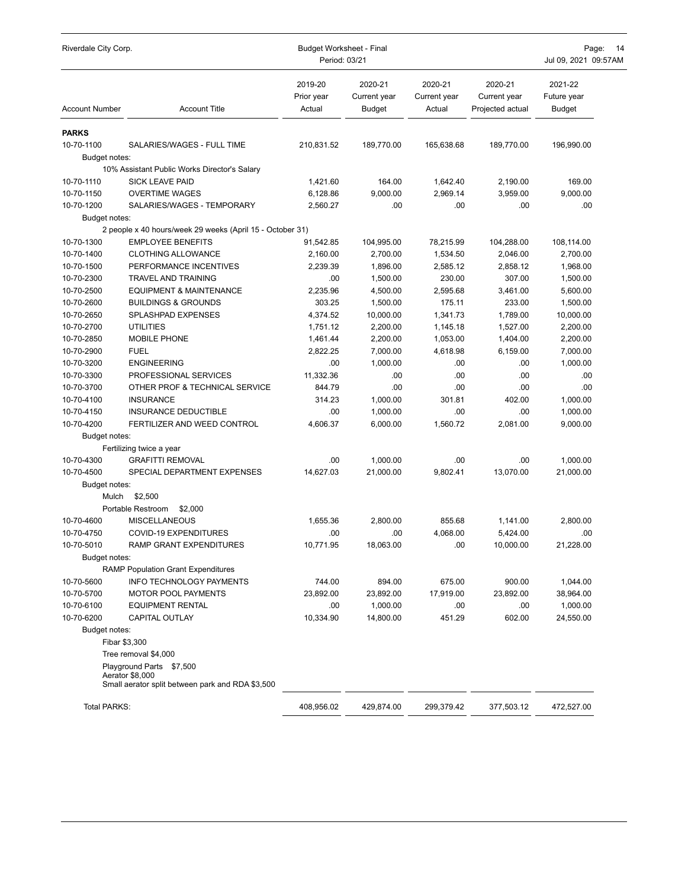| Riverdale City Corp.  |                                                                                                 | <b>Budget Worksheet - Final</b><br>Period: 03/21 |                                          |                                   |                                             | Page:<br>14<br>Jul 09, 2021 09:57AM     |  |
|-----------------------|-------------------------------------------------------------------------------------------------|--------------------------------------------------|------------------------------------------|-----------------------------------|---------------------------------------------|-----------------------------------------|--|
| <b>Account Number</b> | <b>Account Title</b>                                                                            | 2019-20<br>Prior year<br>Actual                  | 2020-21<br>Current year<br><b>Budget</b> | 2020-21<br>Current year<br>Actual | 2020-21<br>Current year<br>Projected actual | 2021-22<br>Future year<br><b>Budget</b> |  |
| <b>PARKS</b>          |                                                                                                 |                                                  |                                          |                                   |                                             |                                         |  |
| 10-70-1100            | SALARIES/WAGES - FULL TIME                                                                      | 210,831.52                                       | 189,770.00                               | 165,638.68                        | 189,770.00                                  | 196,990.00                              |  |
| Budget notes:         |                                                                                                 |                                                  |                                          |                                   |                                             |                                         |  |
|                       | 10% Assistant Public Works Director's Salary                                                    |                                                  |                                          |                                   |                                             |                                         |  |
| 10-70-1110            | <b>SICK LEAVE PAID</b>                                                                          | 1,421.60                                         | 164.00                                   | 1,642.40                          | 2,190.00                                    | 169.00                                  |  |
| 10-70-1150            | <b>OVERTIME WAGES</b>                                                                           | 6,128.86                                         | 9,000.00                                 | 2,969.14                          | 3,959.00                                    | 9,000.00                                |  |
| 10-70-1200            | SALARIES/WAGES - TEMPORARY                                                                      | 2,560.27                                         | .00                                      | .00                               | .00                                         | .00                                     |  |
| Budget notes:         |                                                                                                 |                                                  |                                          |                                   |                                             |                                         |  |
|                       | 2 people x 40 hours/week 29 weeks (April 15 - October 31)                                       |                                                  |                                          |                                   |                                             |                                         |  |
| 10-70-1300            | <b>EMPLOYEE BENEFITS</b>                                                                        | 91,542.85                                        | 104,995.00                               | 78,215.99                         | 104,288.00                                  | 108,114.00                              |  |
| 10-70-1400            | <b>CLOTHING ALLOWANCE</b>                                                                       | 2,160.00                                         | 2,700.00                                 | 1,534.50                          | 2,046.00                                    | 2,700.00                                |  |
| 10-70-1500            | PERFORMANCE INCENTIVES                                                                          | 2.239.39                                         | 1,896.00                                 | 2,585.12                          | 2,858.12                                    | 1,968.00                                |  |
| 10-70-2300            | TRAVEL AND TRAINING                                                                             | .00                                              | 1,500.00                                 | 230.00                            | 307.00                                      | 1,500.00                                |  |
| 10-70-2500            | <b>EQUIPMENT &amp; MAINTENANCE</b>                                                              | 2,235.96                                         | 4,500.00                                 | 2,595.68                          | 3,461.00                                    | 5,600.00                                |  |
| 10-70-2600            | <b>BUILDINGS &amp; GROUNDS</b>                                                                  | 303.25                                           | 1,500.00                                 | 175.11                            | 233.00                                      | 1,500.00                                |  |
| 10-70-2650            | <b>SPLASHPAD EXPENSES</b>                                                                       | 4,374.52                                         | 10,000.00                                | 1,341.73                          | 1,789.00                                    | 10,000.00                               |  |
| 10-70-2700            | <b>UTILITIES</b>                                                                                | 1,751.12                                         | 2,200.00                                 | 1,145.18                          | 1,527.00                                    | 2,200.00                                |  |
| 10-70-2850            | <b>MOBILE PHONE</b>                                                                             | 1,461.44                                         | 2,200.00                                 | 1,053.00                          | 1,404.00                                    | 2,200.00                                |  |
| 10-70-2900            | <b>FUEL</b>                                                                                     | 2,822.25                                         | 7,000.00                                 | 4,618.98                          | 6,159.00                                    | 7,000.00                                |  |
| 10-70-3200            | <b>ENGINEERING</b>                                                                              | .00                                              | 1,000.00                                 | .00                               | .00                                         | 1,000.00                                |  |
| 10-70-3300            | PROFESSIONAL SERVICES                                                                           | 11,332.36                                        | .00                                      | .00                               | .00                                         | .00                                     |  |
| 10-70-3700            | OTHER PROF & TECHNICAL SERVICE                                                                  | 844.79                                           | .00                                      | .00                               | .00                                         | .00                                     |  |
| 10-70-4100            | <b>INSURANCE</b>                                                                                | 314.23                                           | 1,000.00                                 | 301.81                            | 402.00                                      | 1,000.00                                |  |
| 10-70-4150            | <b>INSURANCE DEDUCTIBLE</b>                                                                     | .00                                              | 1,000.00                                 | .00                               | .00                                         | 1,000.00                                |  |
| 10-70-4200            | FERTILIZER AND WEED CONTROL                                                                     | 4,606.37                                         | 6,000.00                                 | 1,560.72                          | 2,081.00                                    | 9,000.00                                |  |
| Budget notes:         |                                                                                                 |                                                  |                                          |                                   |                                             |                                         |  |
|                       | Fertilizing twice a year                                                                        |                                                  |                                          |                                   |                                             |                                         |  |
| 10-70-4300            | <b>GRAFITTI REMOVAL</b>                                                                         | .00                                              | 1,000.00                                 | .00                               | .00                                         | 1,000.00                                |  |
| 10-70-4500            | SPECIAL DEPARTMENT EXPENSES                                                                     | 14,627.03                                        | 21,000.00                                | 9,802.41                          | 13,070.00                                   | 21,000.00                               |  |
| Budget notes:         |                                                                                                 |                                                  |                                          |                                   |                                             |                                         |  |
| Mulch                 | \$2,500                                                                                         |                                                  |                                          |                                   |                                             |                                         |  |
|                       | Portable Restroom<br>\$2,000                                                                    |                                                  |                                          |                                   |                                             |                                         |  |
| 10-70-4600            | <b>MISCELLANEOUS</b>                                                                            | 1,655.36                                         | 2,800.00                                 | 855.68                            | 1,141.00                                    | 2.800.00                                |  |
| 10-70-4750            | COVID-19 EXPENDITURES                                                                           | .00                                              | .00                                      | 4,068.00                          | 5.424.00                                    | .00                                     |  |
| 10-70-5010            | RAMP GRANT EXPENDITURES                                                                         | 10,771.95                                        | 18,063.00                                | .00                               | 10,000.00                                   | 21,228.00                               |  |
| Budget notes:         |                                                                                                 |                                                  |                                          |                                   |                                             |                                         |  |
|                       | <b>RAMP Population Grant Expenditures</b>                                                       |                                                  |                                          |                                   |                                             |                                         |  |
| 10-70-5600            | INFO TECHNOLOGY PAYMENTS                                                                        | 744.00                                           | 894.00                                   | 675.00                            | 900.00                                      | 1,044.00                                |  |
| 10-70-5700            | <b>MOTOR POOL PAYMENTS</b>                                                                      | 23,892.00                                        | 23,892.00                                | 17,919.00                         | 23,892.00                                   | 38,964.00                               |  |
| 10-70-6100            | <b>EQUIPMENT RENTAL</b>                                                                         | .00                                              | 1,000.00                                 | .00                               | .00.                                        | 1,000.00                                |  |
| 10-70-6200            | CAPITAL OUTLAY                                                                                  | 10,334.90                                        | 14,800.00                                | 451.29                            | 602.00                                      | 24,550.00                               |  |
| Budget notes:         |                                                                                                 |                                                  |                                          |                                   |                                             |                                         |  |
|                       | Fibar \$3,300                                                                                   |                                                  |                                          |                                   |                                             |                                         |  |
|                       | Tree removal \$4,000                                                                            |                                                  |                                          |                                   |                                             |                                         |  |
|                       | Playground Parts \$7,500<br>Aerator \$8,000<br>Small aerator split between park and RDA \$3,500 |                                                  |                                          |                                   |                                             |                                         |  |
| Total PARKS:          |                                                                                                 | 408,956.02                                       | 429,874.00                               | 299,379.42                        | 377,503.12                                  | 472,527.00                              |  |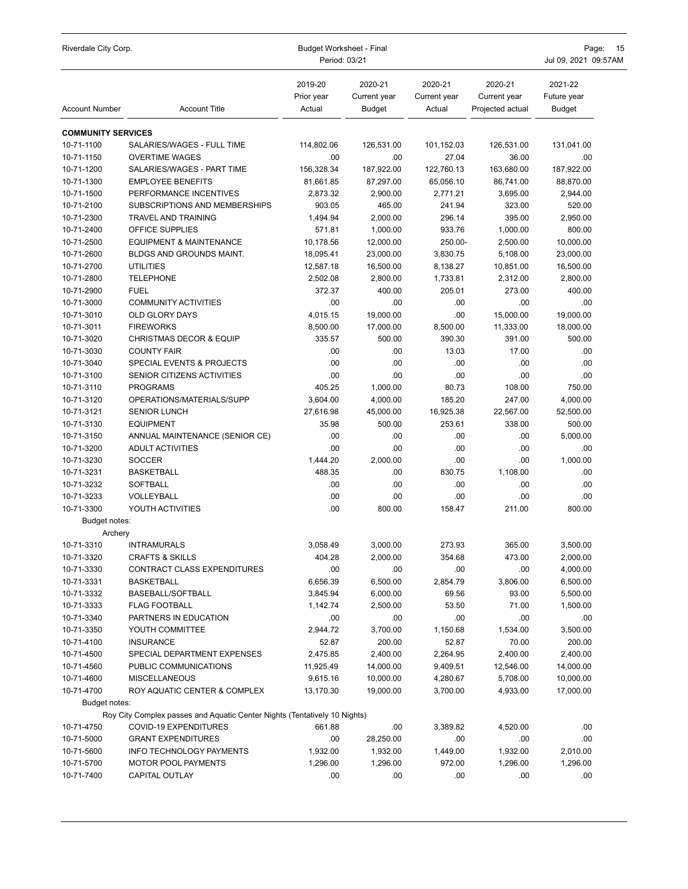| Riverdale City Corp.      |                                                                           | <b>Budget Worksheet - Final</b><br>Period: 03/21 | Page:<br>15<br>Jul 09, 2021 09:57AM      |                                   |                                             |                                         |
|---------------------------|---------------------------------------------------------------------------|--------------------------------------------------|------------------------------------------|-----------------------------------|---------------------------------------------|-----------------------------------------|
| <b>Account Number</b>     | <b>Account Title</b>                                                      | 2019-20<br>Prior year<br>Actual                  | 2020-21<br>Current year<br><b>Budget</b> | 2020-21<br>Current year<br>Actual | 2020-21<br>Current year<br>Projected actual | 2021-22<br>Future year<br><b>Budget</b> |
| <b>COMMUNITY SERVICES</b> |                                                                           |                                                  |                                          |                                   |                                             |                                         |
| 10-71-1100                | SALARIES/WAGES - FULL TIME                                                | 114,802.06                                       | 126,531.00                               | 101,152.03                        | 126,531.00                                  | 131,041.00                              |
| 10-71-1150                | <b>OVERTIME WAGES</b>                                                     | .00                                              | .00                                      | 27.04                             | 36.00                                       | .00                                     |
| 10-71-1200                | SALARIES/WAGES - PART TIME                                                | 156,328.34                                       | 187,922.00                               | 122,760.13                        | 163,680.00                                  | 187,922.00                              |
| 10-71-1300                | <b>EMPLOYEE BENEFITS</b>                                                  | 81,661.85                                        | 87,297.00                                | 65,056.10                         | 86,741.00                                   | 88,870.00                               |
| 10-71-1500                | PERFORMANCE INCENTIVES                                                    | 2,873.32                                         | 2,900.00                                 | 2,771.21                          | 3,695.00                                    | 2,944.00                                |
| 10-71-2100                | SUBSCRIPTIONS AND MEMBERSHIPS                                             | 903.05                                           | 465.00                                   | 241.94                            | 323.00                                      | 520.00                                  |
| 10-71-2300                | <b>TRAVEL AND TRAINING</b>                                                | 1,494.94                                         | 2,000.00                                 | 296.14                            | 395.00                                      | 2,950.00                                |
| 10-71-2400                | OFFICE SUPPLIES                                                           | 571.81                                           | 1,000.00                                 | 933.76                            | 1,000.00                                    | 800.00                                  |
| 10-71-2500                | <b>EQUIPMENT &amp; MAINTENANCE</b>                                        | 10,178.56                                        | 12,000.00                                | 250.00-                           | 2,500.00                                    | 10,000.00                               |
| 10-71-2600                | BLDGS AND GROUNDS MAINT.                                                  | 18,095.41                                        | 23,000.00                                | 3,830.75                          | 5,108.00                                    | 23,000.00                               |
| 10-71-2700                | <b>UTILITIES</b>                                                          | 12,587.18                                        | 16,500.00                                | 8,138.27                          | 10,851.00                                   | 16,500.00                               |
| 10-71-2800                | <b>TELEPHONE</b>                                                          | 2,502.08                                         | 2,800.00                                 | 1,733.81                          | 2,312.00                                    | 2,800.00                                |
| 10-71-2900                | <b>FUEL</b>                                                               | 372.37                                           | 400.00                                   | 205.01                            | 273.00                                      | 400.00                                  |
| 10-71-3000                | <b>COMMUNITY ACTIVITIES</b>                                               | .00                                              | .00                                      | .00                               | .00                                         | .00                                     |
| 10-71-3010                | <b>OLD GLORY DAYS</b>                                                     | 4,015.15                                         | 19,000.00                                | .00                               | 15.000.00                                   | 19,000.00                               |
| 10-71-3011                | <b>FIREWORKS</b>                                                          | 8,500.00                                         | 17,000.00                                | 8,500.00                          | 11,333.00                                   | 18,000.00                               |
| 10-71-3020                | <b>CHRISTMAS DECOR &amp; EQUIP</b>                                        | 335.57                                           | 500.00                                   | 390.30                            | 391.00                                      | 500.00                                  |
| 10-71-3030                | <b>COUNTY FAIR</b>                                                        | .00                                              | .00                                      | 13.03                             | 17.00                                       | .00                                     |
| 10-71-3040                | SPECIAL EVENTS & PROJECTS                                                 | .00<br>.00                                       | .00<br>.00                               | .00<br>.00                        | .00<br>.00                                  | .00<br>.00                              |
| 10-71-3100<br>10-71-3110  | SENIOR CITIZENS ACTIVITIES<br><b>PROGRAMS</b>                             | 405.25                                           | 1,000.00                                 | 80.73                             | 108.00                                      | 750.00                                  |
| 10-71-3120                | OPERATIONS/MATERIALS/SUPP                                                 | 3,604.00                                         | 4,000.00                                 | 185.20                            | 247.00                                      | 4,000.00                                |
| 10-71-3121                | <b>SENIOR LUNCH</b>                                                       | 27,616.98                                        | 45,000.00                                | 16,925.38                         | 22,567.00                                   | 52,500.00                               |
| 10-71-3130                | <b>EQUIPMENT</b>                                                          | 35.98                                            | 500.00                                   | 253.61                            | 338.00                                      | 500.00                                  |
| 10-71-3150                | ANNUAL MAINTENANCE (SENIOR CE)                                            | .00                                              | .00.                                     | .00                               | .00                                         | 5,000.00                                |
| 10-71-3200                | <b>ADULT ACTIVITIES</b>                                                   | .00                                              | .00                                      | .00                               | .00                                         | .00                                     |
| 10-71-3230                | <b>SOCCER</b>                                                             | 1,444.20                                         | 2,000.00                                 | .00                               | .00                                         | 1,000.00                                |
| 10-71-3231                | <b>BASKETBALL</b>                                                         | 488.35                                           | .00                                      | 830.75                            | 1,108.00                                    | .00                                     |
| 10-71-3232                | SOFTBALL                                                                  | .00                                              | .00                                      | .00                               | .00                                         | .00                                     |
| 10-71-3233                | VOLLEYBALL                                                                | .00                                              | .00                                      | .00                               | .00                                         | .00                                     |
| 10-71-3300                | YOUTH ACTIVITIES                                                          | .00                                              | 800.00                                   | 158.47                            | 211.00                                      | 800.00                                  |
| Budget notes:             |                                                                           |                                                  |                                          |                                   |                                             |                                         |
| Archery                   |                                                                           |                                                  |                                          |                                   |                                             |                                         |
| 10-71-3310                | INTRAMURALS                                                               | 3,058.49                                         | 3,000.00                                 | 273.93                            | 365.00                                      | 3,500.00                                |
| 10-71-3320                | <b>CRAFTS &amp; SKILLS</b>                                                | 404.28                                           | 2,000.00                                 | 354.68                            | 473.00                                      | 2,000.00                                |
| 10-71-3330                | CONTRACT CLASS EXPENDITURES                                               | .00                                              | .00                                      | .00                               | .00                                         | 4,000.00                                |
| 10-71-3331                | <b>BASKETBALL</b>                                                         | 6,656.39                                         | 6,500.00                                 | 2,854.79                          | 3,806.00                                    | 6,500.00                                |
| 10-71-3332                | BASEBALL/SOFTBALL                                                         | 3,845.94                                         | 6,000.00                                 | 69.56                             | 93.00                                       | 5,500.00                                |
| 10-71-3333                | <b>FLAG FOOTBALL</b>                                                      | 1,142.74                                         | 2,500.00                                 | 53.50                             | 71.00                                       | 1,500.00                                |
| 10-71-3340                | PARTNERS IN EDUCATION                                                     | .00                                              | .00                                      | .00                               | .00                                         | .00                                     |
| 10-71-3350                | YOUTH COMMITTEE                                                           | 2,944.72                                         | 3,700.00                                 | 1,150.68                          | 1,534.00                                    | 3,500.00                                |
| 10-71-4100                | <b>INSURANCE</b>                                                          | 52.87                                            | 200.00                                   | 52.87                             | 70.00                                       | 200.00                                  |
| 10-71-4500                | SPECIAL DEPARTMENT EXPENSES                                               | 2,475.85                                         | 2,400.00                                 | 2,264.95                          | 2,400.00                                    | 2,400.00                                |
| 10-71-4560                | PUBLIC COMMUNICATIONS                                                     | 11,925.49                                        | 14,000.00                                | 9,409.51                          | 12,546.00                                   | 14,000.00                               |
| 10-71-4600                | <b>MISCELLANEOUS</b>                                                      | 9,615.16                                         | 10,000.00                                | 4,280.67                          | 5,708.00                                    | 10,000.00                               |
| 10-71-4700                | ROY AQUATIC CENTER & COMPLEX                                              | 13,170.30                                        | 19,000.00                                | 3,700.00                          | 4,933.00                                    | 17,000.00                               |
| Budget notes:             |                                                                           |                                                  |                                          |                                   |                                             |                                         |
|                           | Roy City Complex passes and Aquatic Center Nights (Tentatively 10 Nights) |                                                  |                                          |                                   |                                             |                                         |
| 10-71-4750                | COVID-19 EXPENDITURES                                                     | 661.88                                           | .00                                      | 3,389.82                          | 4,520.00                                    | .00                                     |
| 10-71-5000                | <b>GRANT EXPENDITURES</b>                                                 | .00                                              | 28,250.00                                | .00                               | .00                                         | .00                                     |
| 10-71-5600                | <b>INFO TECHNOLOGY PAYMENTS</b>                                           | 1,932.00                                         | 1,932.00                                 | 1,449.00                          | 1,932.00                                    | 2,010.00                                |
| 10-71-5700                | <b>MOTOR POOL PAYMENTS</b>                                                | 1,296.00                                         | 1,296.00                                 | 972.00                            | 1,296.00                                    | 1,296.00                                |
| 10-71-7400                | CAPITAL OUTLAY                                                            | .00                                              | .00.                                     | .00                               | .00                                         | .00.                                    |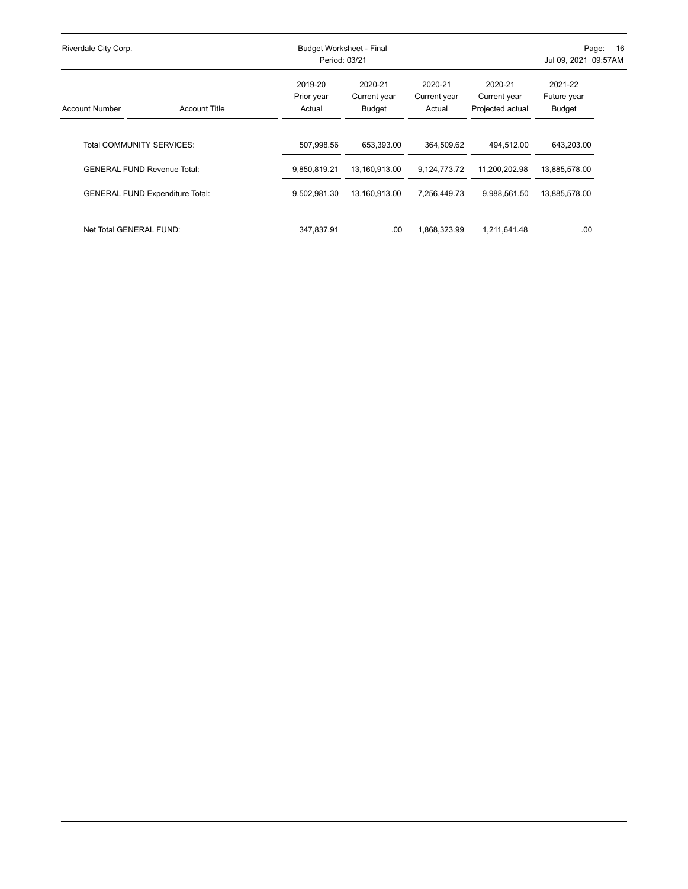| Riverdale City Corp.                   |                      |                                 | Budget Worksheet - Final<br>Period: 03/21 |                                   |                                             | -16<br>Page:<br>Jul 09, 2021 09:57AM |  |  |
|----------------------------------------|----------------------|---------------------------------|-------------------------------------------|-----------------------------------|---------------------------------------------|--------------------------------------|--|--|
| <b>Account Number</b>                  | <b>Account Title</b> | 2019-20<br>Prior year<br>Actual | 2020-21<br>Current year<br>Budget         | 2020-21<br>Current year<br>Actual | 2020-21<br>Current year<br>Projected actual | 2021-22<br>Future year<br>Budget     |  |  |
| Total COMMUNITY SERVICES:              |                      | 507,998.56                      | 653.393.00                                | 364.509.62                        | 494.512.00                                  | 643,203.00                           |  |  |
| <b>GENERAL FUND Revenue Total:</b>     |                      | 9,850,819.21                    | 13,160,913.00                             | 9,124,773.72                      | 11,200,202.98                               | 13,885,578.00                        |  |  |
| <b>GENERAL FUND Expenditure Total:</b> |                      | 9,502,981.30                    | 13,160,913.00                             | 7,256,449.73                      | 9,988,561.50                                | 13,885,578.00                        |  |  |
| Net Total GENERAL FUND:                |                      | 347,837.91                      | .00.                                      | 1,868,323.99                      | 1,211,641.48                                | .00                                  |  |  |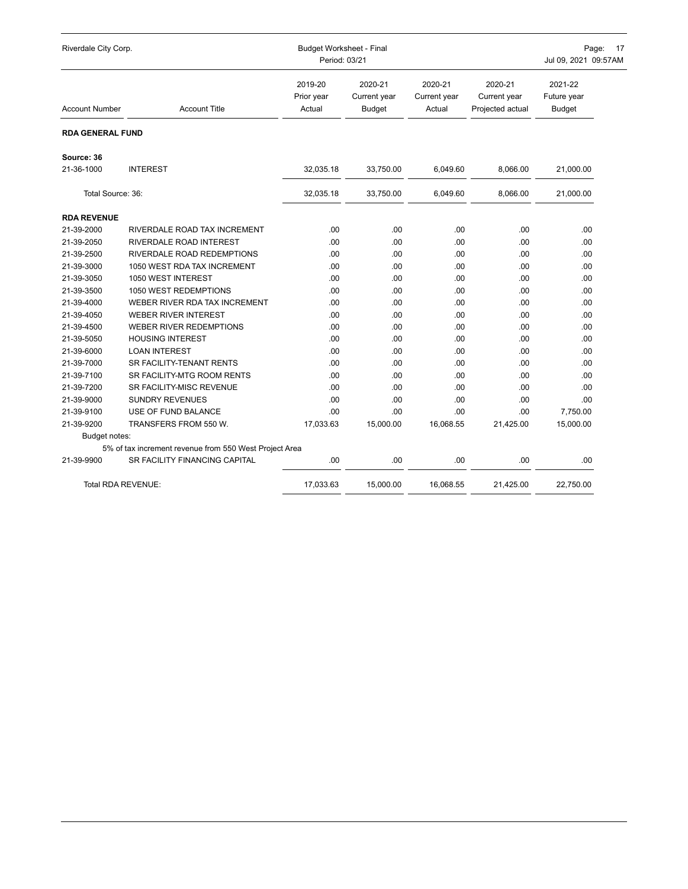| Riverdale City Corp.      |                                                        | <b>Budget Worksheet - Final</b><br>Period: 03/21 |                                          |                                   | Page: 17<br>Jul 09, 2021 09:57AM            |                                         |  |
|---------------------------|--------------------------------------------------------|--------------------------------------------------|------------------------------------------|-----------------------------------|---------------------------------------------|-----------------------------------------|--|
| <b>Account Number</b>     | <b>Account Title</b>                                   | 2019-20<br>Prior year<br>Actual                  | 2020-21<br>Current year<br><b>Budget</b> | 2020-21<br>Current year<br>Actual | 2020-21<br>Current year<br>Projected actual | 2021-22<br>Future year<br><b>Budget</b> |  |
| RDA GENERAL FUND          |                                                        |                                                  |                                          |                                   |                                             |                                         |  |
| Source: 36                |                                                        |                                                  |                                          |                                   |                                             |                                         |  |
| 21-36-1000                | <b>INTEREST</b>                                        | 32,035.18                                        | 33,750.00                                | 6,049.60                          | 8,066.00                                    | 21,000.00                               |  |
| Total Source: 36:         |                                                        | 32,035.18                                        | 33,750.00                                | 6,049.60                          | 8,066.00                                    | 21,000.00                               |  |
| <b>RDA REVENUE</b>        |                                                        |                                                  |                                          |                                   |                                             |                                         |  |
| 21-39-2000                | RIVERDALE ROAD TAX INCREMENT                           | .00                                              | .00                                      | .00                               | .00                                         | .00                                     |  |
| 21-39-2050                | RIVERDALE ROAD INTEREST                                | .00                                              | .00                                      | .00                               | .00                                         | .00                                     |  |
| 21-39-2500                | RIVERDALE ROAD REDEMPTIONS                             | .00                                              | .00                                      | .00                               | .00                                         | .00                                     |  |
| 21-39-3000                | 1050 WEST RDA TAX INCREMENT                            | .00                                              | .00                                      | .00                               | .00                                         | .00                                     |  |
| 21-39-3050                | 1050 WEST INTEREST                                     | .00                                              | .00                                      | .00                               | .00                                         | .00                                     |  |
| 21-39-3500                | 1050 WEST REDEMPTIONS                                  | .00                                              | .00                                      | .00                               | .00                                         | .00                                     |  |
| 21-39-4000                | WEBER RIVER RDA TAX INCREMENT                          | .00                                              | .00                                      | .00                               | .00                                         | .00                                     |  |
| 21-39-4050                | <b>WEBER RIVER INTEREST</b>                            | .00                                              | .00                                      | .00                               | .00                                         | .00                                     |  |
| 21-39-4500                | WEBER RIVER REDEMPTIONS                                | .00                                              | .00                                      | .00                               | .00                                         | .00                                     |  |
| 21-39-5050                | <b>HOUSING INTEREST</b>                                | .00                                              | .00                                      | .00                               | .00                                         | .00                                     |  |
| 21-39-6000                | <b>LOAN INTEREST</b>                                   | .00                                              | .00                                      | .00                               | .00                                         | .00                                     |  |
| 21-39-7000                | SR FACILITY-TENANT RENTS                               | .00                                              | .00                                      | .00                               | .00                                         | .00                                     |  |
| 21-39-7100                | SR FACILITY-MTG ROOM RENTS                             | .00                                              | .00                                      | .00                               | .00                                         | .00                                     |  |
| 21-39-7200                | SR FACILITY-MISC REVENUE                               | .00                                              | .00                                      | .00                               | .00                                         | .00                                     |  |
| 21-39-9000                | <b>SUNDRY REVENUES</b>                                 | .00                                              | .00                                      | .00                               | .00                                         | .00                                     |  |
| 21-39-9100                | USE OF FUND BALANCE                                    | .00                                              | .00                                      | .00                               | .00                                         | 7,750.00                                |  |
| 21-39-9200                | TRANSFERS FROM 550 W.                                  | 17,033.63                                        | 15,000.00                                | 16,068.55                         | 21,425.00                                   | 15,000.00                               |  |
| Budget notes:             |                                                        |                                                  |                                          |                                   |                                             |                                         |  |
|                           | 5% of tax increment revenue from 550 West Project Area |                                                  |                                          |                                   |                                             |                                         |  |
| 21-39-9900                | SR FACILITY FINANCING CAPITAL                          | .00                                              | .00                                      | .00                               | .00                                         | .00                                     |  |
| <b>Total RDA REVENUE:</b> |                                                        | 17.033.63                                        | 15.000.00                                | 16,068.55                         | 21.425.00                                   | 22.750.00                               |  |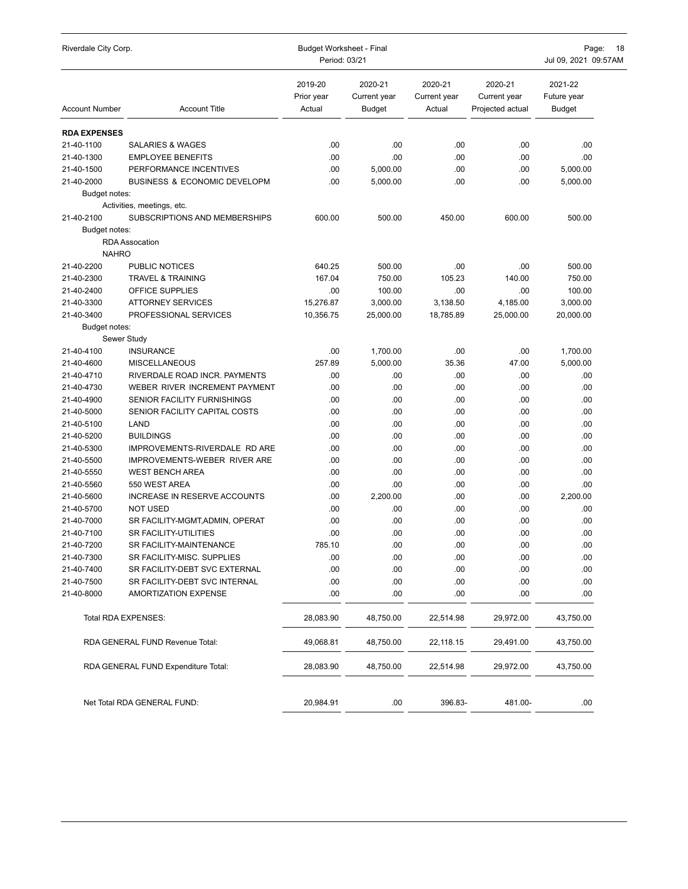| Riverdale City Corp.     |                                                                | <b>Budget Worksheet - Final</b><br>Period: 03/21 | Page:<br>18<br>Jul 09, 2021 09:57AM      |                                   |                                             |                                         |
|--------------------------|----------------------------------------------------------------|--------------------------------------------------|------------------------------------------|-----------------------------------|---------------------------------------------|-----------------------------------------|
| <b>Account Number</b>    | <b>Account Title</b>                                           | 2019-20<br>Prior year<br>Actual                  | 2020-21<br>Current year<br><b>Budget</b> | 2020-21<br>Current year<br>Actual | 2020-21<br>Current year<br>Projected actual | 2021-22<br>Future year<br><b>Budget</b> |
| <b>RDA EXPENSES</b>      |                                                                |                                                  |                                          |                                   |                                             |                                         |
| 21-40-1100               | <b>SALARIES &amp; WAGES</b>                                    | .00                                              | .00                                      | .00                               | .00                                         | .00                                     |
| 21-40-1300               | <b>EMPLOYEE BENEFITS</b>                                       | .00                                              | .00                                      | .00                               | .00                                         | .00                                     |
| 21-40-1500               | PERFORMANCE INCENTIVES                                         | .00                                              | 5,000.00                                 | .00                               | .00                                         | 5,000.00                                |
| 21-40-2000               | <b>BUSINESS &amp; ECONOMIC DEVELOPM</b>                        | .00                                              | 5,000.00                                 | .00                               | .00                                         | 5,000.00                                |
| Budget notes:            |                                                                |                                                  |                                          |                                   |                                             |                                         |
|                          | Activities, meetings, etc.                                     |                                                  |                                          |                                   |                                             |                                         |
| 21-40-2100               | SUBSCRIPTIONS AND MEMBERSHIPS                                  | 600.00                                           | 500.00                                   | 450.00                            | 600.00                                      | 500.00                                  |
| Budget notes:            |                                                                |                                                  |                                          |                                   |                                             |                                         |
|                          | <b>RDA</b> Assocation                                          |                                                  |                                          |                                   |                                             |                                         |
| <b>NAHRO</b>             |                                                                |                                                  |                                          |                                   |                                             |                                         |
| 21-40-2200               | PUBLIC NOTICES                                                 | 640.25                                           | 500.00                                   | .00                               | .00                                         | 500.00                                  |
| 21-40-2300               | <b>TRAVEL &amp; TRAINING</b>                                   | 167.04                                           | 750.00                                   | 105.23                            | 140.00                                      | 750.00                                  |
| 21-40-2400               | OFFICE SUPPLIES                                                | .00                                              | 100.00                                   | .00                               | .00                                         | 100.00                                  |
| 21-40-3300               | <b>ATTORNEY SERVICES</b>                                       | 15.276.87                                        | 3,000.00                                 | 3,138.50                          | 4,185.00                                    | 3,000.00                                |
| 21-40-3400               | PROFESSIONAL SERVICES                                          | 10,356.75                                        | 25,000.00                                | 18,785.89                         | 25,000.00                                   | 20,000.00                               |
| Budget notes:            |                                                                |                                                  |                                          |                                   |                                             |                                         |
|                          | Sewer Study                                                    |                                                  |                                          |                                   |                                             |                                         |
| 21-40-4100               | <b>INSURANCE</b>                                               | .00                                              | 1,700.00                                 | .00                               | .00                                         | 1,700.00                                |
| 21-40-4600               | <b>MISCELLANEOUS</b>                                           | 257.89                                           | 5,000.00                                 | 35.36                             | 47.00                                       | 5,000.00                                |
| 21-40-4710               | RIVERDALE ROAD INCR. PAYMENTS                                  | .00                                              | .00                                      | .00                               | .00                                         | .00                                     |
| 21-40-4730               | WEBER RIVER INCREMENT PAYMENT                                  | .00                                              | .00                                      | .00                               | .00                                         | .00                                     |
| 21-40-4900               | <b>SENIOR FACILITY FURNISHINGS</b>                             | .00                                              | .00                                      | .00                               | .00                                         | .00                                     |
| 21-40-5000               | SENIOR FACILITY CAPITAL COSTS                                  | .00                                              | .00                                      | .00                               | .00                                         | .00                                     |
| 21-40-5100               | LAND                                                           | .00                                              | .00                                      | .00                               | .00                                         | .00                                     |
| 21-40-5200               | <b>BUILDINGS</b>                                               | .00                                              | .00                                      | .00                               | .00                                         | .00                                     |
| 21-40-5300               | IMPROVEMENTS-RIVERDALE RD ARE                                  | .00                                              | .00                                      | .00                               | .00                                         | .00                                     |
| 21-40-5500               | IMPROVEMENTS-WEBER RIVER ARE                                   | .00                                              | .00                                      | .00                               | .00                                         | .00                                     |
| 21-40-5550               | <b>WEST BENCH AREA</b>                                         | .00                                              | .00                                      | .00                               | .00                                         | .00                                     |
| 21-40-5560               | 550 WEST AREA                                                  | .00                                              | .00                                      | .00                               | .00                                         | .00                                     |
| 21-40-5600               | INCREASE IN RESERVE ACCOUNTS                                   | .00                                              | 2,200.00                                 | .00                               | .00                                         | 2,200.00                                |
| 21-40-5700               | <b>NOT USED</b>                                                | .00                                              | .00                                      | .00                               | .00                                         | .00                                     |
| 21-40-7000               | SR FACILITY-MGMT, ADMIN, OPERAT                                | .00                                              | .00                                      | .00                               | .00                                         | .00                                     |
| 21-40-7100               | <b>SR FACILITY-UTILITIES</b>                                   | .00                                              | .00                                      | .00                               | .00                                         | .00                                     |
| 21-40-7200               | SR FACILITY-MAINTENANCE                                        | 785.10                                           | .00                                      | .00                               | .00                                         | .00                                     |
| 21-40-7300               | SR FACILITY-MISC. SUPPLIES                                     | .00                                              | .00                                      | .00                               | .00                                         | .00                                     |
| 21-40-7400               | SR FACILITY-DEBT SVC EXTERNAL<br>SR FACILITY-DEBT SVC INTERNAL | .00<br>.00                                       | .00                                      | .00<br>.00                        | .00<br>.00                                  | .00<br>.00                              |
| 21-40-7500<br>21-40-8000 | <b>AMORTIZATION EXPENSE</b>                                    | .00                                              | .00<br>.00                               | .00                               | .00                                         | .00                                     |
|                          | Total RDA EXPENSES:                                            | 28,083.90                                        | 48,750.00                                | 22,514.98                         | 29,972.00                                   | 43,750.00                               |
|                          | RDA GENERAL FUND Revenue Total:                                | 49,068.81                                        | 48,750.00                                | 22,118.15                         | 29,491.00                                   | 43,750.00                               |
|                          | RDA GENERAL FUND Expenditure Total:                            | 28,083.90                                        | 48,750.00                                | 22,514.98                         | 29,972.00                                   | 43,750.00                               |
|                          | Net Total RDA GENERAL FUND:                                    | 20,984.91                                        | .00                                      | 396.83-                           | 481.00-                                     | .00                                     |
|                          |                                                                |                                                  |                                          |                                   |                                             |                                         |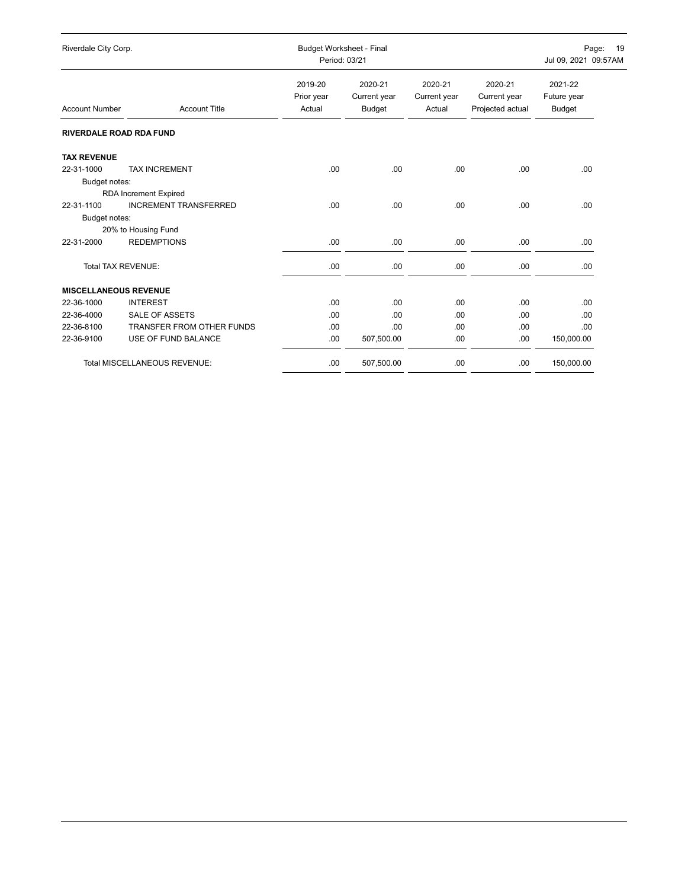| Riverdale City Corp.           |                                     | <b>Budget Worksheet - Final</b><br>Period: 03/21 |                                          |                                   |                                             | Page: 19<br>Jul 09, 2021 09:57AM |  |
|--------------------------------|-------------------------------------|--------------------------------------------------|------------------------------------------|-----------------------------------|---------------------------------------------|----------------------------------|--|
| <b>Account Number</b>          | <b>Account Title</b>                | 2019-20<br>Prior year<br>Actual                  | 2020-21<br>Current year<br><b>Budget</b> | 2020-21<br>Current year<br>Actual | 2020-21<br>Current year<br>Projected actual | 2021-22<br>Future year<br>Budget |  |
| <b>RIVERDALE ROAD RDA FUND</b> |                                     |                                                  |                                          |                                   |                                             |                                  |  |
| <b>TAX REVENUE</b>             |                                     |                                                  |                                          |                                   |                                             |                                  |  |
| 22-31-1000                     | <b>TAX INCREMENT</b>                | .00                                              | .00                                      | .00.                              | .00                                         | .00                              |  |
| Budget notes:                  |                                     |                                                  |                                          |                                   |                                             |                                  |  |
|                                | <b>RDA Increment Expired</b>        |                                                  |                                          |                                   |                                             |                                  |  |
| 22-31-1100                     | <b>INCREMENT TRANSFERRED</b>        | .00                                              | .00                                      | .00                               | .00.                                        | .00                              |  |
| Budget notes:                  |                                     |                                                  |                                          |                                   |                                             |                                  |  |
|                                | 20% to Housing Fund                 |                                                  |                                          |                                   |                                             |                                  |  |
| 22-31-2000                     | <b>REDEMPTIONS</b>                  | .00.                                             | .00                                      | .00                               | .00                                         | .00                              |  |
| Total TAX REVENUE:             |                                     | .00                                              | .00                                      | .00                               | .00                                         | .00                              |  |
| <b>MISCELLANEOUS REVENUE</b>   |                                     |                                                  |                                          |                                   |                                             |                                  |  |
| 22-36-1000                     | <b>INTEREST</b>                     | .00.                                             | .00.                                     | .00.                              | .00                                         | .00                              |  |
| 22-36-4000                     | SALE OF ASSETS                      | .00                                              | .00                                      | .00.                              | .00                                         | .00                              |  |
| 22-36-8100                     | <b>TRANSFER FROM OTHER FUNDS</b>    | .00.                                             | .00                                      | .00.                              | .00                                         | .00                              |  |
| 22-36-9100                     | USE OF FUND BALANCE                 | .00.                                             | 507,500.00                               | .00                               | .00.                                        | 150,000.00                       |  |
|                                | <b>Total MISCELLANEOUS REVENUE:</b> | .00                                              | 507,500.00                               | .00.                              | .00.                                        | 150,000.00                       |  |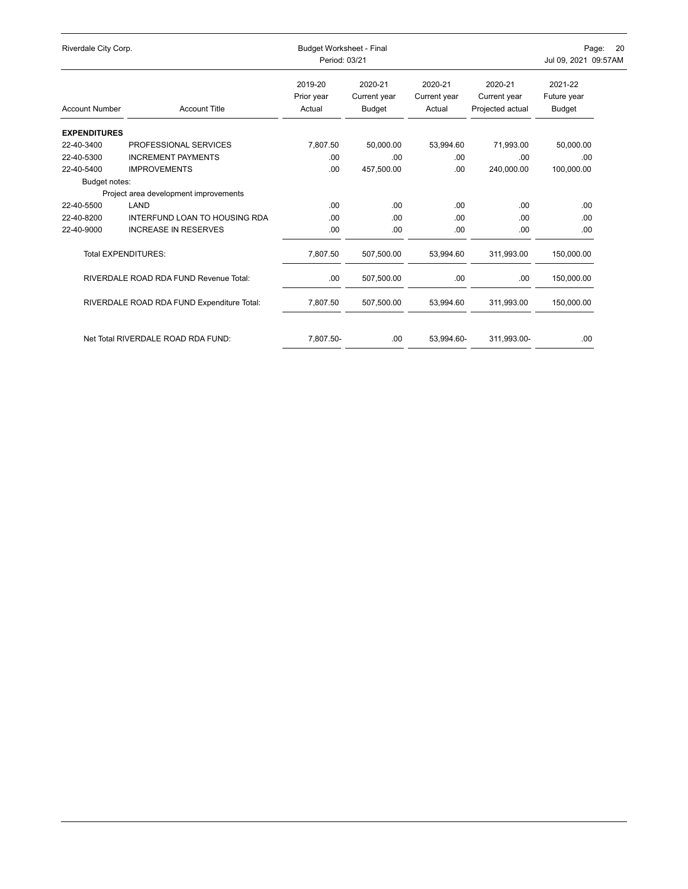| Riverdale City Corp.  |                                            | <b>Budget Worksheet - Final</b><br>Period: 03/21 | Page:<br><b>20</b><br>Jul 09, 2021 09:57AM |                                   |                                             |                                         |
|-----------------------|--------------------------------------------|--------------------------------------------------|--------------------------------------------|-----------------------------------|---------------------------------------------|-----------------------------------------|
| <b>Account Number</b> | <b>Account Title</b>                       | 2019-20<br>Prior year<br>Actual                  | 2020-21<br>Current year<br><b>Budget</b>   | 2020-21<br>Current year<br>Actual | 2020-21<br>Current year<br>Projected actual | 2021-22<br>Future year<br><b>Budget</b> |
| <b>EXPENDITURES</b>   |                                            |                                                  |                                            |                                   |                                             |                                         |
| 22-40-3400            | PROFESSIONAL SERVICES                      | 7,807.50                                         | 50,000.00                                  | 53,994.60                         | 71,993.00                                   | 50,000.00                               |
| 22-40-5300            | <b>INCREMENT PAYMENTS</b>                  | .00.                                             | .00                                        | .00                               | .00                                         | .00                                     |
| 22-40-5400            | <b>IMPROVEMENTS</b>                        | .00.                                             | 457,500.00                                 | .00.                              | 240.000.00                                  | 100,000.00                              |
| Budget notes:         |                                            |                                                  |                                            |                                   |                                             |                                         |
|                       | Project area development improvements      |                                                  |                                            |                                   |                                             |                                         |
| 22-40-5500            | LAND                                       | .00.                                             | .00                                        | .00                               | .00                                         | .00                                     |
| 22-40-8200            | INTERFUND LOAN TO HOUSING RDA              | .00                                              | .00                                        | .00.                              | .00                                         | .00                                     |
| 22-40-9000            | <b>INCREASE IN RESERVES</b>                | .00                                              | .00                                        | .00.                              | .00                                         | .00                                     |
|                       | <b>Total EXPENDITURES:</b>                 | 7,807.50                                         | 507,500.00                                 | 53,994.60                         | 311,993.00                                  | 150,000.00                              |
|                       | RIVERDALE ROAD RDA FUND Revenue Total:     | .00.                                             | 507,500.00                                 | .00.                              | .00.                                        | 150,000.00                              |
|                       | RIVERDALE ROAD RDA FUND Expenditure Total: | 7,807.50                                         | 507,500.00                                 | 53,994.60                         | 311,993.00                                  | 150,000.00                              |
|                       | Net Total RIVERDALE ROAD RDA FUND:         | 7,807.50-                                        | .00.                                       | 53,994.60-                        | 311,993.00-                                 | .00                                     |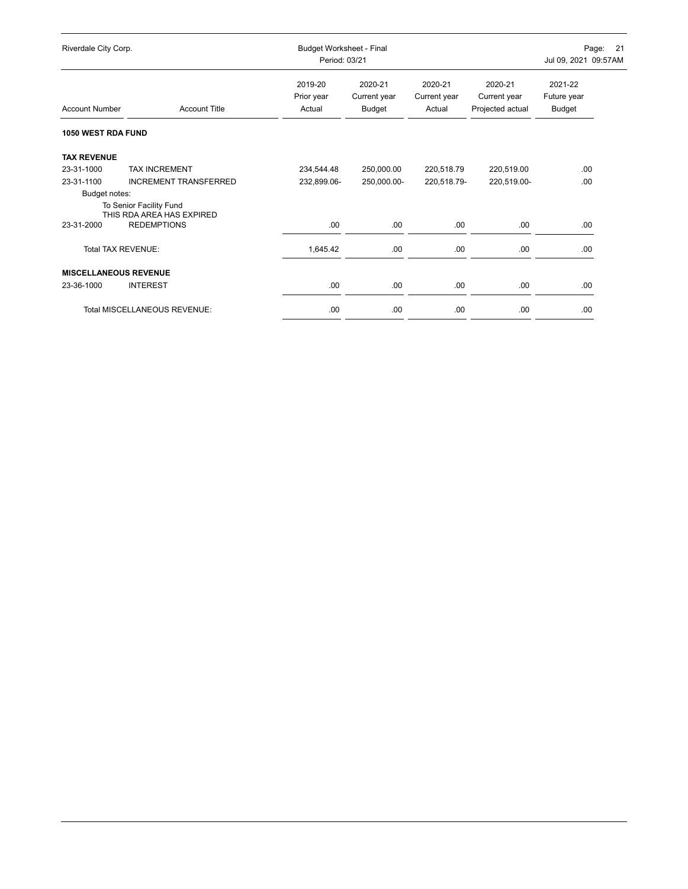| Riverdale City Corp.                |                              | Budget Worksheet - Final<br>Period: 03/21 |                                   |                                   |                                             | 21<br>Jul 09, 2021 09:57AM       |  |
|-------------------------------------|------------------------------|-------------------------------------------|-----------------------------------|-----------------------------------|---------------------------------------------|----------------------------------|--|
| <b>Account Number</b>               | <b>Account Title</b>         | 2019-20<br>Prior year<br>Actual           | 2020-21<br>Current year<br>Budget | 2020-21<br>Current year<br>Actual | 2020-21<br>Current year<br>Projected actual | 2021-22<br>Future year<br>Budget |  |
| <b>1050 WEST RDA FUND</b>           |                              |                                           |                                   |                                   |                                             |                                  |  |
| <b>TAX REVENUE</b>                  |                              |                                           |                                   |                                   |                                             |                                  |  |
| 23-31-1000                          | <b>TAX INCREMENT</b>         | 234,544.48                                | 250,000.00                        | 220,518.79                        | 220,519.00                                  | .00                              |  |
| 23-31-1100                          | <b>INCREMENT TRANSFERRED</b> | 232,899.06-                               | 250,000.00-                       | 220,518.79-                       | 220,519.00-                                 | .00                              |  |
| Budget notes:                       |                              |                                           |                                   |                                   |                                             |                                  |  |
| To Senior Facility Fund             | THIS RDA AREA HAS EXPIRED    |                                           |                                   |                                   |                                             |                                  |  |
| <b>REDEMPTIONS</b><br>23-31-2000    |                              | .00.                                      | .00                               | .00.                              | .00.                                        | .00.                             |  |
| Total TAX REVENUE:                  |                              | 1,645.42                                  | .00                               | .00                               | .00.                                        | .00                              |  |
| <b>MISCELLANEOUS REVENUE</b>        |                              |                                           |                                   |                                   |                                             |                                  |  |
| <b>INTEREST</b><br>23-36-1000       |                              | .00                                       | .00                               | .00                               | .00.                                        | .00                              |  |
| <b>Total MISCELLANEOUS REVENUE:</b> |                              | .00                                       | .00                               | .00.                              | .00.                                        | .00                              |  |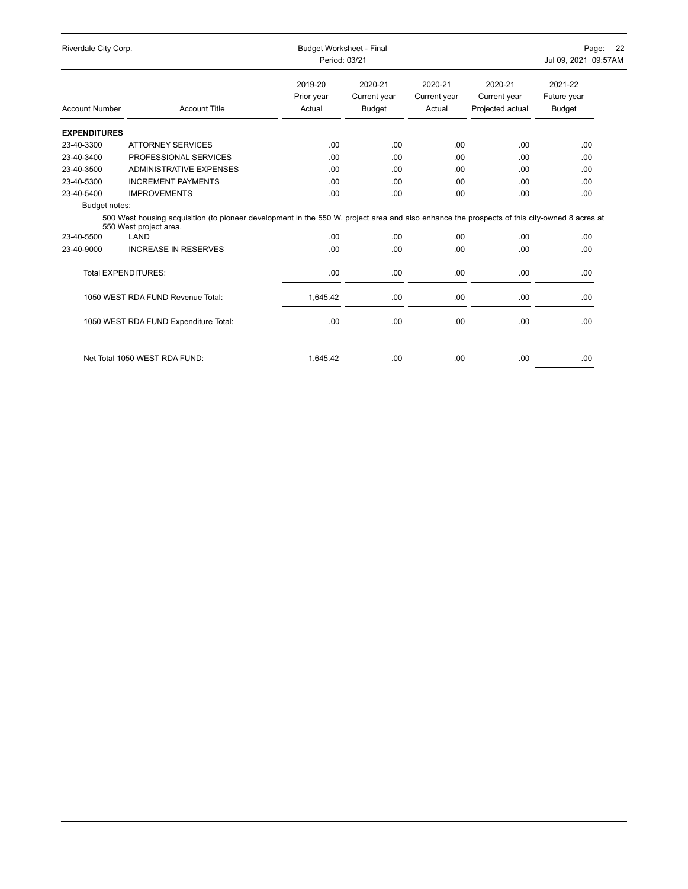| Riverdale City Corp.  |                                                                                                                                                                        | <b>Budget Worksheet - Final</b><br>Period: 03/21 |                                          |                                   | Page: 22<br>Jul 09, 2021 09:57AM            |                                         |  |
|-----------------------|------------------------------------------------------------------------------------------------------------------------------------------------------------------------|--------------------------------------------------|------------------------------------------|-----------------------------------|---------------------------------------------|-----------------------------------------|--|
| <b>Account Number</b> | <b>Account Title</b>                                                                                                                                                   | 2019-20<br>Prior year<br>Actual                  | 2020-21<br>Current year<br><b>Budget</b> | 2020-21<br>Current year<br>Actual | 2020-21<br>Current year<br>Projected actual | 2021-22<br>Future year<br><b>Budget</b> |  |
| <b>EXPENDITURES</b>   |                                                                                                                                                                        |                                                  |                                          |                                   |                                             |                                         |  |
| 23-40-3300            | <b>ATTORNEY SERVICES</b>                                                                                                                                               | .00.                                             | .00                                      | .00                               | .00.                                        | .00                                     |  |
| 23-40-3400            | PROFESSIONAL SERVICES                                                                                                                                                  | .00.                                             | .00                                      | .00                               | .00                                         | .00                                     |  |
| 23-40-3500            | <b>ADMINISTRATIVE EXPENSES</b>                                                                                                                                         | .00.                                             | .00                                      | .00                               | .00.                                        | .00.                                    |  |
| 23-40-5300            | <b>INCREMENT PAYMENTS</b>                                                                                                                                              | .00.                                             | .00                                      | .00                               | .00                                         | .00                                     |  |
| 23-40-5400            | <b>IMPROVEMENTS</b>                                                                                                                                                    | .00.                                             | .00.                                     | .00                               | .00.                                        | .00.                                    |  |
| Budget notes:         |                                                                                                                                                                        |                                                  |                                          |                                   |                                             |                                         |  |
|                       | 500 West housing acquisition (to pioneer development in the 550 W. project area and also enhance the prospects of this city-owned 8 acres at<br>550 West project area. |                                                  |                                          |                                   |                                             |                                         |  |
| 23-40-5500            | LAND                                                                                                                                                                   | .00.                                             | .00.                                     | .00                               | .00.                                        | .00.                                    |  |
| 23-40-9000            | <b>INCREASE IN RESERVES</b>                                                                                                                                            | .00                                              | .00                                      | .00                               | .00.                                        | .00.                                    |  |
|                       | <b>Total EXPENDITURES:</b>                                                                                                                                             | .00                                              | .00                                      | .00.                              | .00                                         | .00                                     |  |
|                       | 1050 WEST RDA FUND Revenue Total:                                                                                                                                      | 1,645.42                                         | .00.                                     | .00                               | .00.                                        | .00                                     |  |
|                       | 1050 WEST RDA FUND Expenditure Total:                                                                                                                                  | .00.                                             | .00                                      | .00                               | .00.                                        | .00.                                    |  |
|                       | Net Total 1050 WEST RDA FUND:                                                                                                                                          | 1,645.42                                         | .00.                                     | .00.                              | .00.                                        | .00                                     |  |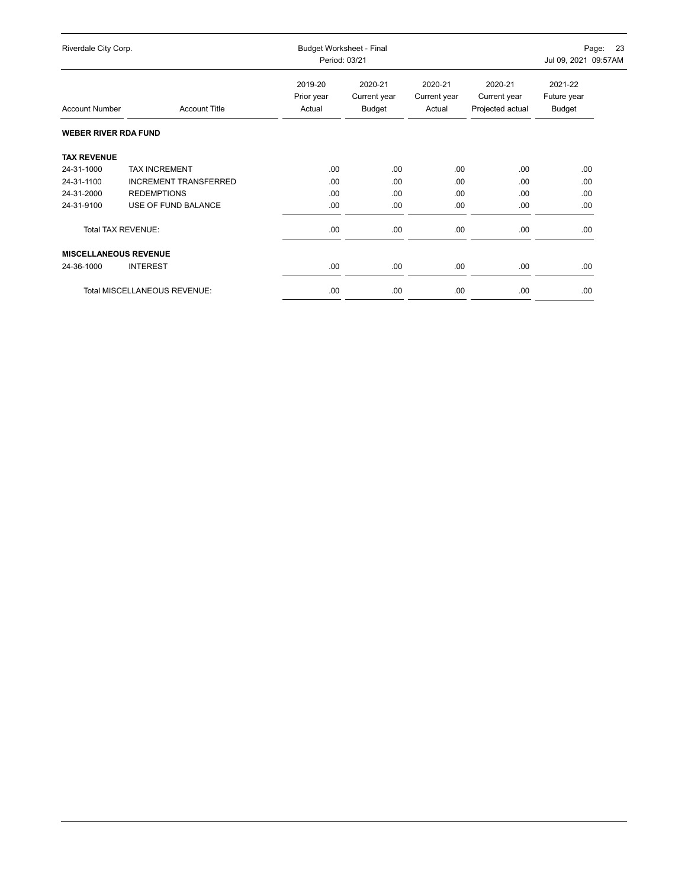| Riverdale City Corp.         |                                     | Budget Worksheet - Final<br>Period: 03/21 |                                   |                                   |                                             | 23<br>Page:<br>Jul 09, 2021 09:57AM |  |  |
|------------------------------|-------------------------------------|-------------------------------------------|-----------------------------------|-----------------------------------|---------------------------------------------|-------------------------------------|--|--|
| <b>Account Number</b>        | <b>Account Title</b>                | 2019-20<br>Prior year<br>Actual           | 2020-21<br>Current year<br>Budget | 2020-21<br>Current year<br>Actual | 2020-21<br>Current year<br>Projected actual | 2021-22<br>Future year<br>Budget    |  |  |
| <b>WEBER RIVER RDA FUND</b>  |                                     |                                           |                                   |                                   |                                             |                                     |  |  |
| <b>TAX REVENUE</b>           |                                     |                                           |                                   |                                   |                                             |                                     |  |  |
| 24-31-1000                   | <b>TAX INCREMENT</b>                | .00.                                      | .00.                              | .00.                              | .00                                         | .00                                 |  |  |
| 24-31-1100                   | <b>INCREMENT TRANSFERRED</b>        | .00.                                      | .00                               | .00                               | .00                                         | .00                                 |  |  |
| 24-31-2000                   | <b>REDEMPTIONS</b>                  | .00                                       | .00                               | .00.                              | .00                                         | .00                                 |  |  |
| 24-31-9100                   | USE OF FUND BALANCE                 | .00                                       | .00                               | .00.                              | .00.                                        | .00                                 |  |  |
| Total TAX REVENUE:           |                                     | .00                                       | .00                               | .00                               | .00.                                        | .00                                 |  |  |
| <b>MISCELLANEOUS REVENUE</b> |                                     |                                           |                                   |                                   |                                             |                                     |  |  |
| 24-36-1000                   | <b>INTEREST</b>                     | .00                                       | .00                               | .00.                              | .00.                                        | .00                                 |  |  |
|                              | <b>Total MISCELLANEOUS REVENUE:</b> | .00                                       | .00                               | .00                               | .00                                         | .00                                 |  |  |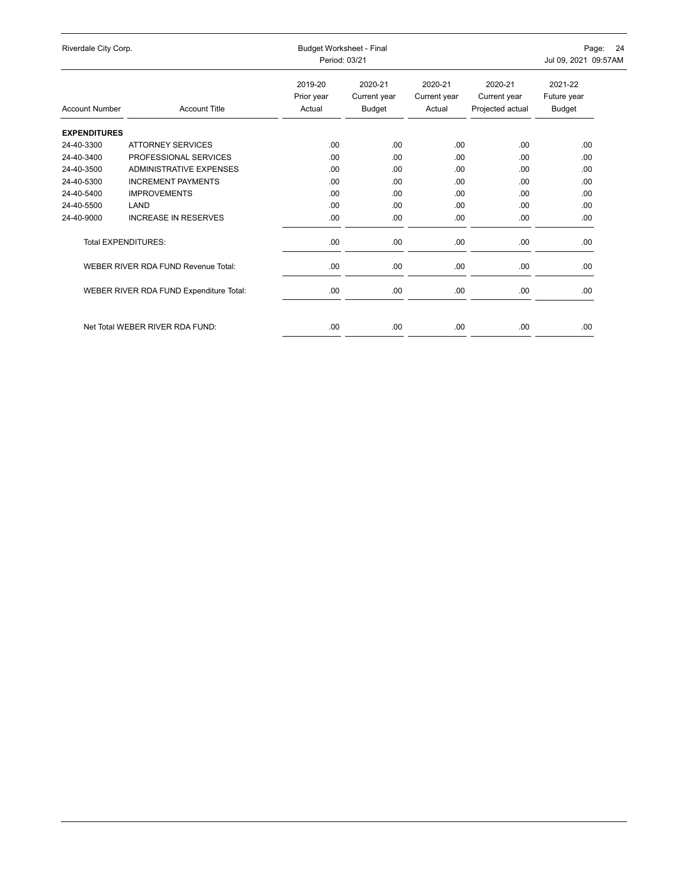| Riverdale City Corp.  |                                         |                                 | Budget Worksheet - Final<br>Period: 03/21 |                                   |                                             |                                         |
|-----------------------|-----------------------------------------|---------------------------------|-------------------------------------------|-----------------------------------|---------------------------------------------|-----------------------------------------|
| <b>Account Number</b> | <b>Account Title</b>                    | 2019-20<br>Prior year<br>Actual | 2020-21<br>Current year<br>Budget         | 2020-21<br>Current year<br>Actual | 2020-21<br>Current year<br>Projected actual | 2021-22<br>Future year<br><b>Budget</b> |
| <b>EXPENDITURES</b>   |                                         |                                 |                                           |                                   |                                             |                                         |
| 24-40-3300            | <b>ATTORNEY SERVICES</b>                | .00                             | .00.                                      | .00                               | .00.                                        | .00                                     |
| 24-40-3400            | PROFESSIONAL SERVICES                   | .00                             | .00.                                      | .00                               | .00.                                        | .00                                     |
| 24-40-3500            | ADMINISTRATIVE EXPENSES                 | .00                             | .00.                                      | .00                               | .00                                         | .00                                     |
| 24-40-5300            | <b>INCREMENT PAYMENTS</b>               | .00                             | .00.                                      | .00                               | .00.                                        | .00                                     |
| 24-40-5400            | <b>IMPROVEMENTS</b>                     | .00                             | .00.                                      | .00                               | .00.                                        | .00                                     |
| 24-40-5500            | LAND                                    | .00                             | .00.                                      | .00                               | .00.                                        | .00                                     |
| 24-40-9000            | <b>INCREASE IN RESERVES</b>             | .00.                            | .00                                       | .00                               | .00                                         | .00                                     |
|                       | <b>Total EXPENDITURES:</b>              | .00.                            | .00                                       | .00                               | .00                                         | .00                                     |
|                       | WEBER RIVER RDA FUND Revenue Total:     | .00.                            | .00.                                      | .00                               | .00                                         | .00                                     |
|                       | WEBER RIVER RDA FUND Expenditure Total: | .00.                            | .00                                       | .00                               | .00                                         | .00                                     |
|                       |                                         |                                 |                                           |                                   |                                             |                                         |
|                       | Net Total WEBER RIVER RDA FUND:         | .00                             | .00                                       | .00                               | .00                                         | .00                                     |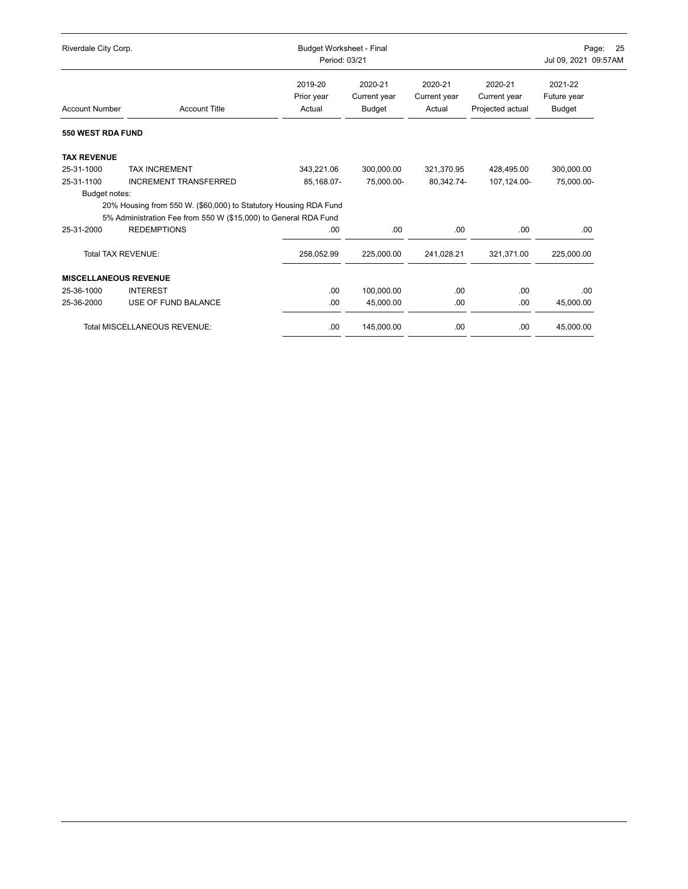| Riverdale City Corp.         |                                                                  |                                 | Budget Worksheet - Final<br>Period: 03/21 |                                   |                                             |                                         |  |
|------------------------------|------------------------------------------------------------------|---------------------------------|-------------------------------------------|-----------------------------------|---------------------------------------------|-----------------------------------------|--|
| <b>Account Number</b>        | <b>Account Title</b>                                             | 2019-20<br>Prior year<br>Actual | 2020-21<br>Current year<br><b>Budget</b>  | 2020-21<br>Current year<br>Actual | 2020-21<br>Current year<br>Projected actual | 2021-22<br>Future year<br><b>Budget</b> |  |
| 550 WEST RDA FUND            |                                                                  |                                 |                                           |                                   |                                             |                                         |  |
| <b>TAX REVENUE</b>           |                                                                  |                                 |                                           |                                   |                                             |                                         |  |
| 25-31-1000                   | <b>TAX INCREMENT</b>                                             | 343,221.06                      | 300,000.00                                | 321,370.95                        | 428.495.00                                  | 300,000.00                              |  |
| 25-31-1100                   | <b>INCREMENT TRANSFERRED</b>                                     | 85,168.07-                      | 75.000.00-                                | 80.342.74-                        | 107,124.00-                                 | 75,000.00-                              |  |
| Budget notes:                |                                                                  |                                 |                                           |                                   |                                             |                                         |  |
|                              | 20% Housing from 550 W. (\$60,000) to Statutory Housing RDA Fund |                                 |                                           |                                   |                                             |                                         |  |
|                              | 5% Administration Fee from 550 W (\$15,000) to General RDA Fund  |                                 |                                           |                                   |                                             |                                         |  |
| 25-31-2000                   | <b>REDEMPTIONS</b>                                               | .00.                            | .00                                       | .00.                              | .00                                         | .00                                     |  |
| <b>Total TAX REVENUE:</b>    |                                                                  | 258,052.99                      | 225,000.00                                | 241,028.21                        | 321,371.00                                  | 225,000.00                              |  |
| <b>MISCELLANEOUS REVENUE</b> |                                                                  |                                 |                                           |                                   |                                             |                                         |  |
| 25-36-1000                   | <b>INTEREST</b>                                                  | .00.                            | 100,000.00                                | .00.                              | .00                                         | .00                                     |  |
| 25-36-2000                   | USE OF FUND BALANCE                                              | .00                             | 45,000.00                                 | .00.                              | .00                                         | 45,000.00                               |  |
|                              | Total MISCELLANEOUS REVENUE:                                     | .00                             | 145,000.00                                | .00                               | .00                                         | 45,000.00                               |  |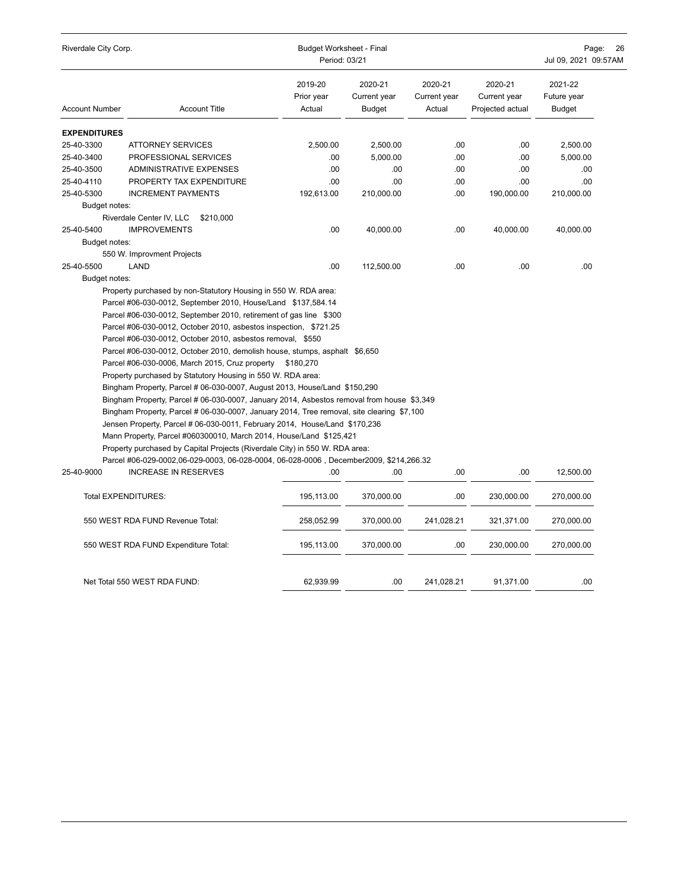| Riverdale City Corp.  |                                                                                                                                                                                                                                                                                                                                                                                                                                                                                                                                                                                                                                                                                                                                                                                                                                                                                                                                                                                                                                                                       |                                 | <b>Budget Worksheet - Final</b><br>Period: 03/21 |                                   |                                             |                                         |  |
|-----------------------|-----------------------------------------------------------------------------------------------------------------------------------------------------------------------------------------------------------------------------------------------------------------------------------------------------------------------------------------------------------------------------------------------------------------------------------------------------------------------------------------------------------------------------------------------------------------------------------------------------------------------------------------------------------------------------------------------------------------------------------------------------------------------------------------------------------------------------------------------------------------------------------------------------------------------------------------------------------------------------------------------------------------------------------------------------------------------|---------------------------------|--------------------------------------------------|-----------------------------------|---------------------------------------------|-----------------------------------------|--|
| <b>Account Number</b> | <b>Account Title</b>                                                                                                                                                                                                                                                                                                                                                                                                                                                                                                                                                                                                                                                                                                                                                                                                                                                                                                                                                                                                                                                  | 2019-20<br>Prior year<br>Actual | 2020-21<br>Current year<br><b>Budget</b>         | 2020-21<br>Current year<br>Actual | 2020-21<br>Current year<br>Projected actual | 2021-22<br>Future year<br><b>Budget</b> |  |
| <b>EXPENDITURES</b>   |                                                                                                                                                                                                                                                                                                                                                                                                                                                                                                                                                                                                                                                                                                                                                                                                                                                                                                                                                                                                                                                                       |                                 |                                                  |                                   |                                             |                                         |  |
| 25-40-3300            | <b>ATTORNEY SERVICES</b>                                                                                                                                                                                                                                                                                                                                                                                                                                                                                                                                                                                                                                                                                                                                                                                                                                                                                                                                                                                                                                              | 2,500.00                        | 2,500.00                                         | .00                               | .00                                         | 2,500.00                                |  |
| 25-40-3400            | PROFESSIONAL SERVICES                                                                                                                                                                                                                                                                                                                                                                                                                                                                                                                                                                                                                                                                                                                                                                                                                                                                                                                                                                                                                                                 | .00                             | 5,000.00                                         | .00.                              | .00                                         | 5,000.00                                |  |
| 25-40-3500            | <b>ADMINISTRATIVE EXPENSES</b>                                                                                                                                                                                                                                                                                                                                                                                                                                                                                                                                                                                                                                                                                                                                                                                                                                                                                                                                                                                                                                        | .00                             | .00                                              | .00                               | .00.                                        | .00                                     |  |
| 25-40-4110            | PROPERTY TAX EXPENDITURE                                                                                                                                                                                                                                                                                                                                                                                                                                                                                                                                                                                                                                                                                                                                                                                                                                                                                                                                                                                                                                              | .00                             | .00                                              | .00                               | .00                                         | .00                                     |  |
| 25-40-5300            | <b>INCREMENT PAYMENTS</b>                                                                                                                                                                                                                                                                                                                                                                                                                                                                                                                                                                                                                                                                                                                                                                                                                                                                                                                                                                                                                                             | 192,613.00                      | 210,000.00                                       | .00                               | 190,000.00                                  | 210,000.00                              |  |
| Budget notes:         |                                                                                                                                                                                                                                                                                                                                                                                                                                                                                                                                                                                                                                                                                                                                                                                                                                                                                                                                                                                                                                                                       |                                 |                                                  |                                   |                                             |                                         |  |
|                       | Riverdale Center IV, LLC<br>\$210,000                                                                                                                                                                                                                                                                                                                                                                                                                                                                                                                                                                                                                                                                                                                                                                                                                                                                                                                                                                                                                                 |                                 |                                                  |                                   |                                             |                                         |  |
| 25-40-5400            | <b>IMPROVEMENTS</b>                                                                                                                                                                                                                                                                                                                                                                                                                                                                                                                                                                                                                                                                                                                                                                                                                                                                                                                                                                                                                                                   | .00                             | 40,000.00                                        | .00                               | 40,000.00                                   | 40,000.00                               |  |
| Budget notes:         |                                                                                                                                                                                                                                                                                                                                                                                                                                                                                                                                                                                                                                                                                                                                                                                                                                                                                                                                                                                                                                                                       |                                 |                                                  |                                   |                                             |                                         |  |
|                       | 550 W. Improvment Projects                                                                                                                                                                                                                                                                                                                                                                                                                                                                                                                                                                                                                                                                                                                                                                                                                                                                                                                                                                                                                                            |                                 |                                                  |                                   |                                             |                                         |  |
| 25-40-5500            | LAND                                                                                                                                                                                                                                                                                                                                                                                                                                                                                                                                                                                                                                                                                                                                                                                                                                                                                                                                                                                                                                                                  | .00                             | 112,500.00                                       | .00                               | .00                                         | .00.                                    |  |
| Budget notes:         | Property purchased by non-Statutory Housing in 550 W. RDA area:                                                                                                                                                                                                                                                                                                                                                                                                                                                                                                                                                                                                                                                                                                                                                                                                                                                                                                                                                                                                       |                                 |                                                  |                                   |                                             |                                         |  |
|                       | Parcel #06-030-0012, September 2010, House/Land \$137,584.14<br>Parcel #06-030-0012, September 2010, retirement of gas line \$300<br>Parcel #06-030-0012, October 2010, asbestos inspection, \$721.25<br>Parcel #06-030-0012, October 2010, asbestos removal, \$550<br>Parcel #06-030-0012, October 2010, demolish house, stumps, asphalt \$6,650<br>Parcel #06-030-0006, March 2015, Cruz property<br>Property purchased by Statutory Housing in 550 W. RDA area:<br>Bingham Property, Parcel # 06-030-0007, August 2013, House/Land \$150,290<br>Bingham Property, Parcel # 06-030-0007, January 2014, Asbestos removal from house \$3,349<br>Bingham Property, Parcel # 06-030-0007, January 2014, Tree removal, site clearing \$7,100<br>Jensen Property, Parcel # 06-030-0011, February 2014, House/Land \$170,236<br>Mann Property, Parcel #060300010, March 2014, House/Land \$125,421<br>Property purchased by Capital Projects (Riverdale City) in 550 W. RDA area:<br>Parcel #06-029-0002,06-029-0003, 06-028-0004, 06-028-0006, December2009, \$214,266.32 | \$180,270                       |                                                  |                                   |                                             |                                         |  |
| 25-40-9000            | <b>INCREASE IN RESERVES</b>                                                                                                                                                                                                                                                                                                                                                                                                                                                                                                                                                                                                                                                                                                                                                                                                                                                                                                                                                                                                                                           | .00                             | .00                                              | .00                               | .00                                         | 12,500.00                               |  |
|                       | Total EXPENDITURES:                                                                                                                                                                                                                                                                                                                                                                                                                                                                                                                                                                                                                                                                                                                                                                                                                                                                                                                                                                                                                                                   | 195,113.00                      | 370,000.00                                       | .00                               | 230,000.00                                  | 270,000.00                              |  |
|                       | 550 WEST RDA FUND Revenue Total:                                                                                                                                                                                                                                                                                                                                                                                                                                                                                                                                                                                                                                                                                                                                                                                                                                                                                                                                                                                                                                      | 258,052.99                      | 370,000.00                                       | 241,028.21                        | 321,371.00                                  | 270,000.00                              |  |
|                       | 550 WEST RDA FUND Expenditure Total:                                                                                                                                                                                                                                                                                                                                                                                                                                                                                                                                                                                                                                                                                                                                                                                                                                                                                                                                                                                                                                  | 195,113.00                      | 370,000.00                                       | .00                               | 230,000.00                                  | 270,000.00                              |  |
|                       | Net Total 550 WEST RDA FUND:                                                                                                                                                                                                                                                                                                                                                                                                                                                                                                                                                                                                                                                                                                                                                                                                                                                                                                                                                                                                                                          | 62,939.99                       | .00.                                             | 241,028.21                        | 91,371.00                                   | .00                                     |  |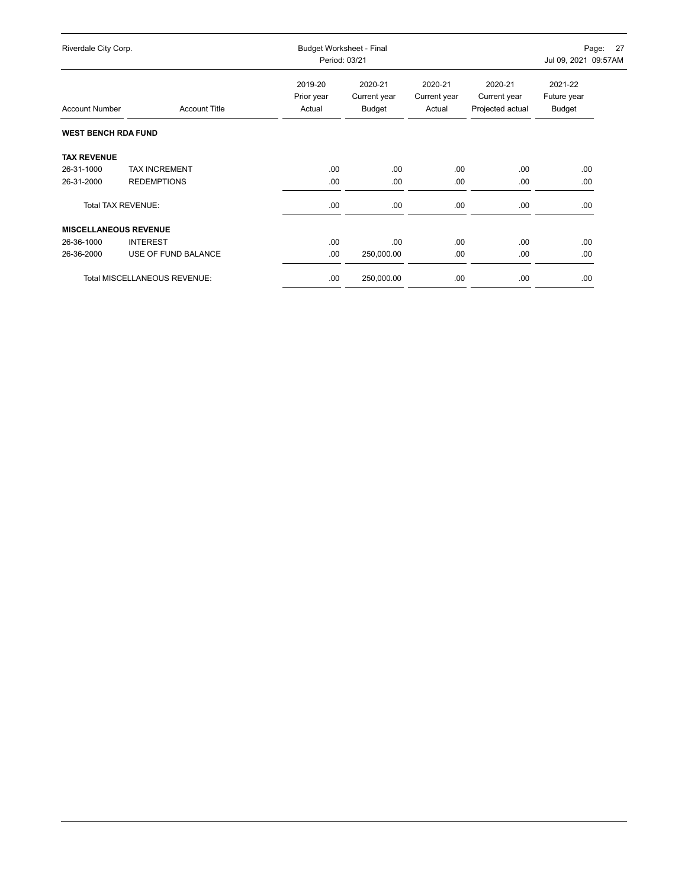| Riverdale City Corp.         |                                     | Budget Worksheet - Final<br>Period: 03/21 |                                   |                                   |                                             | - 27<br>Page:<br>Jul 09, 2021 09:57AM |  |
|------------------------------|-------------------------------------|-------------------------------------------|-----------------------------------|-----------------------------------|---------------------------------------------|---------------------------------------|--|
| <b>Account Number</b>        | <b>Account Title</b>                | 2019-20<br>Prior year<br>Actual           | 2020-21<br>Current year<br>Budget | 2020-21<br>Current year<br>Actual | 2020-21<br>Current year<br>Projected actual | 2021-22<br>Future year<br>Budget      |  |
| <b>WEST BENCH RDA FUND</b>   |                                     |                                           |                                   |                                   |                                             |                                       |  |
| <b>TAX REVENUE</b>           |                                     |                                           |                                   |                                   |                                             |                                       |  |
| 26-31-1000                   | <b>TAX INCREMENT</b>                | .00.                                      | .00                               | .00                               | .00.                                        | .00                                   |  |
| 26-31-2000                   | <b>REDEMPTIONS</b>                  | .00.                                      | .00                               | .00                               | .00.                                        | .00                                   |  |
| <b>Total TAX REVENUE:</b>    |                                     | .00.                                      | .00                               | .00.                              | .00                                         | .00.                                  |  |
| <b>MISCELLANEOUS REVENUE</b> |                                     |                                           |                                   |                                   |                                             |                                       |  |
| 26-36-1000                   | <b>INTEREST</b>                     | .00.                                      | .00                               | .00                               | .00.                                        | .00.                                  |  |
| 26-36-2000                   | USE OF FUND BALANCE                 | .00                                       | 250,000.00                        | .00.                              | .00                                         | .00                                   |  |
|                              | <b>Total MISCELLANEOUS REVENUE:</b> | .00                                       | 250,000.00                        | .00                               | .00                                         | .00.                                  |  |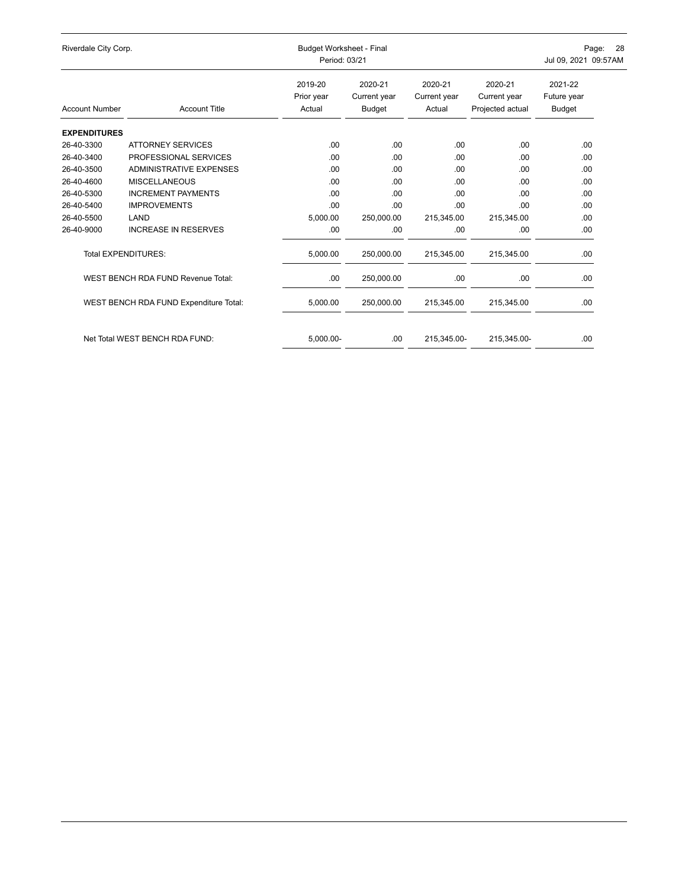| Riverdale City Corp.  |                                        |                                 | <b>Budget Worksheet - Final</b><br>Period: 03/21 |                                   |                                             |                                  |  |
|-----------------------|----------------------------------------|---------------------------------|--------------------------------------------------|-----------------------------------|---------------------------------------------|----------------------------------|--|
| <b>Account Number</b> | <b>Account Title</b>                   | 2019-20<br>Prior year<br>Actual | 2020-21<br>Current year<br>Budget                | 2020-21<br>Current year<br>Actual | 2020-21<br>Current year<br>Projected actual | 2021-22<br>Future year<br>Budget |  |
| <b>EXPENDITURES</b>   |                                        |                                 |                                                  |                                   |                                             |                                  |  |
| 26-40-3300            | <b>ATTORNEY SERVICES</b>               | .00                             | .00.                                             | .00                               | .00                                         | .00                              |  |
| 26-40-3400            | PROFESSIONAL SERVICES                  | .00                             | .00                                              | .00                               | .00                                         | .00                              |  |
| 26-40-3500            | ADMINISTRATIVE EXPENSES                | .00                             | .00.                                             | .00                               | .00                                         | .00                              |  |
| 26-40-4600            | <b>MISCELLANEOUS</b>                   | .00                             | .00                                              | .00                               | .00                                         | .00                              |  |
| 26-40-5300            | <b>INCREMENT PAYMENTS</b>              | .00                             | .00                                              | .00                               | .00                                         | .00                              |  |
| 26-40-5400            | <b>IMPROVEMENTS</b>                    | .00                             | .00                                              | .00                               | .00                                         | .00                              |  |
| 26-40-5500            | LAND                                   | 5,000.00                        | 250,000.00                                       | 215,345.00                        | 215,345.00                                  | .00                              |  |
| 26-40-9000            | <b>INCREASE IN RESERVES</b>            | .00.                            | .00                                              | .00                               | .00                                         | .00                              |  |
|                       | <b>Total EXPENDITURES:</b>             | 5,000.00                        | 250,000.00                                       | 215,345.00                        | 215,345.00                                  | .00                              |  |
|                       | WEST BENCH RDA FUND Revenue Total:     | .00.                            | 250,000.00                                       | .00                               | .00                                         | .00                              |  |
|                       | WEST BENCH RDA FUND Expenditure Total: | 5,000.00                        | 250,000.00                                       | 215,345.00                        | 215,345.00                                  | .00                              |  |
|                       | Net Total WEST BENCH RDA FUND:         | 5,000.00-                       | .00.                                             | 215,345.00-                       | 215,345.00-                                 | .00                              |  |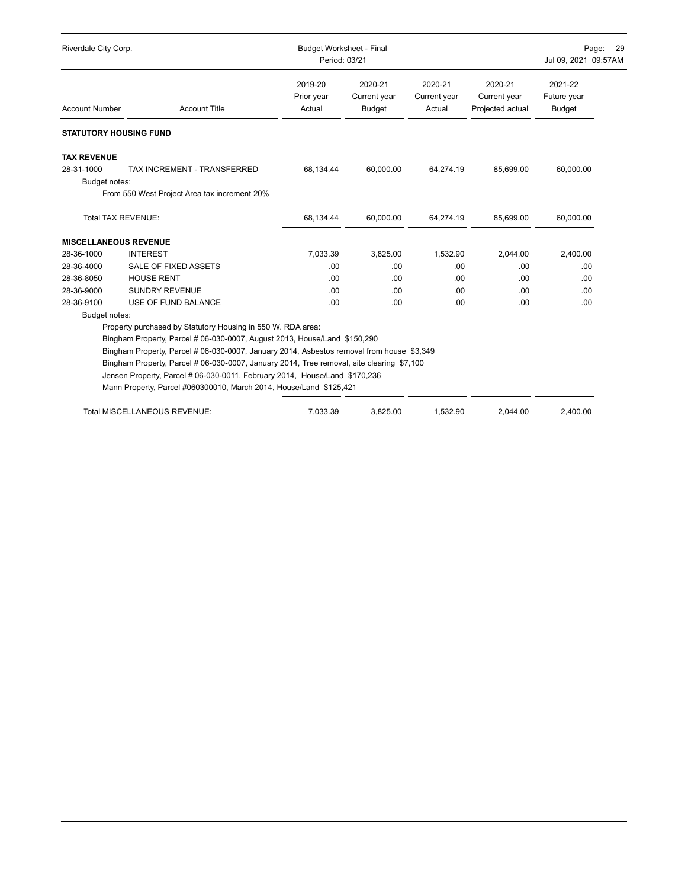| Riverdale City Corp.          |                                                                                                                                                                         | <b>Budget Worksheet - Final</b><br>Period: 03/21 |                                          |                                   | Page:<br><b>29</b><br>Jul 09, 2021 09:57AM  |                                         |  |
|-------------------------------|-------------------------------------------------------------------------------------------------------------------------------------------------------------------------|--------------------------------------------------|------------------------------------------|-----------------------------------|---------------------------------------------|-----------------------------------------|--|
| <b>Account Number</b>         | <b>Account Title</b>                                                                                                                                                    | 2019-20<br>Prior year<br>Actual                  | 2020-21<br>Current year<br><b>Budget</b> | 2020-21<br>Current year<br>Actual | 2020-21<br>Current year<br>Projected actual | 2021-22<br>Future year<br><b>Budget</b> |  |
| <b>STATUTORY HOUSING FUND</b> |                                                                                                                                                                         |                                                  |                                          |                                   |                                             |                                         |  |
| <b>TAX REVENUE</b>            |                                                                                                                                                                         |                                                  |                                          |                                   |                                             |                                         |  |
| 28-31-1000                    | TAX INCREMENT - TRANSFERRED                                                                                                                                             | 68,134.44                                        | 60.000.00                                | 64,274.19                         | 85,699.00                                   | 60,000.00                               |  |
| Budget notes:                 | From 550 West Project Area tax increment 20%                                                                                                                            |                                                  |                                          |                                   |                                             |                                         |  |
|                               | Total TAX REVENUE:                                                                                                                                                      | 68,134.44                                        | 60,000.00                                | 64,274.19                         | 85,699.00                                   | 60,000.00                               |  |
| <b>MISCELLANEOUS REVENUE</b>  |                                                                                                                                                                         |                                                  |                                          |                                   |                                             |                                         |  |
| 28-36-1000                    | <b>INTEREST</b>                                                                                                                                                         | 7,033.39                                         | 3,825.00                                 | 1,532.90                          | 2,044.00                                    | 2,400.00                                |  |
| 28-36-4000                    | SALE OF FIXED ASSETS                                                                                                                                                    | .00                                              | .00                                      | .00.                              | .00                                         | .00                                     |  |
| 28-36-8050                    | <b>HOUSE RENT</b>                                                                                                                                                       | .00                                              | .00                                      | .00                               | .00                                         | .00                                     |  |
| 28-36-9000                    | <b>SUNDRY REVENUE</b>                                                                                                                                                   | .00                                              | .00                                      | .00.                              | .00                                         | .00                                     |  |
| 28-36-9100                    | USE OF FUND BALANCE                                                                                                                                                     | .00                                              | .00                                      | .00.                              | .00                                         | .00                                     |  |
| Budget notes:                 |                                                                                                                                                                         |                                                  |                                          |                                   |                                             |                                         |  |
|                               | Property purchased by Statutory Housing in 550 W. RDA area:                                                                                                             |                                                  |                                          |                                   |                                             |                                         |  |
|                               | Bingham Property, Parcel # 06-030-0007, August 2013, House/Land \$150,290                                                                                               |                                                  |                                          |                                   |                                             |                                         |  |
|                               | Bingham Property, Parcel # 06-030-0007, January 2014, Asbestos removal from house \$3,349                                                                               |                                                  |                                          |                                   |                                             |                                         |  |
|                               | Bingham Property, Parcel # 06-030-0007, January 2014, Tree removal, site clearing \$7,100<br>Jensen Property, Parcel # 06-030-0011, February 2014, House/Land \$170,236 |                                                  |                                          |                                   |                                             |                                         |  |
|                               | Mann Property, Parcel #060300010, March 2014, House/Land \$125,421                                                                                                      |                                                  |                                          |                                   |                                             |                                         |  |
|                               |                                                                                                                                                                         |                                                  |                                          |                                   |                                             |                                         |  |
|                               | <b>Total MISCELLANEOUS REVENUE:</b>                                                                                                                                     | 7.033.39                                         | 3.825.00                                 | 1.532.90                          | 2.044.00                                    | 2,400.00                                |  |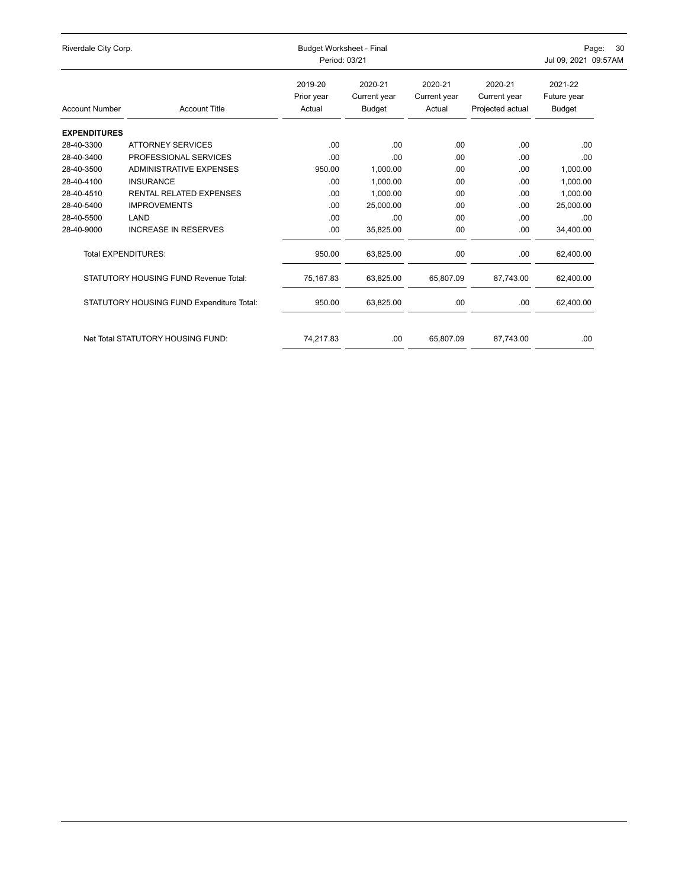| Riverdale City Corp.  |                                              |                                 | <b>Budget Worksheet - Final</b><br>Period: 03/21 |                                   |                                             |                                  |  |
|-----------------------|----------------------------------------------|---------------------------------|--------------------------------------------------|-----------------------------------|---------------------------------------------|----------------------------------|--|
| <b>Account Number</b> | <b>Account Title</b>                         | 2019-20<br>Prior year<br>Actual | 2020-21<br>Current year<br>Budget                | 2020-21<br>Current year<br>Actual | 2020-21<br>Current year<br>Projected actual | 2021-22<br>Future year<br>Budget |  |
| <b>EXPENDITURES</b>   |                                              |                                 |                                                  |                                   |                                             |                                  |  |
| 28-40-3300            | <b>ATTORNEY SERVICES</b>                     | .00                             | .00.                                             | .00                               | .00                                         | .00                              |  |
| 28-40-3400            | PROFESSIONAL SERVICES                        | .00                             | .00                                              | .00                               | .00                                         | .00                              |  |
| 28-40-3500            | <b>ADMINISTRATIVE EXPENSES</b>               | 950.00                          | 1.000.00                                         | .00                               | .00.                                        | 1,000.00                         |  |
| 28-40-4100            | <b>INSURANCE</b>                             | .00                             | 1,000.00                                         | .00                               | .00.                                        | 1,000.00                         |  |
| 28-40-4510            | <b>RENTAL RELATED EXPENSES</b>               | .00                             | 1,000.00                                         | .00                               | .00.                                        | 1,000.00                         |  |
| 28-40-5400            | <b>IMPROVEMENTS</b>                          | .00                             | 25,000.00                                        | .00                               | .00.                                        | 25,000.00                        |  |
| 28-40-5500            | LAND                                         | .00                             | .00                                              | .00                               | .00.                                        | .00                              |  |
| 28-40-9000            | <b>INCREASE IN RESERVES</b>                  | .00                             | 35,825.00                                        | .00                               | .00                                         | 34,400.00                        |  |
|                       | <b>Total EXPENDITURES:</b>                   | 950.00                          | 63,825.00                                        | .00                               | .00                                         | 62,400.00                        |  |
|                       | <b>STATUTORY HOUSING FUND Revenue Total:</b> | 75,167.83                       | 63,825.00                                        | 65,807.09                         | 87,743.00                                   | 62,400.00                        |  |
|                       | STATUTORY HOUSING FUND Expenditure Total:    | 950.00                          | 63,825.00                                        | .00                               | .00                                         | 62,400.00                        |  |
|                       | Net Total STATUTORY HOUSING FUND:            | 74,217.83                       | .00                                              | 65,807.09                         | 87,743.00                                   | .00                              |  |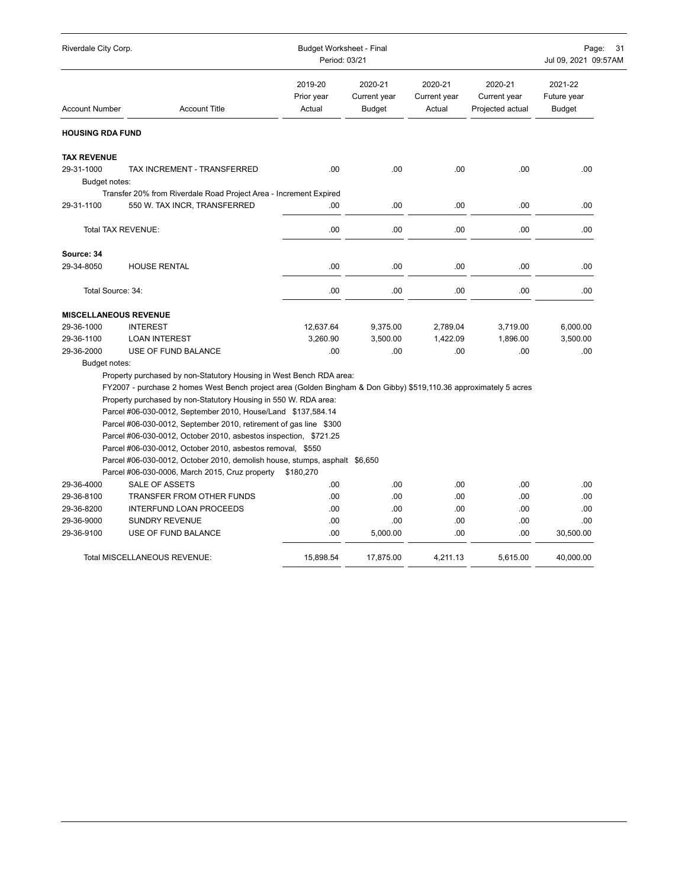| Riverdale City Corp.         |                                                                                                                                          | <b>Budget Worksheet - Final</b><br>Period: 03/21 | Page:<br>31<br>Jul 09, 2021 09:57AM      |                                   |                                             |                                         |
|------------------------------|------------------------------------------------------------------------------------------------------------------------------------------|--------------------------------------------------|------------------------------------------|-----------------------------------|---------------------------------------------|-----------------------------------------|
| <b>Account Number</b>        | <b>Account Title</b>                                                                                                                     | 2019-20<br>Prior year<br>Actual                  | 2020-21<br>Current year<br><b>Budget</b> | 2020-21<br>Current year<br>Actual | 2020-21<br>Current year<br>Projected actual | 2021-22<br>Future year<br><b>Budget</b> |
| <b>HOUSING RDA FUND</b>      |                                                                                                                                          |                                                  |                                          |                                   |                                             |                                         |
| <b>TAX REVENUE</b>           |                                                                                                                                          |                                                  |                                          |                                   |                                             |                                         |
| 29-31-1000                   | TAX INCREMENT - TRANSFERRED                                                                                                              | .00.                                             | .00                                      | .00                               | .00                                         | .00                                     |
| Budget notes:                |                                                                                                                                          |                                                  |                                          |                                   |                                             |                                         |
|                              | Transfer 20% from Riverdale Road Project Area - Increment Expired                                                                        |                                                  |                                          |                                   |                                             |                                         |
| 29-31-1100                   | 550 W. TAX INCR, TRANSFERRED                                                                                                             | .00                                              | .00                                      | .00                               | .00                                         | .00                                     |
| Total TAX REVENUE:           |                                                                                                                                          | .00                                              | .00                                      | .00                               | .00                                         | .00                                     |
| Source: 34                   |                                                                                                                                          |                                                  |                                          |                                   |                                             |                                         |
| 29-34-8050                   | <b>HOUSE RENTAL</b>                                                                                                                      | .00                                              | .00                                      | .00                               | .00                                         | .00                                     |
| Total Source: 34:            |                                                                                                                                          | .00                                              | .00                                      | .00                               | .00                                         | .00                                     |
| <b>MISCELLANEOUS REVENUE</b> |                                                                                                                                          |                                                  |                                          |                                   |                                             |                                         |
| 29-36-1000                   | <b>INTEREST</b>                                                                                                                          | 12,637.64                                        | 9,375.00                                 | 2,789.04                          | 3,719.00                                    | 6,000.00                                |
| 29-36-1100                   | <b>LOAN INTEREST</b>                                                                                                                     | 3,260.90                                         | 3,500.00                                 | 1,422.09                          | 1,896.00                                    | 3,500.00                                |
| 29-36-2000                   | USE OF FUND BALANCE                                                                                                                      | .00                                              | .00                                      | .00                               | .00                                         | .00                                     |
| Budget notes:                |                                                                                                                                          |                                                  |                                          |                                   |                                             |                                         |
|                              | Property purchased by non-Statutory Housing in West Bench RDA area:                                                                      |                                                  |                                          |                                   |                                             |                                         |
|                              | FY2007 - purchase 2 homes West Bench project area (Golden Bingham & Don Gibby) \$519,110.36 approximately 5 acres                        |                                                  |                                          |                                   |                                             |                                         |
|                              | Property purchased by non-Statutory Housing in 550 W. RDA area:                                                                          |                                                  |                                          |                                   |                                             |                                         |
|                              | Parcel #06-030-0012, September 2010, House/Land \$137,584.14                                                                             |                                                  |                                          |                                   |                                             |                                         |
|                              | Parcel #06-030-0012, September 2010, retirement of gas line \$300                                                                        |                                                  |                                          |                                   |                                             |                                         |
|                              | Parcel #06-030-0012, October 2010, asbestos inspection, \$721.25                                                                         |                                                  |                                          |                                   |                                             |                                         |
|                              | Parcel #06-030-0012, October 2010, asbestos removal, \$550<br>Parcel #06-030-0012, October 2010, demolish house, stumps, asphalt \$6,650 |                                                  |                                          |                                   |                                             |                                         |
|                              | Parcel #06-030-0006, March 2015, Cruz property                                                                                           | \$180,270                                        |                                          |                                   |                                             |                                         |
| 29-36-4000                   | SALE OF ASSETS                                                                                                                           | .00                                              | .00                                      | .00                               | .00                                         | .00                                     |
| 29-36-8100                   | TRANSFER FROM OTHER FUNDS                                                                                                                | .00                                              | .00                                      | .00                               | .00                                         | .00                                     |
| 29-36-8200                   | INTERFUND LOAN PROCEEDS                                                                                                                  | .00                                              | .00                                      | .00                               | .00                                         | .00                                     |
| 29-36-9000                   | <b>SUNDRY REVENUE</b>                                                                                                                    | .00                                              | .00                                      | .00                               | .00                                         | .00                                     |
| 29-36-9100                   | USE OF FUND BALANCE                                                                                                                      | .00                                              | 5,000.00                                 | .00                               | .00                                         | 30,500.00                               |
|                              | <b>Total MISCELLANEOUS REVENUE:</b>                                                                                                      | 15,898.54                                        | 17,875.00                                | 4,211.13                          | 5.615.00                                    | 40,000.00                               |
|                              |                                                                                                                                          |                                                  |                                          |                                   |                                             |                                         |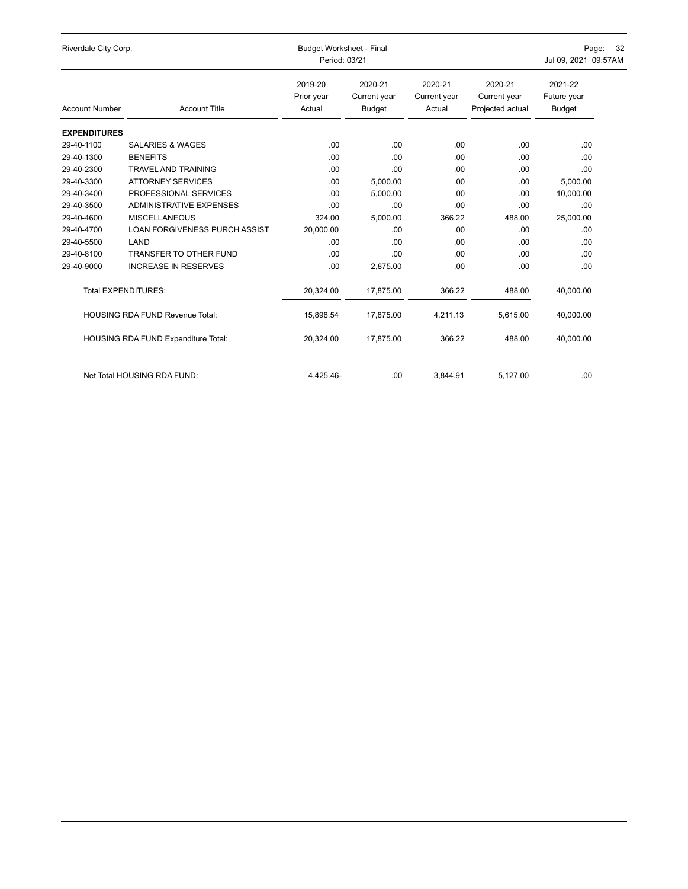| Riverdale City Corp.  |                                        | <b>Budget Worksheet - Final</b><br>Period: 03/21 | 32<br>Page:<br>Jul 09, 2021 09:57AM |                                   |                                             |                                         |
|-----------------------|----------------------------------------|--------------------------------------------------|-------------------------------------|-----------------------------------|---------------------------------------------|-----------------------------------------|
| <b>Account Number</b> | <b>Account Title</b>                   | 2019-20<br>Prior year<br>Actual                  | 2020-21<br>Current year<br>Budget   | 2020-21<br>Current year<br>Actual | 2020-21<br>Current year<br>Projected actual | 2021-22<br>Future year<br><b>Budget</b> |
|                       |                                        |                                                  |                                     |                                   |                                             |                                         |
| <b>EXPENDITURES</b>   |                                        |                                                  |                                     |                                   |                                             |                                         |
| 29-40-1100            | <b>SALARIES &amp; WAGES</b>            | .00                                              | .00                                 | .00                               | .00                                         | .00                                     |
| 29-40-1300            | <b>BENEFITS</b>                        | .00                                              | .00                                 | .00                               | .00                                         | .00                                     |
| 29-40-2300            | <b>TRAVEL AND TRAINING</b>             | .00                                              | .00                                 | .00                               | .00                                         | .00                                     |
| 29-40-3300            | <b>ATTORNEY SERVICES</b>               | .00                                              | 5,000.00                            | .00                               | .00                                         | 5,000.00                                |
| 29-40-3400            | PROFESSIONAL SERVICES                  | .00                                              | 5,000.00                            | .00                               | .00                                         | 10,000.00                               |
| 29-40-3500            | <b>ADMINISTRATIVE EXPENSES</b>         | .00                                              | .00                                 | .00                               | .00                                         | .00                                     |
| 29-40-4600            | <b>MISCELLANEOUS</b>                   | 324.00                                           | 5,000.00                            | 366.22                            | 488.00                                      | 25,000.00                               |
| 29-40-4700            | <b>LOAN FORGIVENESS PURCH ASSIST</b>   | 20,000.00                                        | .00.                                | .00                               | .00.                                        | .00                                     |
| 29-40-5500            | LAND                                   | .00                                              | .00.                                | .00                               | .00                                         | .00                                     |
| 29-40-8100            | TRANSFER TO OTHER FUND                 | .00                                              | .00                                 | .00                               | .00                                         | .00                                     |
| 29-40-9000            | <b>INCREASE IN RESERVES</b>            | .00                                              | 2,875.00                            | .00                               | .00.                                        | .00                                     |
|                       | <b>Total EXPENDITURES:</b>             | 20,324.00                                        | 17,875.00                           | 366.22                            | 488.00                                      | 40,000.00                               |
|                       | <b>HOUSING RDA FUND Revenue Total:</b> | 15,898.54                                        | 17,875.00                           | 4,211.13                          | 5,615.00                                    | 40,000.00                               |
|                       | HOUSING RDA FUND Expenditure Total:    | 20,324.00                                        | 17,875.00                           | 366.22                            | 488.00                                      | 40,000.00                               |
|                       | Net Total HOUSING RDA FUND:            | 4,425.46-                                        | .00                                 | 3,844.91                          | 5,127.00                                    | .00                                     |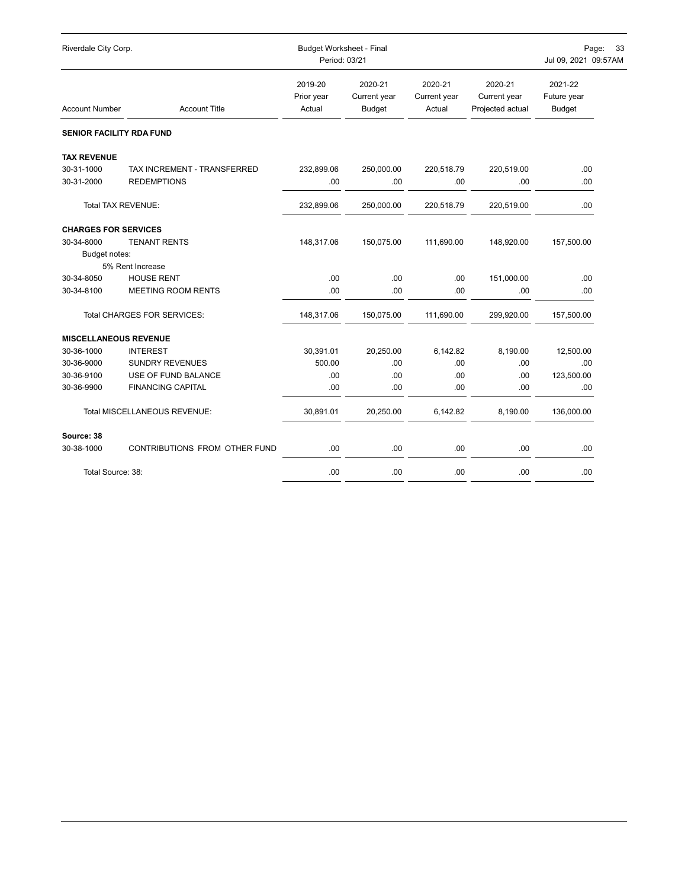| Riverdale City Corp.            |                                     | <b>Budget Worksheet - Final</b><br>Period: 03/21 |                                          | Page:<br>33<br>Jul 09, 2021 09:57AM |                                             |                                         |
|---------------------------------|-------------------------------------|--------------------------------------------------|------------------------------------------|-------------------------------------|---------------------------------------------|-----------------------------------------|
| <b>Account Number</b>           | <b>Account Title</b>                | 2019-20<br>Prior year<br>Actual                  | 2020-21<br>Current year<br><b>Budget</b> | 2020-21<br>Current year<br>Actual   | 2020-21<br>Current year<br>Projected actual | 2021-22<br>Future year<br><b>Budget</b> |
| <b>SENIOR FACILITY RDA FUND</b> |                                     |                                                  |                                          |                                     |                                             |                                         |
| <b>TAX REVENUE</b>              |                                     |                                                  |                                          |                                     |                                             |                                         |
| 30-31-1000                      | TAX INCREMENT - TRANSFERRED         | 232,899.06                                       | 250,000.00                               | 220,518.79                          | 220,519.00                                  | .00                                     |
| 30-31-2000                      | <b>REDEMPTIONS</b>                  | .00                                              | .00                                      | .00                                 | .00                                         | .00                                     |
|                                 | <b>Total TAX REVENUE:</b>           | 232,899.06                                       | 250,000.00                               | 220,518.79                          | 220,519.00                                  | .00                                     |
| <b>CHARGES FOR SERVICES</b>     |                                     |                                                  |                                          |                                     |                                             |                                         |
| 30-34-8000                      | <b>TENANT RENTS</b>                 | 148,317.06                                       | 150,075.00                               | 111,690.00                          | 148,920.00                                  | 157,500.00                              |
| Budget notes:                   |                                     |                                                  |                                          |                                     |                                             |                                         |
|                                 | 5% Rent Increase                    |                                                  |                                          |                                     |                                             |                                         |
| 30-34-8050                      | <b>HOUSE RENT</b>                   | .00                                              | .00                                      | .00                                 | 151,000.00                                  | .00                                     |
| 30-34-8100                      | <b>MEETING ROOM RENTS</b>           | .00                                              | .00                                      | .00                                 | .00                                         | .00                                     |
|                                 | Total CHARGES FOR SERVICES:         | 148,317.06                                       | 150,075.00                               | 111,690.00                          | 299,920.00                                  | 157,500.00                              |
| <b>MISCELLANEOUS REVENUE</b>    |                                     |                                                  |                                          |                                     |                                             |                                         |
| 30-36-1000                      | <b>INTEREST</b>                     | 30,391.01                                        | 20,250.00                                | 6,142.82                            | 8.190.00                                    | 12,500.00                               |
| 30-36-9000                      | <b>SUNDRY REVENUES</b>              | 500.00                                           | .00                                      | .00                                 | .00                                         | .00                                     |
| 30-36-9100                      | USE OF FUND BALANCE                 | .00                                              | .00                                      | .00                                 | .00                                         | 123,500.00                              |
| 30-36-9900                      | <b>FINANCING CAPITAL</b>            | .00                                              | .00                                      | .00                                 | .00                                         | .00                                     |
|                                 | <b>Total MISCELLANEOUS REVENUE:</b> | 30,891.01                                        | 20,250.00                                | 6,142.82                            | 8,190.00                                    | 136,000.00                              |
| Source: 38                      |                                     |                                                  |                                          |                                     |                                             |                                         |
| 30-38-1000                      | CONTRIBUTIONS FROM OTHER FUND       | .00                                              | .00                                      | .00                                 | .00                                         | .00.                                    |
| Total Source: 38:               |                                     | .00                                              | .00                                      | .00.                                | .00                                         | .00                                     |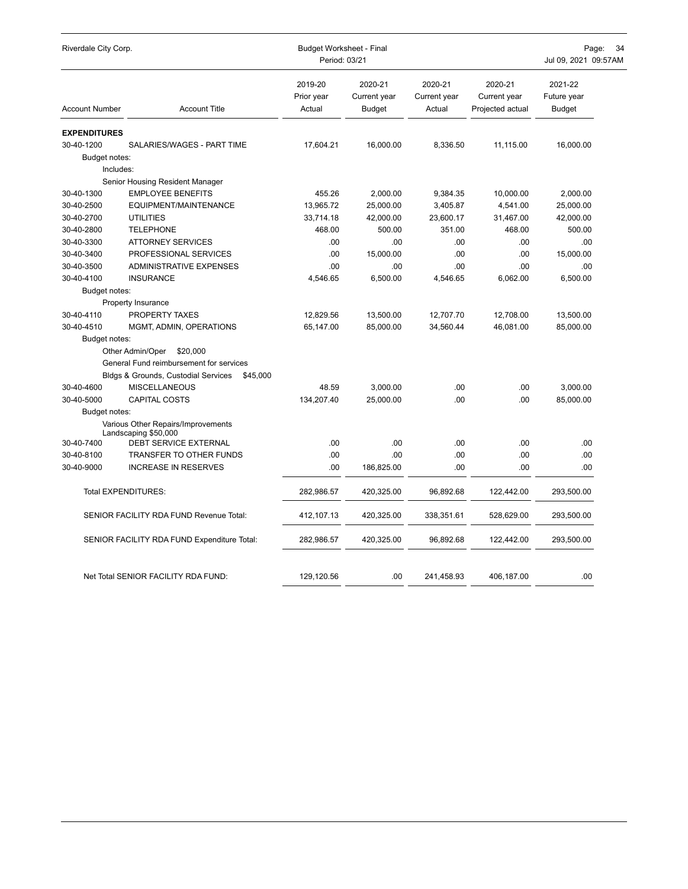| Riverdale City Corp.  |                                                            | Budget Worksheet - Final<br>Period: 03/21 | Page:<br>34<br>Jul 09, 2021 09:57AM      |                                   |                                             |                                  |
|-----------------------|------------------------------------------------------------|-------------------------------------------|------------------------------------------|-----------------------------------|---------------------------------------------|----------------------------------|
| <b>Account Number</b> | <b>Account Title</b>                                       | 2019-20<br>Prior year<br>Actual           | 2020-21<br>Current year<br><b>Budget</b> | 2020-21<br>Current year<br>Actual | 2020-21<br>Current year<br>Projected actual | 2021-22<br>Future year<br>Budget |
| <b>EXPENDITURES</b>   |                                                            |                                           |                                          |                                   |                                             |                                  |
| 30-40-1200            | SALARIES/WAGES - PART TIME                                 | 17,604.21                                 | 16,000.00                                | 8,336.50                          | 11,115.00                                   | 16,000.00                        |
| Budget notes:         |                                                            |                                           |                                          |                                   |                                             |                                  |
| Includes:             |                                                            |                                           |                                          |                                   |                                             |                                  |
|                       | Senior Housing Resident Manager                            |                                           |                                          |                                   |                                             |                                  |
| 30-40-1300            | <b>EMPLOYEE BENEFITS</b>                                   | 455.26                                    | 2,000.00                                 | 9,384.35                          | 10,000.00                                   | 2,000.00                         |
| 30-40-2500            | EQUIPMENT/MAINTENANCE                                      | 13,965.72                                 | 25,000.00                                | 3,405.87                          | 4,541.00                                    | 25,000.00                        |
| 30-40-2700            | <b>UTILITIES</b>                                           | 33,714.18                                 | 42,000.00                                | 23,600.17                         | 31,467.00                                   | 42,000.00                        |
| 30-40-2800            | <b>TELEPHONE</b>                                           | 468.00                                    | 500.00                                   | 351.00                            | 468.00                                      | 500.00                           |
| 30-40-3300            | <b>ATTORNEY SERVICES</b>                                   | .00                                       | .00                                      | .00                               | .00                                         | .00                              |
| 30-40-3400            | PROFESSIONAL SERVICES                                      | .00                                       | 15,000.00                                | .00                               | .00                                         | 15,000.00                        |
| 30-40-3500            | <b>ADMINISTRATIVE EXPENSES</b>                             | .00                                       | .00                                      | .00                               | .00                                         | .00                              |
| 30-40-4100            | <b>INSURANCE</b>                                           | 4,546.65                                  | 6,500.00                                 | 4,546.65                          | 6,062.00                                    | 6,500.00                         |
| Budget notes:         |                                                            |                                           |                                          |                                   |                                             |                                  |
|                       | Property Insurance                                         |                                           |                                          |                                   |                                             |                                  |
| 30-40-4110            | PROPERTY TAXES                                             | 12,829.56                                 | 13,500.00                                | 12,707.70                         | 12,708.00                                   | 13,500.00                        |
| 30-40-4510            | MGMT, ADMIN, OPERATIONS                                    | 65,147.00                                 | 85,000.00                                | 34,560.44                         | 46,081.00                                   | 85,000.00                        |
| Budget notes:         |                                                            |                                           |                                          |                                   |                                             |                                  |
|                       | Other Admin/Oper<br>\$20,000                               |                                           |                                          |                                   |                                             |                                  |
|                       | General Fund reimbursement for services                    |                                           |                                          |                                   |                                             |                                  |
|                       | Bldgs & Grounds, Custodial Services<br>\$45,000            |                                           |                                          |                                   |                                             |                                  |
| 30-40-4600            | <b>MISCELLANEOUS</b>                                       | 48.59                                     | 3,000.00                                 | .00                               | .00                                         | 3.000.00                         |
| 30-40-5000            | <b>CAPITAL COSTS</b>                                       | 134,207.40                                | 25,000.00                                | .00                               | .00                                         | 85,000.00                        |
| Budget notes:         |                                                            |                                           |                                          |                                   |                                             |                                  |
|                       | Various Other Repairs/Improvements<br>Landscaping \$50,000 |                                           |                                          |                                   |                                             |                                  |
| 30-40-7400            | DEBT SERVICE EXTERNAL                                      | .00                                       | .00                                      | .00                               | .00                                         | .00                              |
| 30-40-8100            | TRANSFER TO OTHER FUNDS                                    | .00                                       | .00                                      | .00                               | .00                                         | .00                              |
| 30-40-9000            | <b>INCREASE IN RESERVES</b>                                | .00                                       | 186,825.00                               | .00                               | .00                                         | .00                              |
|                       |                                                            |                                           |                                          |                                   |                                             |                                  |
|                       | <b>Total EXPENDITURES:</b>                                 | 282,986.57                                | 420,325.00                               | 96,892.68                         | 122,442.00                                  | 293,500.00                       |
|                       | SENIOR FACILITY RDA FUND Revenue Total:                    | 412,107.13                                | 420,325.00                               | 338,351.61                        | 528,629.00                                  | 293,500.00                       |
|                       | SENIOR FACILITY RDA FUND Expenditure Total:                | 282,986.57                                | 420,325.00                               | 96,892.68                         | 122,442.00                                  | 293,500.00                       |
|                       |                                                            |                                           |                                          |                                   |                                             |                                  |
|                       | Net Total SENIOR FACILITY RDA FUND:                        | 129,120.56                                | .00                                      | 241,458.93                        | 406,187.00                                  | .00                              |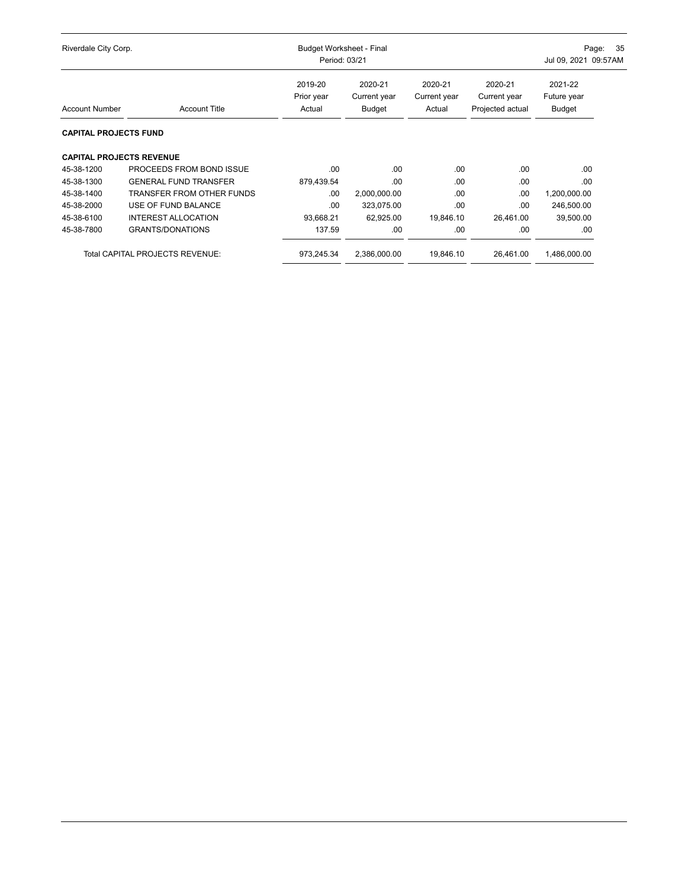| Riverdale City Corp.            |                                        | <b>Budget Worksheet - Final</b><br>Period: 03/21 |                                   |                                   |                                             | - 35<br>Page:<br>Jul 09, 2021 09:57AM   |  |
|---------------------------------|----------------------------------------|--------------------------------------------------|-----------------------------------|-----------------------------------|---------------------------------------------|-----------------------------------------|--|
| <b>Account Number</b>           | <b>Account Title</b>                   | 2019-20<br>Prior year<br>Actual                  | 2020-21<br>Current year<br>Budget | 2020-21<br>Current year<br>Actual | 2020-21<br>Current year<br>Projected actual | 2021-22<br>Future year<br><b>Budget</b> |  |
| <b>CAPITAL PROJECTS FUND</b>    |                                        |                                                  |                                   |                                   |                                             |                                         |  |
| <b>CAPITAL PROJECTS REVENUE</b> |                                        |                                                  |                                   |                                   |                                             |                                         |  |
| 45-38-1200                      | PROCEEDS FROM BOND ISSUE               | .00                                              | .00                               | .00                               | .00                                         | .00                                     |  |
| 45-38-1300                      | <b>GENERAL FUND TRANSFER</b>           | 879,439.54                                       | .00                               | .00                               | .00                                         | .00                                     |  |
| 45-38-1400                      | <b>TRANSFER FROM OTHER FUNDS</b>       | .00.                                             | 2,000,000.00                      | .00                               | .00.                                        | 1,200,000.00                            |  |
| 45-38-2000                      | USE OF FUND BALANCE                    | .00                                              | 323,075.00                        | .00                               | .00                                         | 246,500.00                              |  |
| 45-38-6100                      | <b>INTEREST ALLOCATION</b>             | 93,668.21                                        | 62,925.00                         | 19.846.10                         | 26,461.00                                   | 39,500.00                               |  |
| 45-38-7800                      | <b>GRANTS/DONATIONS</b>                | 137.59                                           | .00                               | .00                               | .00                                         | .00.                                    |  |
|                                 | <b>Total CAPITAL PROJECTS REVENUE:</b> | 973,245.34                                       | 2,386,000.00                      | 19,846.10                         | 26,461.00                                   | 1,486,000.00                            |  |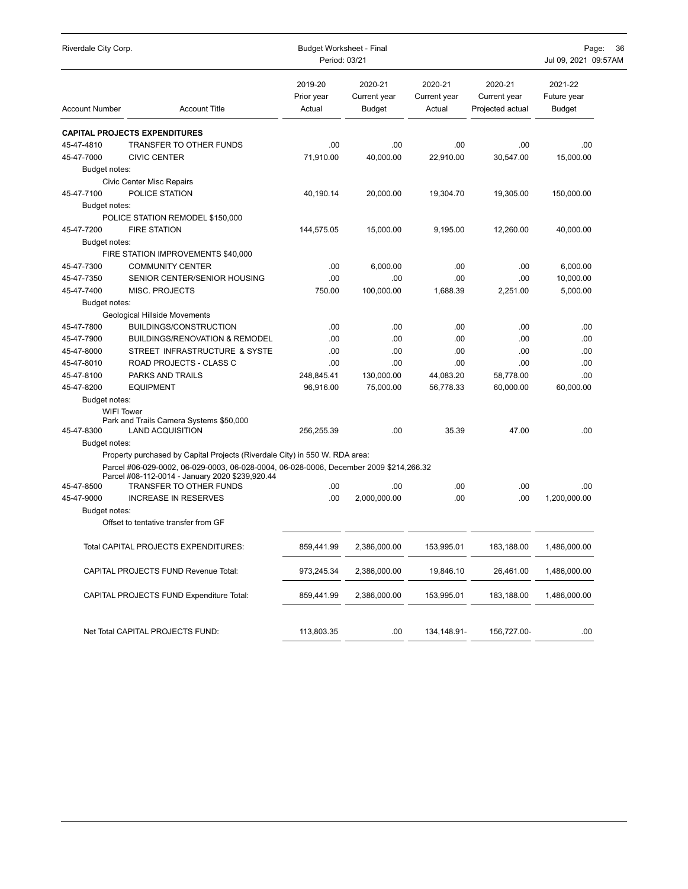| Riverdale City Corp.            |                                                                                                                                           | <b>Budget Worksheet - Final</b><br>Period: 03/21 | Page:<br>36<br>Jul 09, 2021 09:57AM      |                                   |                                             |                                  |
|---------------------------------|-------------------------------------------------------------------------------------------------------------------------------------------|--------------------------------------------------|------------------------------------------|-----------------------------------|---------------------------------------------|----------------------------------|
| <b>Account Number</b>           | <b>Account Title</b>                                                                                                                      | 2019-20<br>Prior year<br>Actual                  | 2020-21<br>Current year<br><b>Budget</b> | 2020-21<br>Current year<br>Actual | 2020-21<br>Current year<br>Projected actual | 2021-22<br>Future year<br>Budget |
|                                 | <b>CAPITAL PROJECTS EXPENDITURES</b>                                                                                                      |                                                  |                                          |                                   |                                             |                                  |
| 45-47-4810                      | TRANSFER TO OTHER FUNDS                                                                                                                   | .00                                              | .00                                      | .00.                              | .00                                         | .00                              |
| 45-47-7000                      | <b>CIVIC CENTER</b>                                                                                                                       | 71,910.00                                        | 40.000.00                                | 22,910.00                         | 30,547.00                                   | 15,000.00                        |
| Budget notes:                   |                                                                                                                                           |                                                  |                                          |                                   |                                             |                                  |
|                                 | <b>Civic Center Misc Repairs</b>                                                                                                          |                                                  |                                          |                                   |                                             |                                  |
| 45-47-7100                      | POLICE STATION                                                                                                                            | 40,190.14                                        | 20,000.00                                | 19,304.70                         | 19,305.00                                   | 150,000.00                       |
| Budget notes:                   |                                                                                                                                           |                                                  |                                          |                                   |                                             |                                  |
|                                 | POLICE STATION REMODEL \$150,000                                                                                                          |                                                  |                                          |                                   |                                             |                                  |
| 45-47-7200                      | <b>FIRE STATION</b>                                                                                                                       | 144,575.05                                       | 15,000.00                                | 9,195.00                          | 12,260.00                                   | 40,000.00                        |
| Budget notes:                   |                                                                                                                                           |                                                  |                                          |                                   |                                             |                                  |
|                                 | FIRE STATION IMPROVEMENTS \$40,000                                                                                                        |                                                  |                                          |                                   |                                             |                                  |
| 45-47-7300                      | <b>COMMUNITY CENTER</b>                                                                                                                   | .00                                              | 6,000.00                                 | .00.                              | .00                                         | 6,000.00                         |
| 45-47-7350                      | SENIOR CENTER/SENIOR HOUSING                                                                                                              | .00                                              | .00                                      | .00.                              | .00                                         | 10,000.00                        |
| 45-47-7400                      | MISC. PROJECTS                                                                                                                            | 750.00                                           | 100,000.00                               | 1,688.39                          | 2,251.00                                    | 5,000.00                         |
| Budget notes:                   |                                                                                                                                           |                                                  |                                          |                                   |                                             |                                  |
|                                 | <b>Geological Hillside Movements</b>                                                                                                      |                                                  |                                          |                                   |                                             |                                  |
| 45-47-7800                      | <b>BUILDINGS/CONSTRUCTION</b>                                                                                                             | .00                                              | .00                                      | .00.                              | .00                                         | .00                              |
| 45-47-7900                      | <b>BUILDINGS/RENOVATION &amp; REMODEL</b>                                                                                                 | .00                                              | .00                                      | .00.                              | .00                                         | .00                              |
| 45-47-8000                      | STREET INFRASTRUCTURE & SYSTE                                                                                                             | .00                                              | .00                                      | .00.                              | .00                                         | .00                              |
| 45-47-8010                      | ROAD PROJECTS - CLASS C                                                                                                                   | .00.                                             | .00                                      | .00.                              | .00.                                        | .00                              |
| 45-47-8100                      | PARKS AND TRAILS                                                                                                                          | 248,845.41                                       | 130,000.00                               | 44,083.20                         | 58,778.00                                   | .00                              |
| 45-47-8200                      | <b>EQUIPMENT</b>                                                                                                                          | 96,916.00                                        | 75,000.00                                | 56,778.33                         | 60,000.00                                   | 60,000.00                        |
| Budget notes:                   |                                                                                                                                           |                                                  |                                          |                                   |                                             |                                  |
| <b>WIFI Tower</b><br>45-47-8300 | Park and Trails Camera Systems \$50,000<br><b>LAND ACQUISITION</b>                                                                        | 256,255.39                                       | .00.                                     | 35.39                             | 47.00                                       | .00.                             |
| Budget notes:                   |                                                                                                                                           |                                                  |                                          |                                   |                                             |                                  |
|                                 | Property purchased by Capital Projects (Riverdale City) in 550 W. RDA area:                                                               |                                                  |                                          |                                   |                                             |                                  |
|                                 | Parcel #06-029-0002, 06-029-0003, 06-028-0004, 06-028-0006, December 2009 \$214,266.32<br>Parcel #08-112-0014 - January 2020 \$239,920.44 |                                                  |                                          |                                   |                                             |                                  |
| 45-47-8500                      | TRANSFER TO OTHER FUNDS                                                                                                                   | .00                                              | .00                                      | .00.                              | .00.                                        | .00                              |
| 45-47-9000                      | <b>INCREASE IN RESERVES</b>                                                                                                               | .00.                                             | 2,000,000.00                             | .00.                              | .00.                                        | 1,200,000.00                     |
| Budget notes:                   |                                                                                                                                           |                                                  |                                          |                                   |                                             |                                  |
|                                 | Offset to tentative transfer from GF                                                                                                      |                                                  |                                          |                                   |                                             |                                  |
|                                 | Total CAPITAL PROJECTS EXPENDITURES:                                                                                                      | 859,441.99                                       | 2,386,000.00                             | 153,995.01                        | 183,188.00                                  | 1,486,000.00                     |
|                                 | CAPITAL PROJECTS FUND Revenue Total:                                                                                                      | 973,245.34                                       | 2,386,000.00                             | 19,846.10                         | 26,461.00                                   | 1,486,000.00                     |
|                                 | CAPITAL PROJECTS FUND Expenditure Total:                                                                                                  | 859,441.99                                       | 2,386,000.00                             | 153,995.01                        | 183,188.00                                  | 1,486,000.00                     |
|                                 | Net Total CAPITAL PROJECTS FUND:                                                                                                          | 113,803.35                                       | .00                                      | 134,148.91-                       | 156,727.00-                                 | .00                              |
|                                 |                                                                                                                                           |                                                  |                                          |                                   |                                             |                                  |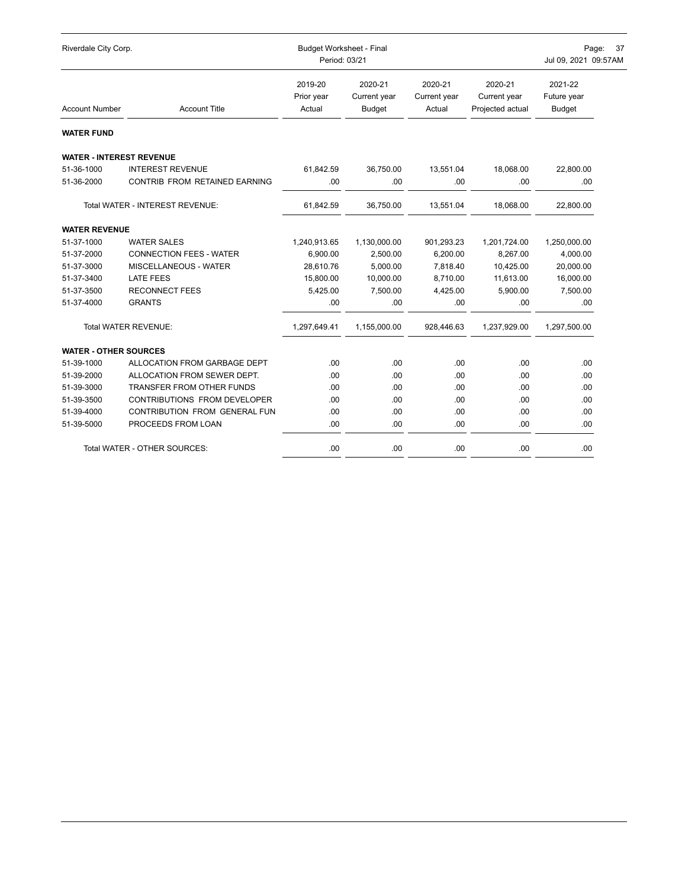| Riverdale City Corp.            |                                  | <b>Budget Worksheet - Final</b><br>Period: 03/21 | Page: 37<br>Jul 09, 2021 09:57AM         |                                   |                                             |                                         |
|---------------------------------|----------------------------------|--------------------------------------------------|------------------------------------------|-----------------------------------|---------------------------------------------|-----------------------------------------|
| <b>Account Number</b>           | <b>Account Title</b>             | 2019-20<br>Prior year<br>Actual                  | 2020-21<br>Current year<br><b>Budget</b> | 2020-21<br>Current year<br>Actual | 2020-21<br>Current year<br>Projected actual | 2021-22<br>Future year<br><b>Budget</b> |
| <b>WATER FUND</b>               |                                  |                                                  |                                          |                                   |                                             |                                         |
| <b>WATER - INTEREST REVENUE</b> |                                  |                                                  |                                          |                                   |                                             |                                         |
| 51-36-1000                      | <b>INTEREST REVENUE</b>          | 61,842.59                                        | 36,750.00                                | 13,551.04                         | 18,068.00                                   | 22,800.00                               |
| 51-36-2000                      | CONTRIB FROM RETAINED EARNING    | .00                                              | .00                                      | .00                               | .00                                         | .00                                     |
|                                 | Total WATER - INTEREST REVENUE:  | 61,842.59                                        | 36,750.00                                | 13,551.04                         | 18,068.00                                   | 22,800.00                               |
| <b>WATER REVENUE</b>            |                                  |                                                  |                                          |                                   |                                             |                                         |
| 51-37-1000                      | <b>WATER SALES</b>               | 1,240,913.65                                     | 1,130,000.00                             | 901,293.23                        | 1,201,724.00                                | 1,250,000.00                            |
| 51-37-2000                      | <b>CONNECTION FEES - WATER</b>   | 6,900.00                                         | 2,500.00                                 | 6,200.00                          | 8,267.00                                    | 4,000.00                                |
| 51-37-3000                      | MISCELLANEOUS - WATER            | 28,610.76                                        | 5,000.00                                 | 7,818.40                          | 10,425.00                                   | 20,000.00                               |
| 51-37-3400                      | <b>LATE FEES</b>                 | 15,800.00                                        | 10,000.00                                | 8,710.00                          | 11,613.00                                   | 16,000.00                               |
| 51-37-3500                      | <b>RECONNECT FEES</b>            | 5,425.00                                         | 7,500.00                                 | 4,425.00                          | 5,900.00                                    | 7,500.00                                |
| 51-37-4000                      | <b>GRANTS</b>                    | .00                                              | .00                                      | .00                               | .00                                         | .00                                     |
|                                 | Total WATER REVENUE:             | 1,297,649.41                                     | 1,155,000.00                             | 928,446.63                        | 1,237,929.00                                | 1,297,500.00                            |
| <b>WATER - OTHER SOURCES</b>    |                                  |                                                  |                                          |                                   |                                             |                                         |
| 51-39-1000                      | ALLOCATION FROM GARBAGE DEPT     | .00                                              | .00                                      | .00                               | .00                                         | .00                                     |
| 51-39-2000                      | ALLOCATION FROM SEWER DEPT.      | .00                                              | .00                                      | .00                               | .00                                         | .00                                     |
| 51-39-3000                      | <b>TRANSFER FROM OTHER FUNDS</b> | .00                                              | .00                                      | .00                               | .00                                         | .00                                     |
| 51-39-3500                      | CONTRIBUTIONS FROM DEVELOPER     | .00                                              | .00                                      | .00.                              | .00                                         | .00                                     |
| 51-39-4000                      | CONTRIBUTION FROM GENERAL FUN    | .00                                              | .00                                      | .00.                              | .00                                         | .00                                     |
| 51-39-5000                      | PROCEEDS FROM LOAN               | .00                                              | .00                                      | .00                               | .00                                         | .00                                     |
|                                 | Total WATER - OTHER SOURCES:     | .00                                              | .00                                      | .00.                              | .00                                         | .00                                     |
|                                 |                                  |                                                  |                                          |                                   |                                             |                                         |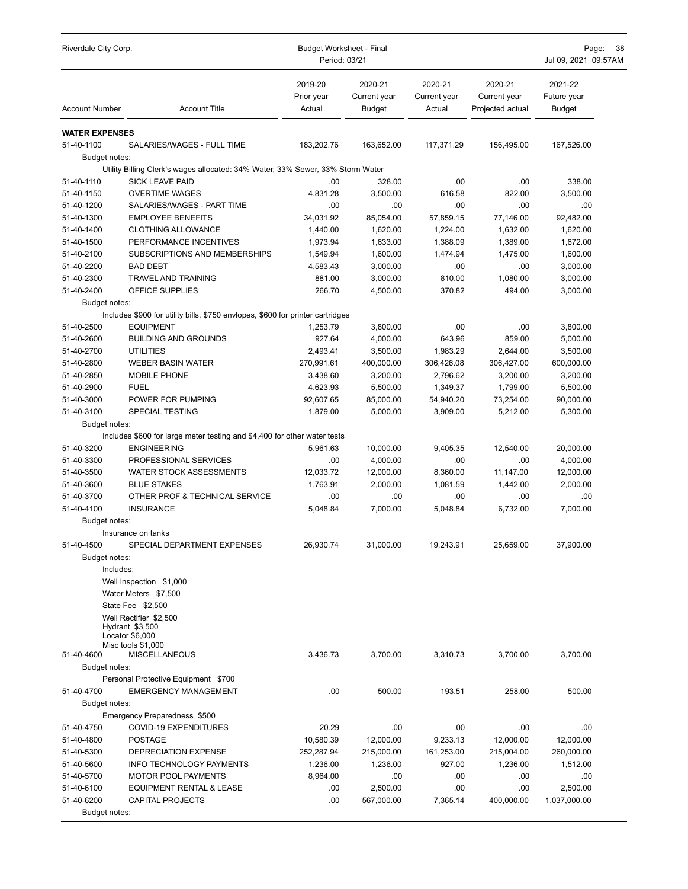| Riverdale City Corp.     |                                                                                | <b>Budget Worksheet - Final</b><br>Period: 03/21 |                                   |                                   |                                             | Page:<br>38<br>Jul 09, 2021 09:57AM     |  |
|--------------------------|--------------------------------------------------------------------------------|--------------------------------------------------|-----------------------------------|-----------------------------------|---------------------------------------------|-----------------------------------------|--|
| <b>Account Number</b>    | <b>Account Title</b>                                                           | 2019-20<br>Prior year<br>Actual                  | 2020-21<br>Current year<br>Budget | 2020-21<br>Current year<br>Actual | 2020-21<br>Current year<br>Projected actual | 2021-22<br>Future year<br><b>Budget</b> |  |
| <b>WATER EXPENSES</b>    |                                                                                |                                                  |                                   |                                   |                                             |                                         |  |
| 51-40-1100               | SALARIES/WAGES - FULL TIME                                                     | 183,202.76                                       | 163,652.00                        | 117,371.29                        | 156,495.00                                  | 167,526.00                              |  |
| Budget notes:            |                                                                                |                                                  |                                   |                                   |                                             |                                         |  |
|                          | Utility Billing Clerk's wages allocated: 34% Water, 33% Sewer, 33% Storm Water |                                                  |                                   |                                   |                                             |                                         |  |
| 51-40-1110               | <b>SICK LEAVE PAID</b>                                                         | .00                                              | 328.00<br>3.500.00                | .00.                              | .00                                         | 338.00                                  |  |
| 51-40-1150<br>51-40-1200 | <b>OVERTIME WAGES</b><br>SALARIES/WAGES - PART TIME                            | 4,831.28<br>.00                                  | .00.                              | 616.58<br>.00.                    | 822.00<br>.00                               | 3,500.00<br>.00                         |  |
| 51-40-1300               | <b>EMPLOYEE BENEFITS</b>                                                       | 34,031.92                                        | 85,054.00                         | 57,859.15                         | 77,146.00                                   | 92,482.00                               |  |
| 51-40-1400               | <b>CLOTHING ALLOWANCE</b>                                                      | 1,440.00                                         | 1,620.00                          | 1,224.00                          | 1,632.00                                    | 1,620.00                                |  |
| 51-40-1500               | PERFORMANCE INCENTIVES                                                         | 1,973.94                                         | 1,633.00                          | 1,388.09                          | 1,389.00                                    | 1,672.00                                |  |
| 51-40-2100               | SUBSCRIPTIONS AND MEMBERSHIPS                                                  | 1,549.94                                         | 1,600.00                          | 1,474.94                          | 1,475.00                                    | 1,600.00                                |  |
| 51-40-2200               | <b>BAD DEBT</b>                                                                | 4,583.43                                         | 3,000.00                          | .00.                              | .00                                         | 3,000.00                                |  |
| 51-40-2300               | TRAVEL AND TRAINING                                                            | 881.00                                           | 3,000.00                          | 810.00                            | 1,080.00                                    | 3,000.00                                |  |
| 51-40-2400               | OFFICE SUPPLIES                                                                | 266.70                                           | 4,500.00                          | 370.82                            | 494.00                                      | 3,000.00                                |  |
| <b>Budget notes:</b>     |                                                                                |                                                  |                                   |                                   |                                             |                                         |  |
|                          | Includes \$900 for utility bills, \$750 envlopes, \$600 for printer cartridges |                                                  |                                   |                                   |                                             |                                         |  |
| 51-40-2500               | <b>EQUIPMENT</b>                                                               | 1,253.79                                         | 3,800.00                          | .00.                              | .00                                         | 3,800.00                                |  |
| 51-40-2600               | <b>BUILDING AND GROUNDS</b>                                                    | 927.64                                           | 4,000.00                          | 643.96                            | 859.00                                      | 5,000.00                                |  |
| 51-40-2700               | <b>UTILITIES</b>                                                               | 2,493.41                                         | 3,500.00                          | 1,983.29                          | 2,644.00                                    | 3,500.00                                |  |
| 51-40-2800               | <b>WEBER BASIN WATER</b>                                                       | 270,991.61                                       | 400,000.00                        | 306,426.08                        | 306,427.00                                  | 600,000.00                              |  |
| 51-40-2850               | MOBILE PHONE                                                                   | 3,438.60                                         | 3,200.00                          | 2,796.62                          | 3,200.00                                    | 3,200.00                                |  |
| 51-40-2900               | <b>FUEL</b>                                                                    | 4,623.93                                         | 5,500.00                          | 1,349.37                          | 1,799.00                                    | 5,500.00                                |  |
| 51-40-3000               | POWER FOR PUMPING                                                              | 92,607.65                                        | 85,000.00                         | 54,940.20                         | 73,254.00                                   | 90,000.00                               |  |
| 51-40-3100               | SPECIAL TESTING                                                                | 1,879.00                                         | 5,000.00                          | 3,909.00                          | 5,212.00                                    | 5,300.00                                |  |
| Budget notes:            | Includes \$600 for large meter testing and \$4,400 for other water tests       |                                                  |                                   |                                   |                                             |                                         |  |
| 51-40-3200               | <b>ENGINEERING</b>                                                             | 5,961.63                                         | 10,000.00                         | 9,405.35                          | 12,540.00                                   | 20,000.00                               |  |
| 51-40-3300               | PROFESSIONAL SERVICES                                                          | .00                                              | 4,000.00                          | .00.                              | .00                                         | 4,000.00                                |  |
| 51-40-3500               | <b>WATER STOCK ASSESSMENTS</b>                                                 | 12,033.72                                        | 12,000.00                         | 8,360.00                          | 11,147.00                                   | 12,000.00                               |  |
| 51-40-3600               | <b>BLUE STAKES</b>                                                             | 1,763.91                                         | 2,000.00                          | 1,081.59                          | 1,442.00                                    | 2,000.00                                |  |
| 51-40-3700               | OTHER PROF & TECHNICAL SERVICE                                                 | .00                                              | .00                               | .00                               | .00                                         | .00                                     |  |
| 51-40-4100               | <b>INSURANCE</b>                                                               | 5,048.84                                         | 7,000.00                          | 5,048.84                          | 6,732.00                                    | 7,000.00                                |  |
| Budget notes:            |                                                                                |                                                  |                                   |                                   |                                             |                                         |  |
|                          | Insurance on tanks                                                             |                                                  |                                   |                                   |                                             |                                         |  |
| 51-40-4500               | SPECIAL DEPARTMENT EXPENSES                                                    | 26,930.74                                        | 31,000.00                         | 19,243.91                         | 25,659.00                                   | 37,900.00                               |  |
| Budget notes:            |                                                                                |                                                  |                                   |                                   |                                             |                                         |  |
| Includes:                |                                                                                |                                                  |                                   |                                   |                                             |                                         |  |
|                          | Well Inspection \$1,000                                                        |                                                  |                                   |                                   |                                             |                                         |  |
|                          | Water Meters \$7,500                                                           |                                                  |                                   |                                   |                                             |                                         |  |
|                          | State Fee \$2,500                                                              |                                                  |                                   |                                   |                                             |                                         |  |
|                          | Well Rectifier \$2,500<br>Hydrant \$3,500                                      |                                                  |                                   |                                   |                                             |                                         |  |
|                          | Locator \$6,000                                                                |                                                  |                                   |                                   |                                             |                                         |  |
| 51-40-4600               | Misc tools \$1,000<br><b>MISCELLANEOUS</b>                                     | 3,436.73                                         | 3,700.00                          | 3,310.73                          | 3,700.00                                    | 3,700.00                                |  |
| Budget notes:            |                                                                                |                                                  |                                   |                                   |                                             |                                         |  |
|                          | Personal Protective Equipment \$700                                            |                                                  |                                   |                                   |                                             |                                         |  |
| 51-40-4700               | <b>EMERGENCY MANAGEMENT</b>                                                    | .00                                              | 500.00                            | 193.51                            | 258.00                                      | 500.00                                  |  |
| Budget notes:            |                                                                                |                                                  |                                   |                                   |                                             |                                         |  |
|                          | Emergency Preparedness \$500                                                   |                                                  |                                   |                                   |                                             |                                         |  |
| 51-40-4750               | COVID-19 EXPENDITURES                                                          | 20.29                                            | .00                               | .00                               | .00.                                        | .00                                     |  |
| 51-40-4800               | <b>POSTAGE</b>                                                                 | 10,580.39                                        | 12,000.00                         | 9,233.13                          | 12,000.00                                   | 12,000.00                               |  |
| 51-40-5300               | DEPRECIATION EXPENSE                                                           | 252,287.94                                       | 215,000.00                        | 161,253.00                        | 215,004.00                                  | 260,000.00                              |  |
| 51-40-5600               | <b>INFO TECHNOLOGY PAYMENTS</b>                                                | 1,236.00                                         | 1,236.00                          | 927.00                            | 1,236.00                                    | 1,512.00                                |  |
| 51-40-5700               | MOTOR POOL PAYMENTS                                                            | 8,964.00                                         | .00                               | .00.                              | .00                                         | .00                                     |  |
| 51-40-6100               | <b>EQUIPMENT RENTAL &amp; LEASE</b>                                            | .00                                              | 2,500.00                          | .00.                              | .00.                                        | 2,500.00                                |  |
| 51-40-6200               | <b>CAPITAL PROJECTS</b>                                                        | .00                                              | 567,000.00                        | 7,365.14                          | 400,000.00                                  | 1,037,000.00                            |  |
| Budget notes:            |                                                                                |                                                  |                                   |                                   |                                             |                                         |  |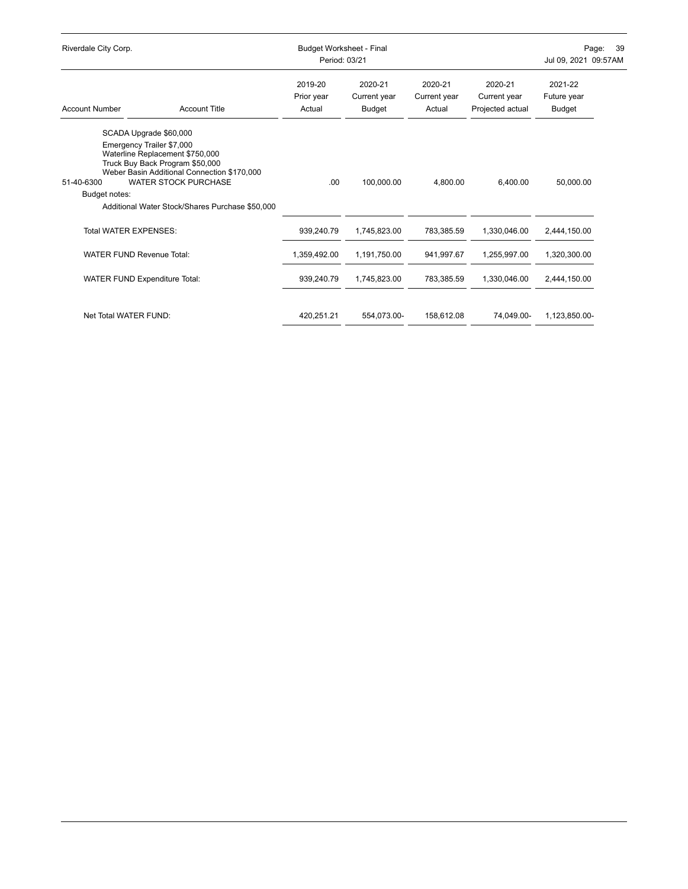| Riverdale City Corp.        |                                                                                                                                                                                                                                  | Budget Worksheet - Final<br>Period: 03/21 |                                   |                                   |                                             | Page:<br>39<br>Jul 09, 2021 09:57AM |  |
|-----------------------------|----------------------------------------------------------------------------------------------------------------------------------------------------------------------------------------------------------------------------------|-------------------------------------------|-----------------------------------|-----------------------------------|---------------------------------------------|-------------------------------------|--|
| <b>Account Number</b>       | <b>Account Title</b>                                                                                                                                                                                                             | 2019-20<br>Prior year<br>Actual           | 2020-21<br>Current year<br>Budget | 2020-21<br>Current year<br>Actual | 2020-21<br>Current year<br>Projected actual | 2021-22<br>Future year<br>Budget    |  |
|                             | SCADA Upgrade \$60,000                                                                                                                                                                                                           |                                           |                                   |                                   |                                             |                                     |  |
| 51-40-6300<br>Budget notes: | Emergency Trailer \$7,000<br>Waterline Replacement \$750,000<br>Truck Buy Back Program \$50,000<br>Weber Basin Additional Connection \$170,000<br><b>WATER STOCK PURCHASE</b><br>Additional Water Stock/Shares Purchase \$50,000 | .00.                                      | 100.000.00                        | 4.800.00                          | 6.400.00                                    | 50,000.00                           |  |
|                             | Total WATER EXPENSES:                                                                                                                                                                                                            | 939,240.79                                | 1,745,823.00                      | 783,385.59                        | 1,330,046.00                                | 2,444,150.00                        |  |
|                             | <b>WATER FUND Revenue Total:</b>                                                                                                                                                                                                 | 1,359,492.00                              | 1,191,750.00                      | 941,997.67                        | 1,255,997.00                                | 1,320,300.00                        |  |
|                             | <b>WATER FUND Expenditure Total:</b>                                                                                                                                                                                             | 939,240.79                                | 1,745,823.00                      | 783,385.59                        | 1,330,046.00                                | 2,444,150.00                        |  |
| Net Total WATER FUND:       |                                                                                                                                                                                                                                  | 420,251.21                                | 554.073.00-                       | 158.612.08                        | 74.049.00-                                  | 1,123,850.00-                       |  |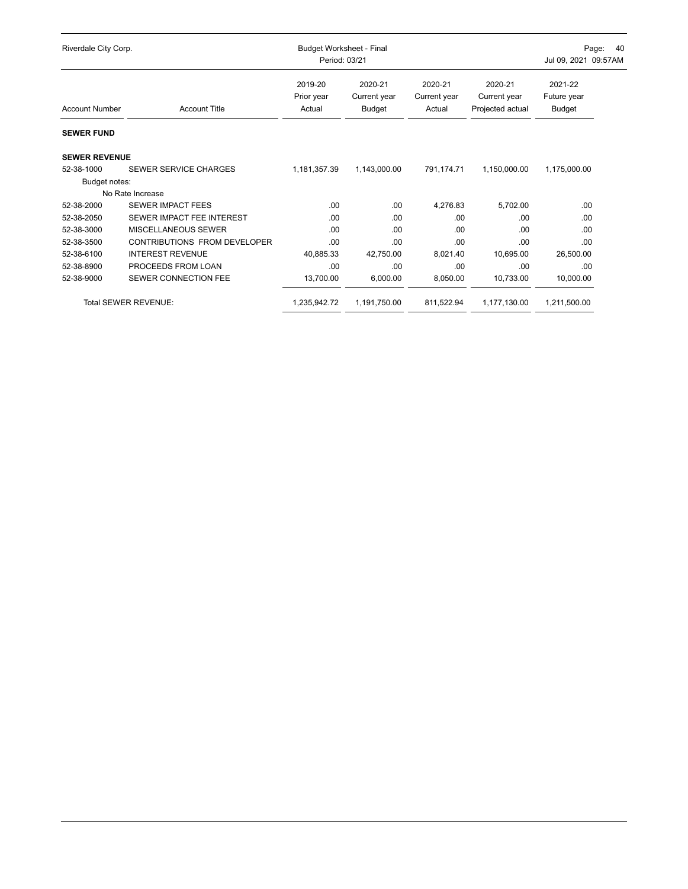| Riverdale City Corp.  |                              | <b>Budget Worksheet - Final</b><br>Period: 03/21 |                                          |                                   | Page:<br><b>40</b><br>Jul 09, 2021 09:57AM  |                                  |
|-----------------------|------------------------------|--------------------------------------------------|------------------------------------------|-----------------------------------|---------------------------------------------|----------------------------------|
| <b>Account Number</b> | <b>Account Title</b>         | 2019-20<br>Prior year<br>Actual                  | 2020-21<br>Current year<br><b>Budget</b> | 2020-21<br>Current year<br>Actual | 2020-21<br>Current year<br>Projected actual | 2021-22<br>Future year<br>Budget |
| <b>SEWER FUND</b>     |                              |                                                  |                                          |                                   |                                             |                                  |
| <b>SEWER REVENUE</b>  |                              |                                                  |                                          |                                   |                                             |                                  |
| 52-38-1000            | SEWER SERVICE CHARGES        | 1,181,357.39                                     | 1,143,000.00                             | 791,174.71                        | 1,150,000.00                                | 1,175,000.00                     |
| Budget notes:         |                              |                                                  |                                          |                                   |                                             |                                  |
|                       | No Rate Increase             |                                                  |                                          |                                   |                                             |                                  |
| 52-38-2000            | <b>SEWER IMPACT FEES</b>     | .00                                              | .00                                      | 4,276.83                          | 5,702.00                                    | .00                              |
| 52-38-2050            | SEWER IMPACT FEE INTEREST    | .00                                              | .00                                      | .00                               | .00                                         | .00                              |
| 52-38-3000            | MISCELLANEOUS SEWER          | .00                                              | .00                                      | .00                               | .00                                         | .00                              |
| 52-38-3500            | CONTRIBUTIONS FROM DEVELOPER | .00                                              | .00                                      | .00                               | .00                                         | .00                              |
| 52-38-6100            | <b>INTEREST REVENUE</b>      | 40,885.33                                        | 42,750.00                                | 8,021.40                          | 10,695.00                                   | 26,500.00                        |
| 52-38-8900            | PROCEEDS FROM LOAN           | .00                                              | .00                                      | .00                               | .00                                         | .00                              |
| 52-38-9000            | SEWER CONNECTION FEE         | 13,700.00                                        | 6,000.00                                 | 8,050.00                          | 10,733.00                                   | 10,000.00                        |
|                       | Total SEWER REVENUE:         | 1,235,942.72                                     | 1,191,750.00                             | 811,522.94                        | 1,177,130.00                                | 1,211,500.00                     |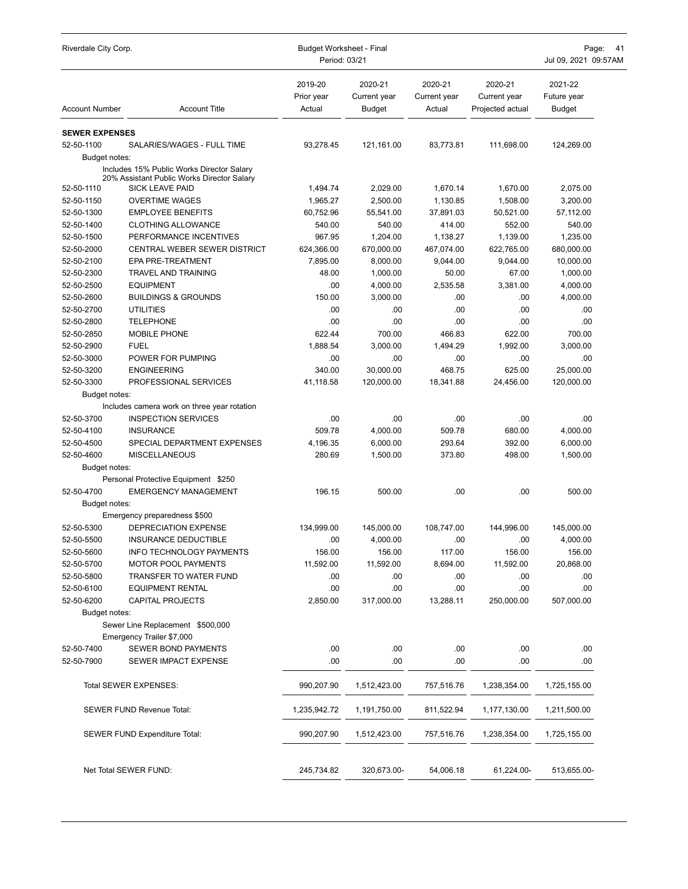| Riverdale City Corp.     |                                                                      | <b>Budget Worksheet - Final</b><br>Period: 03/21 | Page:<br>41<br>Jul 09, 2021 09:57AM      |                                   |                                             |                                         |
|--------------------------|----------------------------------------------------------------------|--------------------------------------------------|------------------------------------------|-----------------------------------|---------------------------------------------|-----------------------------------------|
| <b>Account Number</b>    | <b>Account Title</b>                                                 | 2019-20<br>Prior year<br>Actual                  | 2020-21<br>Current year<br><b>Budget</b> | 2020-21<br>Current year<br>Actual | 2020-21<br>Current year<br>Projected actual | 2021-22<br>Future year<br><b>Budget</b> |
| <b>SEWER EXPENSES</b>    |                                                                      |                                                  |                                          |                                   |                                             |                                         |
| 52-50-1100               | SALARIES/WAGES - FULL TIME                                           | 93,278.45                                        | 121,161.00                               | 83,773.81                         | 111,698.00                                  | 124,269.00                              |
| Budget notes:            |                                                                      |                                                  |                                          |                                   |                                             |                                         |
|                          | Includes 15% Public Works Director Salary                            |                                                  |                                          |                                   |                                             |                                         |
|                          | 20% Assistant Public Works Director Salary<br><b>SICK LEAVE PAID</b> | 1,494.74                                         |                                          |                                   |                                             |                                         |
| 52-50-1110<br>52-50-1150 | <b>OVERTIME WAGES</b>                                                | 1,965.27                                         | 2,029.00<br>2,500.00                     | 1,670.14<br>1,130.85              | 1,670.00<br>1,508.00                        | 2,075.00<br>3,200.00                    |
| 52-50-1300               | <b>EMPLOYEE BENEFITS</b>                                             | 60,752.96                                        | 55,541.00                                | 37,891.03                         | 50,521.00                                   | 57,112.00                               |
| 52-50-1400               | <b>CLOTHING ALLOWANCE</b>                                            | 540.00                                           | 540.00                                   | 414.00                            | 552.00                                      | 540.00                                  |
| 52-50-1500               | PERFORMANCE INCENTIVES                                               | 967.95                                           | 1,204.00                                 | 1,138.27                          | 1,139.00                                    | 1,235.00                                |
| 52-50-2000               | CENTRAL WEBER SEWER DISTRICT                                         | 624,366.00                                       | 670,000.00                               | 467,074.00                        | 622,765.00                                  | 680,000.00                              |
| 52-50-2100               | <b>EPA PRE-TREATMENT</b>                                             | 7.895.00                                         | 8,000.00                                 | 9,044.00                          | 9,044.00                                    | 10,000.00                               |
| 52-50-2300               | <b>TRAVEL AND TRAINING</b>                                           | 48.00                                            | 1,000.00                                 | 50.00                             | 67.00                                       | 1,000.00                                |
| 52-50-2500               | <b>EQUIPMENT</b>                                                     | .00                                              | 4,000.00                                 | 2,535.58                          | 3.381.00                                    | 4,000.00                                |
| 52-50-2600               | <b>BUILDINGS &amp; GROUNDS</b>                                       | 150.00                                           | 3,000.00                                 | .00                               | .00                                         | 4,000.00                                |
| 52-50-2700               | <b>UTILITIES</b>                                                     | .00                                              | .00                                      | .00                               | .00                                         | .00                                     |
| 52-50-2800               | <b>TELEPHONE</b>                                                     | .00                                              | .00                                      | .00                               | .00                                         | .00                                     |
| 52-50-2850               | <b>MOBILE PHONE</b>                                                  | 622.44                                           | 700.00                                   | 466.83                            | 622.00                                      | 700.00                                  |
| 52-50-2900               | <b>FUEL</b>                                                          | 1,888.54                                         | 3,000.00                                 | 1,494.29                          | 1,992.00                                    | 3,000.00                                |
| 52-50-3000               | POWER FOR PUMPING                                                    | .00                                              | .00                                      | .00                               | .00                                         | .00                                     |
| 52-50-3200               | <b>ENGINEERING</b>                                                   | 340.00                                           | 30,000.00                                | 468.75                            | 625.00                                      | 25,000.00                               |
| 52-50-3300               | PROFESSIONAL SERVICES                                                | 41,118.58                                        | 120,000.00                               | 18,341.88                         | 24,456.00                                   | 120,000.00                              |
| Budget notes:            |                                                                      |                                                  |                                          |                                   |                                             |                                         |
|                          | Includes camera work on three year rotation                          |                                                  |                                          |                                   |                                             |                                         |
| 52-50-3700               | <b>INSPECTION SERVICES</b>                                           | .00                                              | .00                                      | .00                               | .00                                         | .00                                     |
| 52-50-4100               | <b>INSURANCE</b>                                                     | 509.78                                           | 4,000.00                                 | 509.78                            | 680.00                                      | 4,000.00                                |
| 52-50-4500               | SPECIAL DEPARTMENT EXPENSES                                          | 4,196.35                                         | 6,000.00                                 | 293.64                            | 392.00                                      | 6,000.00                                |
| 52-50-4600               | <b>MISCELLANEOUS</b>                                                 | 280.69                                           | 1,500.00                                 | 373.80                            | 498.00                                      | 1,500.00                                |
| Budget notes:            |                                                                      |                                                  |                                          |                                   |                                             |                                         |
|                          | Personal Protective Equipment \$250                                  |                                                  |                                          |                                   |                                             |                                         |
| 52-50-4700               | <b>EMERGENCY MANAGEMENT</b>                                          | 196.15                                           | 500.00                                   | .00                               | .00                                         | 500.00                                  |
| Budget notes:            |                                                                      |                                                  |                                          |                                   |                                             |                                         |
|                          | Emergency preparedness \$500                                         |                                                  |                                          |                                   |                                             |                                         |
| 52-50-5300               | DEPRECIATION EXPENSE<br>INSURANCE DEDUCTIBLE                         | 134,999.00<br>.00                                | 145,000.00<br>4.000.00                   | 108,747.00<br>.00                 | 144,996.00<br>.00                           | 145,000.00<br>4,000.00                  |
| 52-50-5500<br>52-50-5600 | <b>INFO TECHNOLOGY PAYMENTS</b>                                      | 156.00                                           | 156.00                                   | 117.00                            | 156.00                                      | 156.00                                  |
| 52-50-5700               | <b>MOTOR POOL PAYMENTS</b>                                           | 11,592.00                                        | 11,592.00                                | 8,694.00                          | 11,592.00                                   | 20,868.00                               |
| 52-50-5800               | TRANSFER TO WATER FUND                                               | .00                                              | .00                                      | .00                               | .00                                         | .00                                     |
| 52-50-6100               | <b>EQUIPMENT RENTAL</b>                                              | .00                                              | $.00\,$                                  | .00                               | .00                                         | .00                                     |
| 52-50-6200               | <b>CAPITAL PROJECTS</b>                                              | 2,850.00                                         | 317,000.00                               | 13,288.11                         | 250,000.00                                  | 507,000.00                              |
| Budget notes:            |                                                                      |                                                  |                                          |                                   |                                             |                                         |
|                          | Sewer Line Replacement \$500,000                                     |                                                  |                                          |                                   |                                             |                                         |
|                          | Emergency Trailer \$7,000                                            |                                                  |                                          |                                   |                                             |                                         |
| 52-50-7400               | <b>SEWER BOND PAYMENTS</b>                                           | .00                                              | .00                                      | .00                               | .00                                         | .00                                     |
| 52-50-7900               | SEWER IMPACT EXPENSE                                                 | .00                                              | .00                                      | .00                               | .00                                         | .00                                     |
|                          | Total SEWER EXPENSES:                                                | 990,207.90                                       | 1,512,423.00                             | 757,516.76                        | 1,238,354.00                                | 1,725,155.00                            |
|                          | SEWER FUND Revenue Total:                                            | 1,235,942.72                                     | 1,191,750.00                             | 811,522.94                        | 1,177,130.00                                | 1,211,500.00                            |
|                          | <b>SEWER FUND Expenditure Total:</b>                                 | 990,207.90                                       | 1,512,423.00                             | 757,516.76                        | 1,238,354.00                                | 1,725,155.00                            |
|                          | Net Total SEWER FUND:                                                | 245,734.82                                       | 320,673.00-                              | 54,006.18                         | 61,224.00-                                  | 513,655.00-                             |
|                          |                                                                      |                                                  |                                          |                                   |                                             |                                         |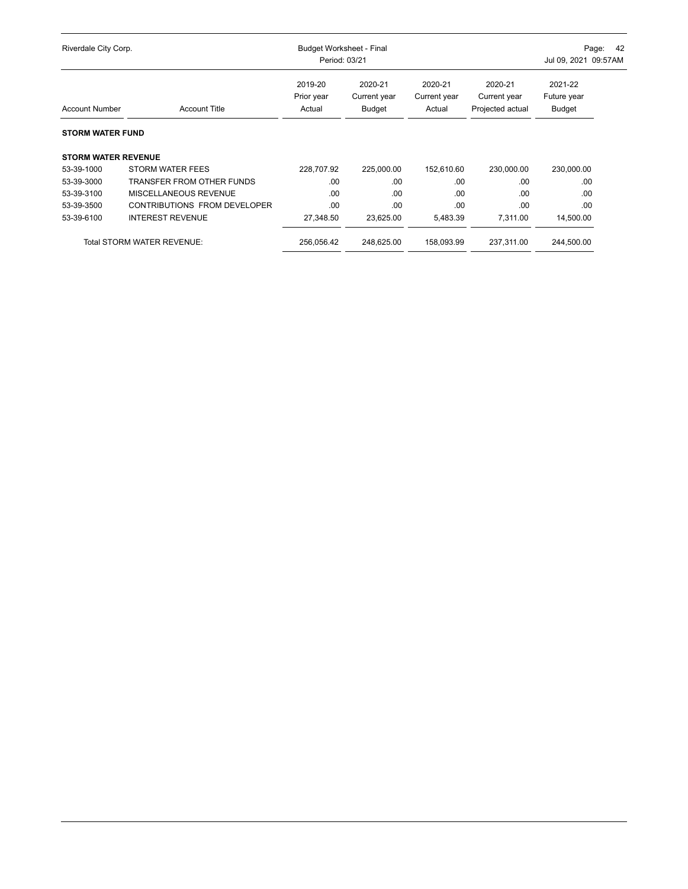| Riverdale City Corp.       |                              | <b>Budget Worksheet - Final</b><br>Period: 03/21 | -42<br>Page:<br>Jul 09, 2021 09:57AM |                                   |                                             |                                         |  |
|----------------------------|------------------------------|--------------------------------------------------|--------------------------------------|-----------------------------------|---------------------------------------------|-----------------------------------------|--|
| <b>Account Number</b>      | <b>Account Title</b>         | 2019-20<br>Prior year<br>Actual                  | 2020-21<br>Current year<br>Budget    | 2020-21<br>Current year<br>Actual | 2020-21<br>Current year<br>Projected actual | 2021-22<br>Future year<br><b>Budget</b> |  |
| <b>STORM WATER FUND</b>    |                              |                                                  |                                      |                                   |                                             |                                         |  |
| <b>STORM WATER REVENUE</b> |                              |                                                  |                                      |                                   |                                             |                                         |  |
| 53-39-1000                 | <b>STORM WATER FEES</b>      | 228,707.92                                       | 225,000.00                           | 152,610.60                        | 230,000.00                                  | 230,000.00                              |  |
| 53-39-3000                 | TRANSFER FROM OTHER FUNDS    | .00                                              | .00                                  | .00                               | .00                                         | .00                                     |  |
| 53-39-3100                 | MISCELLANEOUS REVENUE        | .00                                              | .00                                  | .00                               | .00                                         | .00                                     |  |
| 53-39-3500                 | CONTRIBUTIONS FROM DEVELOPER | .00                                              | .00                                  | .00                               | .00                                         | .00                                     |  |
| 53-39-6100                 | <b>INTEREST REVENUE</b>      | 27,348.50                                        | 23,625.00                            | 5,483.39                          | 7,311.00                                    | 14,500.00                               |  |
|                            | Total STORM WATER REVENUE:   | 256,056.42                                       | 248.625.00                           | 158.093.99                        | 237,311.00                                  | 244,500.00                              |  |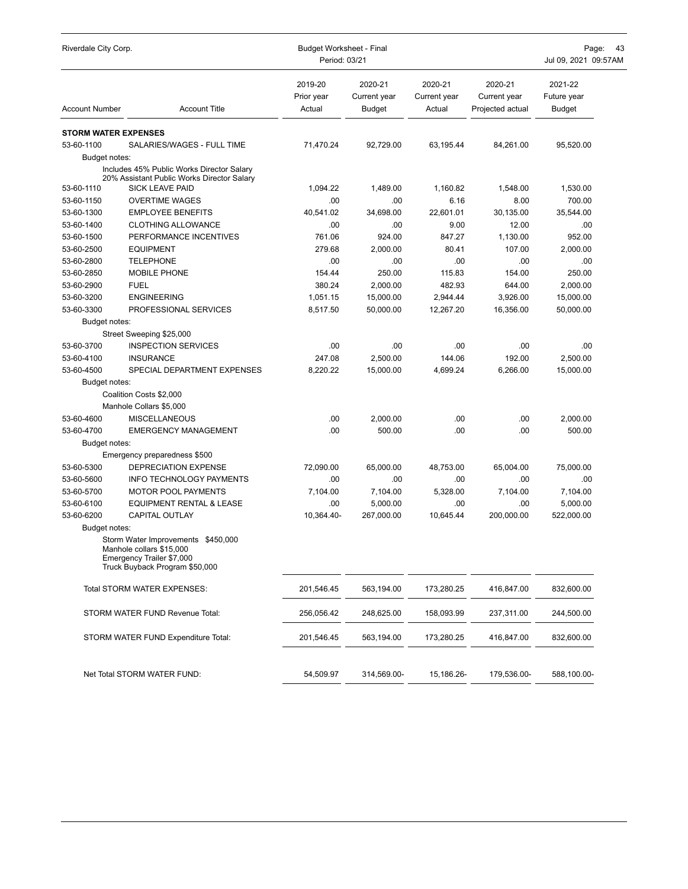| Riverdale City Corp.        |                                                                                                                               | <b>Budget Worksheet - Final</b><br>Period: 03/21 | Page:<br>43<br>Jul 09, 2021 09:57AM      |                                   |                                             |                                         |
|-----------------------------|-------------------------------------------------------------------------------------------------------------------------------|--------------------------------------------------|------------------------------------------|-----------------------------------|---------------------------------------------|-----------------------------------------|
| <b>Account Number</b>       | <b>Account Title</b>                                                                                                          | 2019-20<br>Prior year<br>Actual                  | 2020-21<br>Current year<br><b>Budget</b> | 2020-21<br>Current year<br>Actual | 2020-21<br>Current year<br>Projected actual | 2021-22<br>Future year<br><b>Budget</b> |
| <b>STORM WATER EXPENSES</b> |                                                                                                                               |                                                  |                                          |                                   |                                             |                                         |
| 53-60-1100                  | SALARIES/WAGES - FULL TIME                                                                                                    | 71,470.24                                        | 92,729.00                                | 63,195.44                         | 84,261.00                                   | 95,520.00                               |
| Budget notes:               |                                                                                                                               |                                                  |                                          |                                   |                                             |                                         |
|                             | Includes 45% Public Works Director Salary<br>20% Assistant Public Works Director Salary                                       |                                                  |                                          |                                   |                                             |                                         |
| 53-60-1110                  | <b>SICK LEAVE PAID</b>                                                                                                        | 1,094.22                                         | 1,489.00                                 | 1,160.82                          | 1,548.00                                    | 1,530.00                                |
| 53-60-1150                  | <b>OVERTIME WAGES</b>                                                                                                         | .00                                              | .00                                      | 6.16                              | 8.00                                        | 700.00                                  |
| 53-60-1300                  | <b>EMPLOYEE BENEFITS</b>                                                                                                      | 40,541.02                                        | 34,698.00                                | 22,601.01                         | 30,135.00                                   | 35,544.00                               |
| 53-60-1400                  | <b>CLOTHING ALLOWANCE</b>                                                                                                     | .00                                              | .00                                      | 9.00                              | 12.00                                       | .00                                     |
| 53-60-1500                  | PERFORMANCE INCENTIVES                                                                                                        | 761.06                                           | 924.00                                   | 847.27                            | 1,130.00                                    | 952.00                                  |
| 53-60-2500                  | <b>EQUIPMENT</b>                                                                                                              | 279.68                                           | 2,000.00                                 | 80.41                             | 107.00                                      | 2,000.00                                |
| 53-60-2800                  | <b>TELEPHONE</b>                                                                                                              | .00                                              | .00                                      | .00                               | .00                                         | .00                                     |
| 53-60-2850                  | <b>MOBILE PHONE</b>                                                                                                           | 154.44                                           | 250.00                                   | 115.83                            | 154.00                                      | 250.00                                  |
| 53-60-2900                  | <b>FUEL</b>                                                                                                                   | 380.24                                           | 2,000.00                                 | 482.93                            | 644.00                                      | 2,000.00                                |
| 53-60-3200                  | <b>ENGINEERING</b>                                                                                                            | 1.051.15                                         | 15,000.00                                | 2,944.44                          | 3,926.00                                    | 15,000.00                               |
| 53-60-3300                  | PROFESSIONAL SERVICES                                                                                                         | 8,517.50                                         | 50,000.00                                | 12.267.20                         | 16,356.00                                   | 50,000.00                               |
| Budget notes:               |                                                                                                                               |                                                  |                                          |                                   |                                             |                                         |
|                             | Street Sweeping \$25,000                                                                                                      |                                                  |                                          |                                   |                                             |                                         |
| 53-60-3700                  | <b>INSPECTION SERVICES</b>                                                                                                    | .00                                              | .00                                      | .00                               | .00                                         | .00                                     |
| 53-60-4100                  | <b>INSURANCE</b>                                                                                                              | 247.08                                           | 2,500.00                                 | 144.06                            | 192.00                                      | 2.500.00                                |
| 53-60-4500                  | SPECIAL DEPARTMENT EXPENSES                                                                                                   | 8,220.22                                         | 15,000.00                                | 4,699.24                          | 6,266.00                                    | 15,000.00                               |
| Budget notes:               |                                                                                                                               |                                                  |                                          |                                   |                                             |                                         |
|                             | Coalition Costs \$2,000                                                                                                       |                                                  |                                          |                                   |                                             |                                         |
|                             | Manhole Collars \$5,000                                                                                                       |                                                  |                                          |                                   |                                             |                                         |
| 53-60-4600                  | <b>MISCELLANEOUS</b>                                                                                                          | .00                                              | 2,000.00                                 | .00                               | .00                                         | 2,000.00                                |
| 53-60-4700                  | <b>EMERGENCY MANAGEMENT</b>                                                                                                   | .00                                              | 500.00                                   | .00                               | .00                                         | 500.00                                  |
| Budget notes:               |                                                                                                                               |                                                  |                                          |                                   |                                             |                                         |
|                             | Emergency preparedness \$500                                                                                                  |                                                  |                                          |                                   |                                             |                                         |
| 53-60-5300                  | DEPRECIATION EXPENSE                                                                                                          | 72,090.00                                        | 65,000.00                                | 48,753.00                         | 65,004.00                                   | 75,000.00                               |
| 53-60-5600                  | <b>INFO TECHNOLOGY PAYMENTS</b>                                                                                               | .00                                              | .00                                      | .00                               | .00                                         | .00                                     |
| 53-60-5700                  | <b>MOTOR POOL PAYMENTS</b>                                                                                                    | 7,104.00                                         | 7,104.00                                 | 5,328.00                          | 7,104.00                                    | 7,104.00                                |
| 53-60-6100                  | <b>EQUIPMENT RENTAL &amp; LEASE</b>                                                                                           | .00                                              | 5,000.00                                 | .00                               | .00                                         | 5,000.00                                |
| 53-60-6200                  | <b>CAPITAL OUTLAY</b>                                                                                                         | 10,364.40-                                       | 267,000.00                               | 10,645.44                         | 200.000.00                                  | 522,000.00                              |
| Budget notes:               |                                                                                                                               |                                                  |                                          |                                   |                                             |                                         |
|                             | Storm Water Improvements \$450,000<br>Manhole collars \$15,000<br>Emergency Trailer \$7,000<br>Truck Buyback Program \$50,000 |                                                  |                                          |                                   |                                             |                                         |
|                             | Total STORM WATER EXPENSES:                                                                                                   | 201,546.45                                       | 563,194.00                               | 173,280.25                        | 416,847.00                                  | 832,600.00                              |
|                             | STORM WATER FUND Revenue Total:                                                                                               | 256,056.42                                       | 248,625.00                               | 158,093.99                        | 237,311.00                                  | 244,500.00                              |
|                             | STORM WATER FUND Expenditure Total:                                                                                           | 201,546.45                                       | 563,194.00                               | 173,280.25                        | 416,847.00                                  | 832,600.00                              |
|                             | Net Total STORM WATER FUND:                                                                                                   | 54,509.97                                        | 314,569.00-                              | 15,186.26-                        | 179,536.00-                                 | 588,100.00-                             |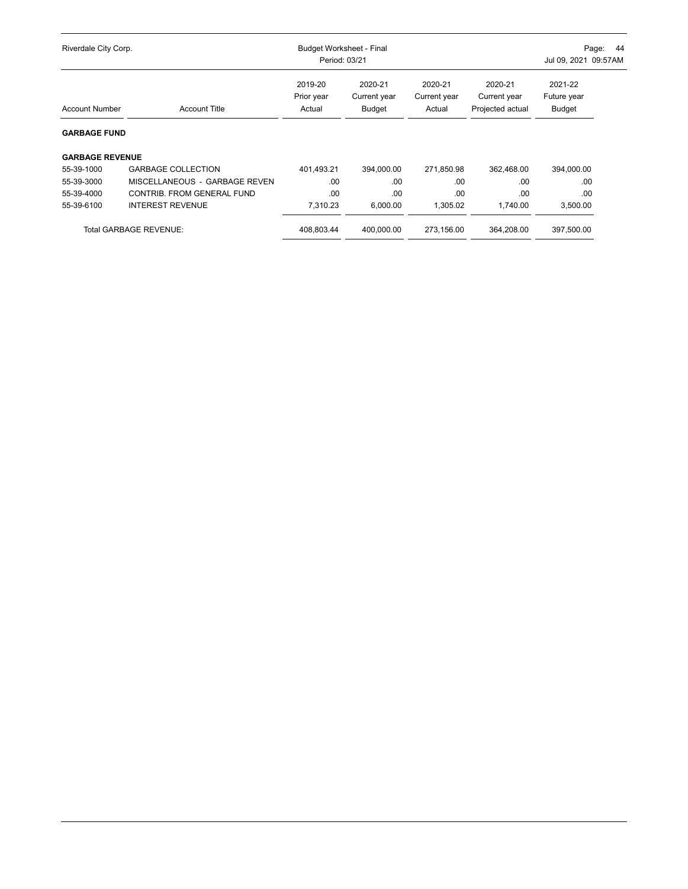| Riverdale City Corp.   |                               | <b>Budget Worksheet - Final</b><br>Period: 03/21 | 44<br>Page:<br>Jul 09, 2021 09:57AM      |                                   |                                             |                                  |  |
|------------------------|-------------------------------|--------------------------------------------------|------------------------------------------|-----------------------------------|---------------------------------------------|----------------------------------|--|
| <b>Account Number</b>  | <b>Account Title</b>          | 2019-20<br>Prior year<br>Actual                  | 2020-21<br>Current year<br><b>Budget</b> | 2020-21<br>Current year<br>Actual | 2020-21<br>Current year<br>Projected actual | 2021-22<br>Future year<br>Budget |  |
| <b>GARBAGE FUND</b>    |                               |                                                  |                                          |                                   |                                             |                                  |  |
| <b>GARBAGE REVENUE</b> |                               |                                                  |                                          |                                   |                                             |                                  |  |
| 55-39-1000             | <b>GARBAGE COLLECTION</b>     | 401,493.21                                       | 394,000.00                               | 271,850.98                        | 362,468.00                                  | 394,000.00                       |  |
| 55-39-3000             | MISCELLANEOUS - GARBAGE REVEN | .00                                              | .00                                      | .00                               | .00                                         | .00                              |  |
| 55-39-4000             | CONTRIB. FROM GENERAL FUND    | .00                                              | .00                                      | .00                               | .00                                         | .00                              |  |
| 55-39-6100             | <b>INTEREST REVENUE</b>       | 7,310.23                                         | 6,000.00                                 | 1,305.02                          | 1,740.00                                    | 3,500.00                         |  |
|                        | <b>Total GARBAGE REVENUE:</b> | 408.803.44                                       | 400.000.00                               | 273.156.00                        | 364.208.00                                  | 397.500.00                       |  |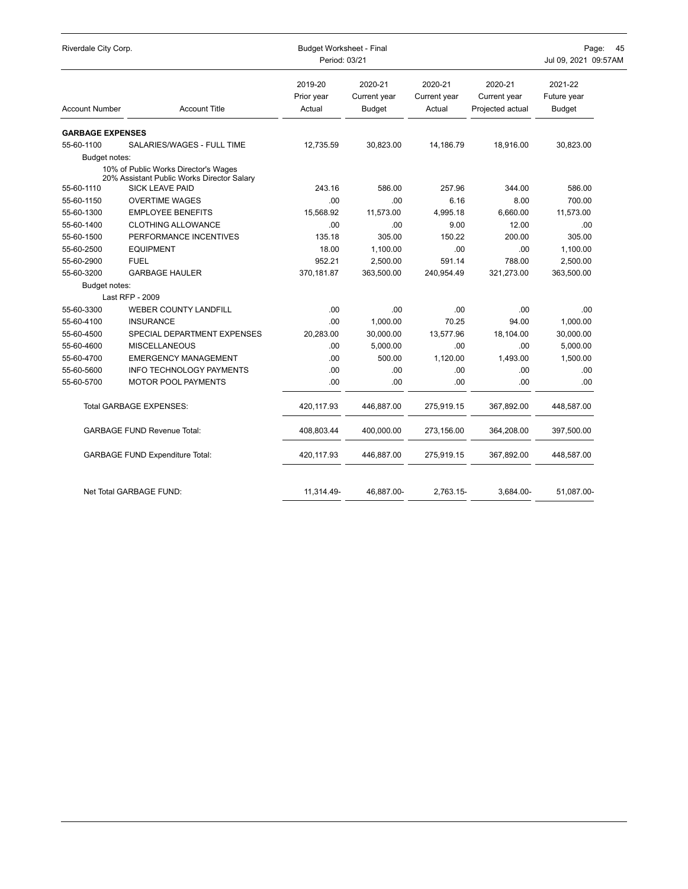| Riverdale City Corp.    |                                                                                    | <b>Budget Worksheet - Final</b><br>Period: 03/21 | 45<br>Page:<br>Jul 09, 2021 09:57AM      |                                   |                                             |                                         |
|-------------------------|------------------------------------------------------------------------------------|--------------------------------------------------|------------------------------------------|-----------------------------------|---------------------------------------------|-----------------------------------------|
| <b>Account Number</b>   | <b>Account Title</b>                                                               | 2019-20<br>Prior year<br>Actual                  | 2020-21<br>Current year<br><b>Budget</b> | 2020-21<br>Current year<br>Actual | 2020-21<br>Current year<br>Projected actual | 2021-22<br>Future year<br><b>Budget</b> |
| <b>GARBAGE EXPENSES</b> |                                                                                    |                                                  |                                          |                                   |                                             |                                         |
| 55-60-1100              | SALARIES/WAGES - FULL TIME                                                         | 12,735.59                                        | 30,823.00                                | 14,186.79                         | 18,916.00                                   | 30,823.00                               |
| Budget notes:           |                                                                                    |                                                  |                                          |                                   |                                             |                                         |
|                         | 10% of Public Works Director's Wages<br>20% Assistant Public Works Director Salary |                                                  |                                          |                                   |                                             |                                         |
| 55-60-1110              | <b>SICK LEAVE PAID</b>                                                             | 243.16                                           | 586.00                                   | 257.96                            | 344.00                                      | 586.00                                  |
| 55-60-1150              | <b>OVERTIME WAGES</b>                                                              | .00                                              | .00                                      | 6.16                              | 8.00                                        | 700.00                                  |
| 55-60-1300              | <b>EMPLOYEE BENEFITS</b>                                                           | 15,568.92                                        | 11,573.00                                | 4,995.18                          | 6,660.00                                    | 11,573.00                               |
| 55-60-1400              | <b>CLOTHING ALLOWANCE</b>                                                          | .00                                              | .00                                      | 9.00                              | 12.00                                       | .00                                     |
| 55-60-1500              | PERFORMANCE INCENTIVES                                                             | 135.18                                           | 305.00                                   | 150.22                            | 200.00                                      | 305.00                                  |
| 55-60-2500              | <b>EQUIPMENT</b>                                                                   | 18.00                                            | 1,100.00                                 | .00                               | .00.                                        | 1,100.00                                |
| 55-60-2900              | <b>FUEL</b>                                                                        | 952.21                                           | 2,500.00                                 | 591.14                            | 788.00                                      | 2,500.00                                |
| 55-60-3200              | <b>GARBAGE HAULER</b>                                                              | 370,181.87                                       | 363,500.00                               | 240,954.49                        | 321,273.00                                  | 363,500.00                              |
| Budget notes:           |                                                                                    |                                                  |                                          |                                   |                                             |                                         |
|                         | Last RFP - 2009                                                                    |                                                  |                                          |                                   |                                             |                                         |
| 55-60-3300              | <b>WEBER COUNTY LANDFILL</b>                                                       | .00                                              | .00                                      | .00                               | .00                                         | .00                                     |
| 55-60-4100              | <b>INSURANCE</b>                                                                   | .00                                              | 1,000.00                                 | 70.25                             | 94.00                                       | 1,000.00                                |
| 55-60-4500              | SPECIAL DEPARTMENT EXPENSES                                                        | 20,283.00                                        | 30,000.00                                | 13,577.96                         | 18,104.00                                   | 30,000.00                               |
| 55-60-4600              | <b>MISCELLANEOUS</b>                                                               | .00                                              | 5,000.00                                 | .00                               | .00                                         | 5,000.00                                |
| 55-60-4700              | <b>EMERGENCY MANAGEMENT</b>                                                        | .00                                              | 500.00                                   | 1,120.00                          | 1,493.00                                    | 1,500.00                                |
| 55-60-5600              | <b>INFO TECHNOLOGY PAYMENTS</b>                                                    | .00                                              | .00.                                     | .00                               | .00                                         | .00                                     |
| 55-60-5700              | MOTOR POOL PAYMENTS                                                                | .00                                              | .00                                      | .00                               | .00                                         | .00                                     |
|                         | <b>Total GARBAGE EXPENSES:</b>                                                     | 420,117.93                                       | 446,887.00                               | 275,919.15                        | 367,892.00                                  | 448,587.00                              |
|                         | <b>GARBAGE FUND Revenue Total:</b>                                                 | 408,803.44                                       | 400,000.00                               | 273,156.00                        | 364,208.00                                  | 397,500.00                              |
|                         | <b>GARBAGE FUND Expenditure Total:</b>                                             | 420,117.93                                       | 446,887.00                               | 275,919.15                        | 367,892.00                                  | 448,587.00                              |
|                         | Net Total GARBAGE FUND:                                                            | 11.314.49-                                       | 46.887.00-                               | 2.763.15-                         | 3.684.00-                                   | 51.087.00-                              |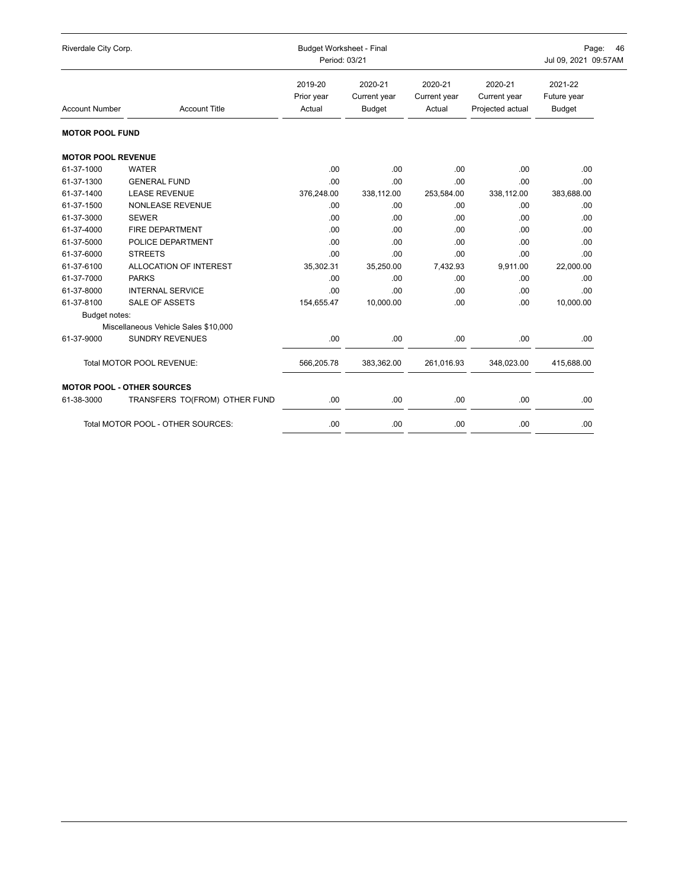| Riverdale City Corp.      |                                      | <b>Budget Worksheet - Final</b><br>Period: 03/21 | Page:<br>46<br>Jul 09, 2021 09:57AM      |                                   |                                             |                                         |
|---------------------------|--------------------------------------|--------------------------------------------------|------------------------------------------|-----------------------------------|---------------------------------------------|-----------------------------------------|
| <b>Account Number</b>     | <b>Account Title</b>                 | 2019-20<br>Prior year<br>Actual                  | 2020-21<br>Current year<br><b>Budget</b> | 2020-21<br>Current year<br>Actual | 2020-21<br>Current year<br>Projected actual | 2021-22<br>Future year<br><b>Budget</b> |
| <b>MOTOR POOL FUND</b>    |                                      |                                                  |                                          |                                   |                                             |                                         |
| <b>MOTOR POOL REVENUE</b> |                                      |                                                  |                                          |                                   |                                             |                                         |
| 61-37-1000                | <b>WATER</b>                         | .00                                              | .00                                      | .00                               | .00                                         | .00                                     |
| 61-37-1300                | <b>GENERAL FUND</b>                  | .00                                              | .00                                      | .00                               | .00                                         | .00                                     |
| 61-37-1400                | <b>LEASE REVENUE</b>                 | 376,248.00                                       | 338,112.00                               | 253,584.00                        | 338,112.00                                  | 383,688.00                              |
| 61-37-1500                | <b>NONLEASE REVENUE</b>              | .00                                              | .00                                      | .00                               | .00                                         | .00                                     |
| 61-37-3000                | <b>SEWER</b>                         | .00                                              | .00                                      | .00                               | .00                                         | .00                                     |
| 61-37-4000                | <b>FIRE DEPARTMENT</b>               | .00                                              | .00                                      | .00                               | .00                                         | .00                                     |
| 61-37-5000                | POLICE DEPARTMENT                    | .00                                              | .00                                      | .00                               | .00                                         | .00                                     |
| 61-37-6000                | <b>STREETS</b>                       | .00                                              | .00                                      | .00                               | .00                                         | .00                                     |
| 61-37-6100                | ALLOCATION OF INTEREST               | 35,302.31                                        | 35,250.00                                | 7,432.93                          | 9,911.00                                    | 22,000.00                               |
| 61-37-7000                | <b>PARKS</b>                         | .00                                              | .00                                      | .00                               | .00                                         | .00                                     |
| 61-37-8000                | <b>INTERNAL SERVICE</b>              | .00                                              | .00                                      | .00                               | .00                                         | .00                                     |
| 61-37-8100                | <b>SALE OF ASSETS</b>                | 154,655.47                                       | 10,000.00                                | .00.                              | .00                                         | 10,000.00                               |
| Budget notes:             |                                      |                                                  |                                          |                                   |                                             |                                         |
|                           | Miscellaneous Vehicle Sales \$10,000 |                                                  |                                          |                                   |                                             |                                         |
| 61-37-9000                | <b>SUNDRY REVENUES</b>               | .00                                              | .00                                      | .00                               | .00                                         | .00                                     |
|                           | Total MOTOR POOL REVENUE:            | 566,205.78                                       | 383,362.00                               | 261,016.93                        | 348,023.00                                  | 415,688.00                              |
|                           | <b>MOTOR POOL - OTHER SOURCES</b>    |                                                  |                                          |                                   |                                             |                                         |
| 61-38-3000                | TRANSFERS TO(FROM) OTHER FUND        | .00                                              | .00                                      | .00                               | .00                                         | .00                                     |
|                           | Total MOTOR POOL - OTHER SOURCES:    | .00                                              | .00                                      | .00                               | .00                                         | .00                                     |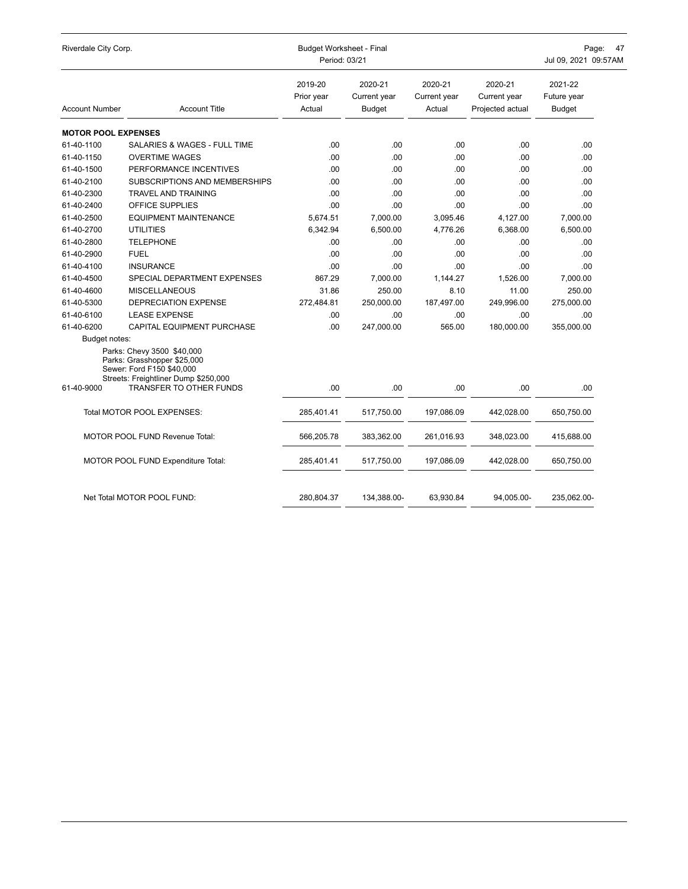| Riverdale City Corp.       |                                                                                                                                                           | <b>Budget Worksheet - Final</b><br>Period: 03/21 | Page:<br>47<br>Jul 09, 2021 09:57AM      |                                   |                                             |                                         |
|----------------------------|-----------------------------------------------------------------------------------------------------------------------------------------------------------|--------------------------------------------------|------------------------------------------|-----------------------------------|---------------------------------------------|-----------------------------------------|
| <b>Account Number</b>      | <b>Account Title</b>                                                                                                                                      | 2019-20<br>Prior year<br>Actual                  | 2020-21<br>Current year<br><b>Budget</b> | 2020-21<br>Current year<br>Actual | 2020-21<br>Current year<br>Projected actual | 2021-22<br>Future year<br><b>Budget</b> |
| <b>MOTOR POOL EXPENSES</b> |                                                                                                                                                           |                                                  |                                          |                                   |                                             |                                         |
| 61-40-1100                 | SALARIES & WAGES - FULL TIME                                                                                                                              | .00                                              | .00.                                     | .00                               | .00                                         | .00                                     |
| 61-40-1150                 | <b>OVERTIME WAGES</b>                                                                                                                                     | .00.                                             | .00                                      | .00                               | .00.                                        | .00                                     |
| 61-40-1500                 | PERFORMANCE INCENTIVES                                                                                                                                    | .00                                              | .00.                                     | .00                               | .00                                         | .00                                     |
| 61-40-2100                 | SUBSCRIPTIONS AND MEMBERSHIPS                                                                                                                             | .00                                              | .00                                      | .00                               | .00.                                        | .00                                     |
| 61-40-2300                 | <b>TRAVEL AND TRAINING</b>                                                                                                                                | .00.                                             | .00.                                     | .00                               | .00.                                        | .00                                     |
| 61-40-2400                 | OFFICE SUPPLIES                                                                                                                                           | .00.                                             | .00                                      | .00                               | .00.                                        | .00                                     |
| 61-40-2500                 | <b>EQUIPMENT MAINTENANCE</b>                                                                                                                              | 5,674.51                                         | 7,000.00                                 | 3,095.46                          | 4,127.00                                    | 7,000.00                                |
| 61-40-2700                 | <b>UTILITIES</b>                                                                                                                                          | 6,342.94                                         | 6,500.00                                 | 4,776.26                          | 6,368.00                                    | 6,500.00                                |
| 61-40-2800                 | <b>TELEPHONE</b>                                                                                                                                          | .00                                              | .00.                                     | .00                               | .00                                         | .00                                     |
| 61-40-2900                 | <b>FUEL</b>                                                                                                                                               | .00                                              | .00.                                     | .00                               | .00                                         | .00                                     |
| 61-40-4100                 | <b>INSURANCE</b>                                                                                                                                          | .00                                              | .00.                                     | .00                               | .00                                         | .00                                     |
| 61-40-4500                 | SPECIAL DEPARTMENT EXPENSES                                                                                                                               | 867.29                                           | 7,000.00                                 | 1,144.27                          | 1,526.00                                    | 7,000.00                                |
| 61-40-4600                 | <b>MISCELLANEOUS</b>                                                                                                                                      | 31.86                                            | 250.00                                   | 8.10                              | 11.00                                       | 250.00                                  |
| 61-40-5300                 | <b>DEPRECIATION EXPENSE</b>                                                                                                                               | 272,484.81                                       | 250,000.00                               | 187,497.00                        | 249,996.00                                  | 275,000.00                              |
| 61-40-6100                 | <b>LEASE EXPENSE</b>                                                                                                                                      | .00                                              | .00.                                     | .00                               | .00                                         | .00.                                    |
| 61-40-6200                 | <b>CAPITAL EQUIPMENT PURCHASE</b>                                                                                                                         | .00                                              | 247,000.00                               | 565.00                            | 180,000.00                                  | 355,000.00                              |
| Budget notes:              |                                                                                                                                                           |                                                  |                                          |                                   |                                             |                                         |
| 61-40-9000                 | Parks: Chevy 3500 \$40,000<br>Parks: Grasshopper \$25,000<br>Sewer: Ford F150 \$40,000<br>Streets: Freightliner Dump \$250,000<br>TRANSFER TO OTHER FUNDS | .00                                              | .00                                      | .00                               | .00                                         | .00                                     |
|                            |                                                                                                                                                           |                                                  |                                          |                                   |                                             |                                         |
|                            | Total MOTOR POOL EXPENSES:                                                                                                                                | 285,401.41                                       | 517,750.00                               | 197,086.09                        | 442,028.00                                  | 650,750.00                              |
|                            | MOTOR POOL FUND Revenue Total:                                                                                                                            | 566,205.78                                       | 383,362.00                               | 261,016.93                        | 348,023.00                                  | 415,688.00                              |
|                            | MOTOR POOL FUND Expenditure Total:                                                                                                                        | 285,401.41                                       | 517,750.00                               | 197,086.09                        | 442,028.00                                  | 650,750.00                              |
|                            | Net Total MOTOR POOL FUND:                                                                                                                                | 280,804.37                                       | 134,388.00-                              | 63.930.84                         | 94,005.00-                                  | 235,062.00-                             |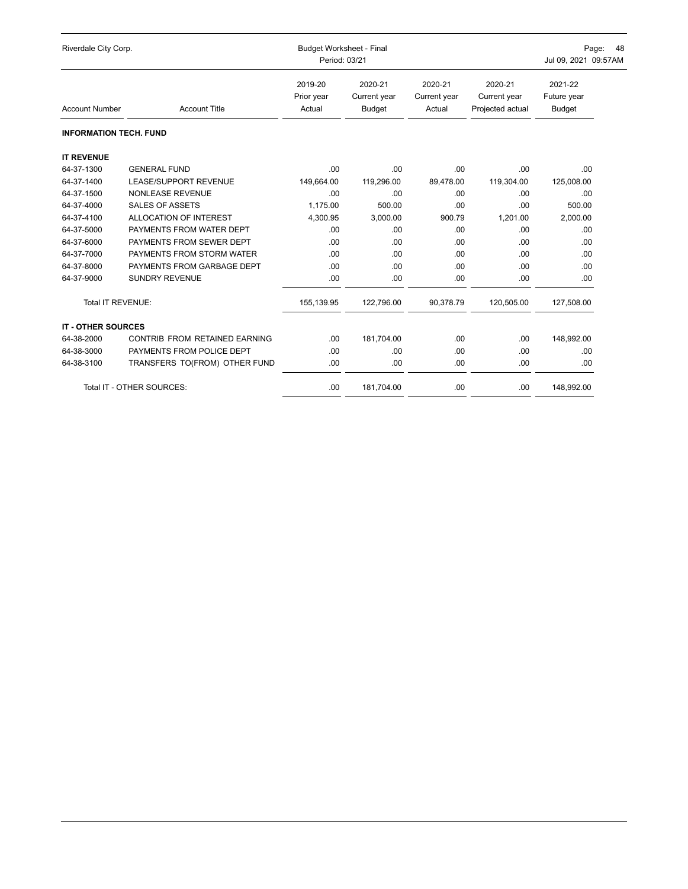| Riverdale City Corp.          |                               | <b>Budget Worksheet - Final</b><br>Period: 03/21 | Page:<br>48<br>Jul 09, 2021 09:57AM      |                                   |                                             |                                         |
|-------------------------------|-------------------------------|--------------------------------------------------|------------------------------------------|-----------------------------------|---------------------------------------------|-----------------------------------------|
| <b>Account Number</b>         | <b>Account Title</b>          | 2019-20<br>Prior year<br>Actual                  | 2020-21<br>Current year<br><b>Budget</b> | 2020-21<br>Current year<br>Actual | 2020-21<br>Current year<br>Projected actual | 2021-22<br>Future year<br><b>Budget</b> |
| <b>INFORMATION TECH. FUND</b> |                               |                                                  |                                          |                                   |                                             |                                         |
| <b>IT REVENUE</b>             |                               |                                                  |                                          |                                   |                                             |                                         |
| 64-37-1300                    | <b>GENERAL FUND</b>           | .00.                                             | .00                                      | .00.                              | .00                                         | .00                                     |
| 64-37-1400                    | <b>LEASE/SUPPORT REVENUE</b>  | 149,664.00                                       | 119,296.00                               | 89,478.00                         | 119,304.00                                  | 125,008.00                              |
| 64-37-1500                    | <b>NONLEASE REVENUE</b>       | .00.                                             | .00                                      | .00                               | .00                                         | .00                                     |
| 64-37-4000                    | <b>SALES OF ASSETS</b>        | 1.175.00                                         | 500.00                                   | .00                               | .00                                         | 500.00                                  |
| 64-37-4100                    | ALLOCATION OF INTEREST        | 4,300.95                                         | 3,000.00                                 | 900.79                            | 1.201.00                                    | 2,000.00                                |
| 64-37-5000                    | PAYMENTS FROM WATER DEPT      | .00.                                             | .00                                      | .00                               | .00                                         | .00                                     |
| 64-37-6000                    | PAYMENTS FROM SEWER DEPT      | .00.                                             | .00                                      | .00.                              | .00                                         | .00                                     |
| 64-37-7000                    | PAYMENTS FROM STORM WATER     | .00.                                             | .00                                      | .00                               | .00                                         | .00                                     |
| 64-37-8000                    | PAYMENTS FROM GARBAGE DEPT    | .00                                              | .00                                      | .00                               | .00                                         | .00                                     |
| 64-37-9000                    | <b>SUNDRY REVENUE</b>         | .00                                              | .00                                      | .00                               | .00                                         | .00                                     |
| <b>Total IT REVENUE:</b>      |                               | 155,139.95                                       | 122,796.00                               | 90,378.79                         | 120,505.00                                  | 127,508.00                              |
| <b>IT - OTHER SOURCES</b>     |                               |                                                  |                                          |                                   |                                             |                                         |
| 64-38-2000                    | CONTRIB FROM RETAINED EARNING | .00.                                             | 181,704.00                               | .00                               | .00                                         | 148,992.00                              |
| 64-38-3000                    | PAYMENTS FROM POLICE DEPT     | .00.                                             | .00                                      | .00.                              | .00                                         | .00                                     |
| 64-38-3100                    | TRANSFERS TO(FROM) OTHER FUND | .00.                                             | .00                                      | .00                               | .00                                         | .00                                     |
|                               | Total IT - OTHER SOURCES:     | .00.                                             | 181,704.00                               | .00                               | .00                                         | 148,992.00                              |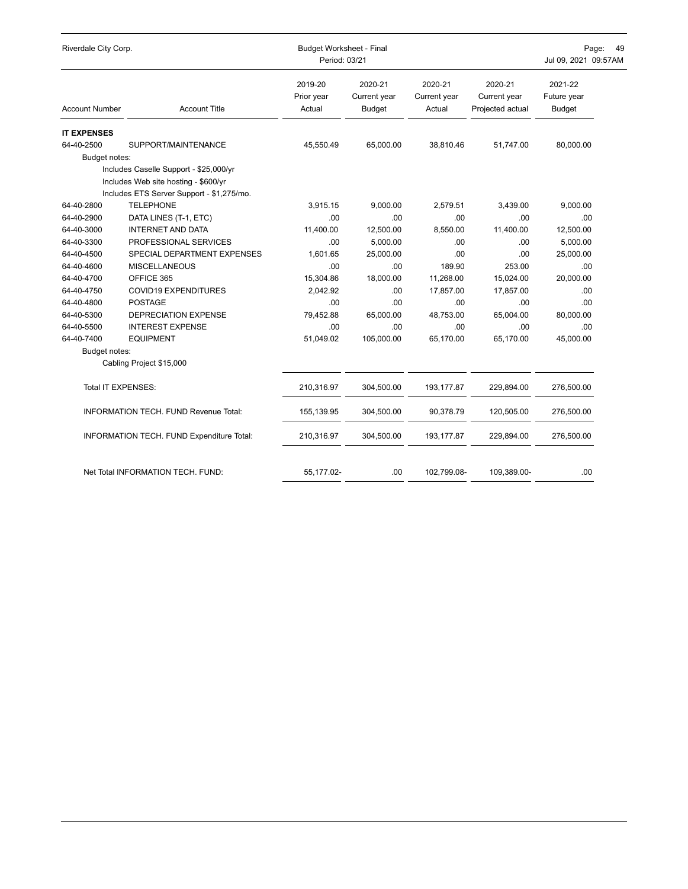| Riverdale City Corp.  |                                                                                                                             | <b>Budget Worksheet - Final</b><br>Period: 03/21 | Page:<br>4 <sup>c</sup><br>Jul 09, 2021 09:57AM |                                   |                                             |                                  |
|-----------------------|-----------------------------------------------------------------------------------------------------------------------------|--------------------------------------------------|-------------------------------------------------|-----------------------------------|---------------------------------------------|----------------------------------|
| <b>Account Number</b> | <b>Account Title</b>                                                                                                        | 2019-20<br>Prior year<br>Actual                  | 2020-21<br>Current year<br><b>Budget</b>        | 2020-21<br>Current year<br>Actual | 2020-21<br>Current year<br>Projected actual | 2021-22<br>Future year<br>Budget |
| <b>IT EXPENSES</b>    |                                                                                                                             |                                                  |                                                 |                                   |                                             |                                  |
| 64-40-2500            | SUPPORT/MAINTENANCE                                                                                                         | 45,550.49                                        | 65,000.00                                       | 38,810.46                         | 51,747.00                                   | 80,000.00                        |
| Budget notes:         |                                                                                                                             |                                                  |                                                 |                                   |                                             |                                  |
|                       | Includes Caselle Support - \$25,000/yr<br>Includes Web site hosting - \$600/yr<br>Includes ETS Server Support - \$1,275/mo. |                                                  |                                                 |                                   |                                             |                                  |
| 64-40-2800            | <b>TELEPHONE</b>                                                                                                            | 3.915.15                                         | 9,000.00                                        | 2,579.51                          | 3,439.00                                    | 9,000.00                         |
| 64-40-2900            | DATA LINES (T-1, ETC)                                                                                                       | .00                                              | .00                                             | .00                               | .00                                         | .00                              |
| 64-40-3000            | <b>INTERNET AND DATA</b>                                                                                                    | 11,400.00                                        | 12,500.00                                       | 8,550.00                          | 11,400.00                                   | 12,500.00                        |
| 64-40-3300            | PROFESSIONAL SERVICES                                                                                                       | .00.                                             | 5,000.00                                        | .00                               | .00                                         | 5,000.00                         |
| 64-40-4500            | SPECIAL DEPARTMENT EXPENSES                                                                                                 | 1,601.65                                         | 25,000.00                                       | .00                               | .00                                         | 25,000.00                        |
| 64-40-4600            | <b>MISCELLANEOUS</b>                                                                                                        | .00                                              | .00                                             | 189.90                            | 253.00                                      | .00                              |
| 64-40-4700            | OFFICE 365                                                                                                                  | 15,304.86                                        | 18,000.00                                       | 11,268.00                         | 15,024.00                                   | 20,000.00                        |
| 64-40-4750            | <b>COVID19 EXPENDITURES</b>                                                                                                 | 2,042.92                                         | .00                                             | 17,857.00                         | 17,857.00                                   | .00                              |
| 64-40-4800            | <b>POSTAGE</b>                                                                                                              | .00                                              | .00                                             | .00                               | .00                                         | .00                              |
| 64-40-5300            | DEPRECIATION EXPENSE                                                                                                        | 79,452.88                                        | 65,000.00                                       | 48,753.00                         | 65,004.00                                   | 80,000.00                        |
| 64-40-5500            | <b>INTEREST EXPENSE</b>                                                                                                     | .00                                              | .00                                             | .00                               | .00                                         | .00                              |
| 64-40-7400            | <b>EQUIPMENT</b>                                                                                                            | 51,049.02                                        | 105,000.00                                      | 65,170.00                         | 65.170.00                                   | 45,000.00                        |
| Budget notes:         |                                                                                                                             |                                                  |                                                 |                                   |                                             |                                  |
|                       | Cabling Project \$15,000                                                                                                    |                                                  |                                                 |                                   |                                             |                                  |
| Total IT EXPENSES:    |                                                                                                                             | 210,316.97                                       | 304,500.00                                      | 193,177.87                        | 229,894.00                                  | 276,500.00                       |
|                       | <b>INFORMATION TECH. FUND Revenue Total:</b>                                                                                | 155,139.95                                       | 304,500.00                                      | 90,378.79                         | 120,505.00                                  | 276,500.00                       |
|                       | INFORMATION TECH. FUND Expenditure Total:                                                                                   | 210,316.97                                       | 304,500.00                                      | 193,177.87                        | 229,894.00                                  | 276,500.00                       |
|                       | Net Total INFORMATION TECH. FUND:                                                                                           | 55,177.02-                                       | .00                                             | 102,799.08-                       | 109,389.00-                                 | .00                              |